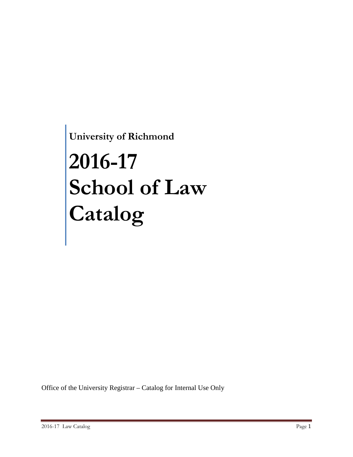**University of Richmond**

# **2016-17 School of Law Catalog**

Office of the University Registrar – Catalog for Internal Use Only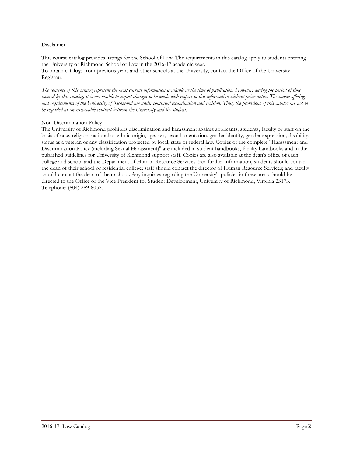# Disclaimer

This course catalog provides listings for the School of Law. The requirements in this catalog apply to students entering the University of Richmond School of Law in the 2016-17 academic year. To obtain catalogs from previous years and other schools at the University, contact the Office of the University Registrar.

*The contents of this catalog represent the most current information available at the time of publication. However, during the period of time covered by this catalog, it is reasonable to expect changes to be made with respect to this information without prior notice. The course offerings and requirements of the University of Richmond are under continual examination and revision. Thus, the provisions of this catalog are not to be regarded as an irrevocable contract between the University and the student.*

#### Non-Discrimination Policy

The University of Richmond prohibits discrimination and harassment against applicants, students, faculty or staff on the basis of race, religion, national or ethnic origin, age, sex, sexual orientation, gender identity, gender expression, disability, status as a veteran or any classification protected by local, state or federal law. Copies of the complete "Harassment and Discrimination Policy (including Sexual Harassment)" are included in student handbooks, faculty handbooks and in the published guidelines for University of Richmond support staff. Copies are also available at the dean's office of each college and school and the Department of Human Resource Services. For further information, students should contact the dean of their school or residential college; staff should contact the director of Human Resource Services; and faculty should contact the dean of their school. Any inquiries regarding the University's policies in these areas should be directed to the Office of the Vice President for Student Development, University of Richmond, Virginia 23173. Telephone: (804) 289-8032.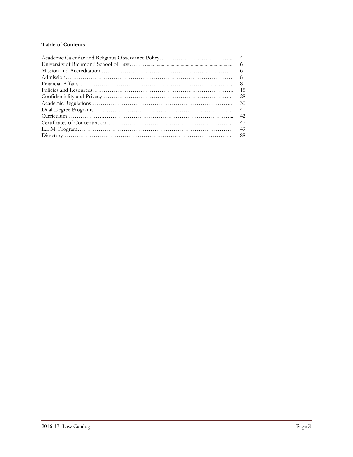# **Table of Contents**

| -6  |
|-----|
| - 8 |
| -8  |
| -15 |
| 28  |
| -30 |
| -40 |
| -42 |
| 47  |
| -49 |
|     |
|     |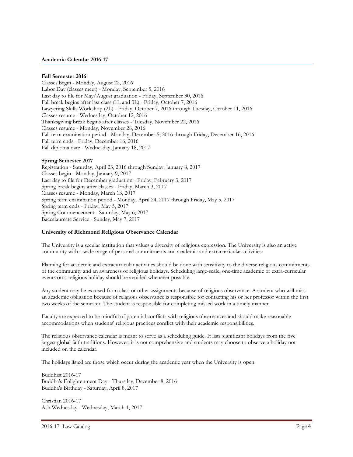#### **Academic Calendar 2016-17**

#### **Fall Semester 2016**

Classes begin - Monday, August 22, 2016 Labor Day (classes meet) - Monday, September 5, 2016 Last day to file for May/August graduation - Friday, September 30, 2016 Fall break begins after last class (1L and 3L) - Friday, October 7, 2016 Lawyering Skills Workshop (2L) - Friday, October 7, 2016 through Tuesday, October 11, 2016 Classes resume - Wednesday, October 12, 2016 Thanksgiving break begins after classes - Tuesday, November 22, 2016 Classes resume - Monday, November 28, 2016 Fall term examination period - Monday, December 5, 2016 through Friday, December 16, 2016 Fall term ends - Friday, December 16, 2016 Fall diploma date - Wednesday, January 18, 2017

#### **Spring Semester 2017**

Registration - Saturday, April 23, 2016 through Sunday, January 8, 2017 Classes begin - Monday, January 9, 2017 Last day to file for December graduation - Friday, February 3, 2017 Spring break begins after classes - Friday, March 3, 2017 Classes resume - Monday, March 13, 2017 Spring term examination period - Monday, April 24, 2017 through Friday, May 5, 2017 Spring term ends - Friday, May 5, 2017 Spring Commencement - Saturday, May 6, 2017 Baccalaureate Service - Sunday, May 7, 2017

#### **University of Richmond Religious Observance Calendar**

The University is a secular institution that values a diversity of religious expression. The University is also an active community with a wide range of personal commitments and academic and extracurricular activities.

Planning for academic and extracurricular activities should be done with sensitivity to the diverse religious commitments of the community and an awareness of religious holidays. Scheduling large-scale, one-time academic or extra-curricular events on a religious holiday should be avoided whenever possible.

Any student may be excused from class or other assignments because of religious observance. A student who will miss an academic obligation because of religious observance is responsible for contacting his or her professor within the first two weeks of the semester. The student is responsible for completing missed work in a timely manner.

Faculty are expected to be mindful of potential conflicts with religious observances and should make reasonable accommodations when students' religious practices conflict with their academic responsibilities.

The religious observance calendar is meant to serve as a scheduling guide. It lists significant holidays from the five largest global faith traditions. However, it is not comprehensive and students may choose to observe a holiday not included on the calendar.

The holidays listed are those which occur during the academic year when the University is open.

Buddhist 2016-17 Buddha's Enlightenment Day - Thursday, December 8, 2016 Buddha's Birthday - Saturday, April 8, 2017

Christian 2016-17 Ash Wednesday - Wednesday, March 1, 2017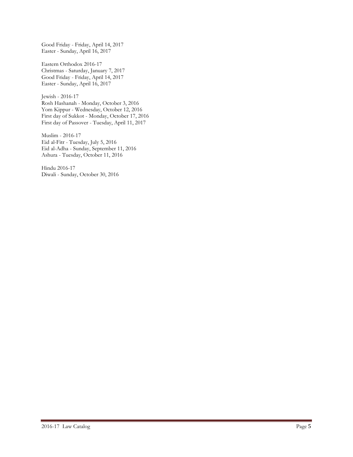Good Friday - Friday, April 14, 2017 Easter - Sunday, April 16, 2017

Eastern Orthodox 2016-17 Christmas - Saturday, January 7, 2017 Good Friday - Friday, April 14, 2017 Easter - Sunday, April 16, 2017

Jewish - 2016-17 Rosh Hashanah - Monday, October 3, 2016 Yom Kippur - Wednesday, October 12, 2016 First day of Sukkot - Monday, October 17, 2016 First day of Passover - Tuesday, April 11, 2017

Muslim - 2016-17 Eid al-Fitr - Tuesday, July 5, 2016 Eid al-Adha - Sunday, September 11, 2016 Ashura - Tuesday, October 11, 2016

Hindu 2016-17 Diwali - Sunday, October 30, 2016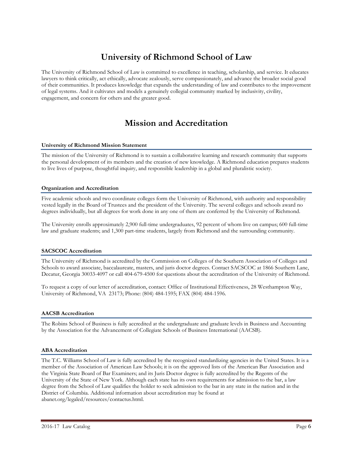# **University of Richmond School of Law**

The University of Richmond School of Law is committed to excellence in teaching, scholarship, and service. It educates lawyers to think critically, act ethically, advocate zealously, serve compassionately, and advance the broader social good of their communities. It produces knowledge that expands the understanding of law and contributes to the improvement of legal systems. And it cultivates and models a genuinely collegial community marked by inclusivity, civility, engagement, and concern for others and the greater good.

# **Mission and Accreditation**

#### **University of Richmond Mission Statement**

The mission of the University of Richmond is to sustain a collaborative learning and research community that supports the personal development of its members and the creation of new knowledge. A Richmond education prepares students to live lives of purpose, thoughtful inquiry, and responsible leadership in a global and pluralistic society.

#### **Organization and Accreditation**

Five academic schools and two coordinate colleges form the University of Richmond, with authority and responsibility vested legally in the Board of Trustees and the president of the University. The several colleges and schools award no degrees individually, but all degrees for work done in any one of them are conferred by the University of Richmond.

The University enrolls approximately 2,900 full-time undergraduates, 92 percent of whom live on campus; 600 full-time law and graduate students; and 1,300 part-time students, largely from Richmond and the surrounding community.

# **SACSCOC Accreditation**

The University of Richmond is accredited by the Commission on Colleges of the Southern Association of Colleges and Schools to award associate, baccalaureate, masters, and juris doctor degrees. Contact SACSCOC at 1866 Southern Lane, Decatur, Georgia 30033-4097 or call 404-679-4500 for questions about the accreditation of the University of Richmond.

To request a copy of our letter of accreditation, contact: Office of Institutional Effectiveness, 28 Westhampton Way, University of Richmond, VA 23173; Phone: (804) 484-1595; FAX (804) 484-1596.

# **AACSB Accreditation**

The Robins School of Business is fully accredited at the undergraduate and graduate levels in Business and Accounting by the Association for the Advancement of Collegiate Schools of Business International (AACSB).

#### **ABA Accreditation**

The T.C. Williams School of Law is fully accredited by the recognized standardizing agencies in the United States. It is a member of the Association of American Law Schools; it is on the approved lists of the American Bar Association and the Virginia State Board of Bar Examiners; and its Juris Doctor degree is fully accredited by the Regents of the University of the State of New York. Although each state has its own requirements for admission to the bar, a law degree from the School of Law qualifies the holder to seek admission to the bar in any state in the nation and in the District of Columbia. Additional information about accreditation may be found at abanet.org/legaled/resources/contactus.html.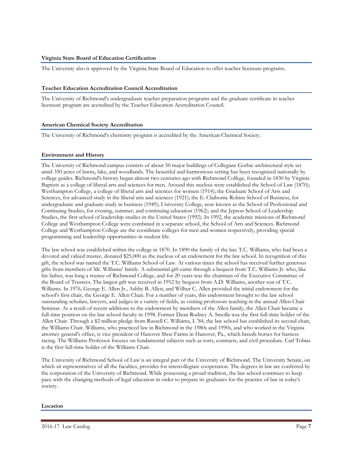#### **Virginia State Board of Education Certification**

The University also is approved by the Virginia State Board of Education to offer teacher licensure programs.

#### **Teacher Education Accreditation Council Accreditation**

The University of Richmond's undergraduate teacher preparation programs and the graduate certificate in teacher licensure program are accredited by the Teacher Education Accreditation Council.

#### **American Chemical Society Accreditation**

The University of Richmond's chemistry program is accredited by the American Chemical Society.

#### **Environment and History**

The University of Richmond campus consists of about 50 major buildings of Collegiate Gothic architectural style set amid 350 acres of lawns, lake, and woodlands. The beautiful and harmonious setting has been recognized nationally by college guides. Richmond's history began almost two centuries ago with Richmond College, founded in 1830 by Virginia Baptists as a college of liberal arts and sciences for men. Around this nucleus were established the School of Law (1870); Westhampton College, a college of liberal arts and sciences for women (1914); the Graduate School of Arts and Sciences, for advanced study in the liberal arts and sciences (1921); the E. Claiborne Robins School of Business, for undergraduate and graduate study in business (1949); University College, now known as the School of Professional and Continuing Studies, for evening, summer, and continuing education (1962); and the Jepson School of Leadership Studies, the first school of leadership studies in the United States (1992). In 1992, the academic missions of Richmond College and Westhampton College were combined in a separate school, the School of Arts and Sciences. Richmond College and Westhampton College are the coordinate colleges for men and women respectively, providing special programming and leadership opportunities in student life.

The law school was established within the college in 1870. In 1890 the family of the late T.C. Williams, who had been a devoted and valued trustee, donated \$25,000 as the nucleus of an endowment for the law school. In recognition of this gift, the school was named the T.C. Williams School of Law. At various times the school has received further generous gifts from members of Mr. Williams' family. A substantial gift came through a bequest from T.C. Williams Jr. who, like his father, was long a trustee of Richmond College, and for 20 years was the chairman of the Executive Committee of the Board of Trustees. The largest gift was received in 1952 by bequest from A.D. Williams, another son of T.C. Williams. In 1976, George E. Allen Jr., Ashby B. Allen, and Wilbur C. Allen provided the initial endowment for the school's first chair, the George E. Allen Chair. For a number of years, this endowment brought to the law school outstanding scholars, lawyers, and judges in a variety of fields, as visiting professors teaching in the annual Allen Chair Seminar. As a result of recent additions to the endowment by members of the Allen family, the Allen Chair became a full-time position on the law school faculty in 1998. Former Dean Rodney A. Smolla was the first full-time holder of the Allen Chair. Through a \$2 million pledge from Russell C. Williams, L '84, the law school has established its second chair, the Williams Chair. Williams, who practiced law in Richmond in the 1980s and 1990s, and who worked in the Virginia attorney general's office, is vice president of Hanover Shoe Farms in Hanover, Pa., which breeds horses for harness racing. The Williams Professor focuses on fundamental subjects such as torts, contracts, and civil procedure. Carl Tobias is the first full-time holder of the Williams Chair.

The University of Richmond School of Law is an integral part of the University of Richmond. The University Senate, on which sit representatives of all the faculties, provides for intercollegiate cooperation. The degrees in law are conferred by the corporation of the University of Richmond. While possessing a proud tradition, the law school continues to keep pace with the changing methods of legal education in order to prepare its graduates for the practice of law in today's society.

#### **Location**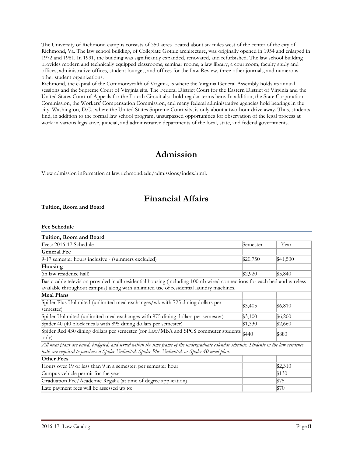The University of Richmond campus consists of 350 acres located about six miles west of the center of the city of Richmond, Va. The law school building, of Collegiate Gothic architecture, was originally opened in 1954 and enlarged in 1972 and 1981. In 1991, the building was significantly expanded, renovated, and refurbished. The law school building provides modern and technically equipped classrooms, seminar rooms, a law library, a courtroom, faculty study and offices, administrative offices, student lounges, and offices for the Law Review, three other journals, and numerous other student organizations.

Richmond, the capital of the Commonwealth of Virginia, is where the Virginia General Assembly holds its annual sessions and the Supreme Court of Virginia sits. The Federal District Court for the Eastern District of Virginia and the United States Court of Appeals for the Fourth Circuit also hold regular terms here. In addition, the State Corporation Commission, the Workers' Compensation Commission, and many federal administrative agencies hold hearings in the city. Washington, D.C., where the United States Supreme Court sits, is only about a two-hour drive away. Thus, students find, in addition to the formal law school program, unsurpassed opportunities for observation of the legal process at work in various legislative, judicial, and administrative departments of the local, state, and federal governments.

# **Admission**

View admission information at law.richmond.edu/admissions/index.html.

# **Financial Affairs**

# **Tuition, Room and Board**

#### **Fee Schedule**

| Tuition, Room and Board                                                                                                                    |          |          |  |  |  |  |  |
|--------------------------------------------------------------------------------------------------------------------------------------------|----------|----------|--|--|--|--|--|
| Fees: 2016-17 Schedule                                                                                                                     | Semester | Year     |  |  |  |  |  |
| <b>General Fee</b>                                                                                                                         |          |          |  |  |  |  |  |
| 9-17 semester hours inclusive - (summers excluded)                                                                                         | \$20,750 | \$41,500 |  |  |  |  |  |
| Housing                                                                                                                                    |          |          |  |  |  |  |  |
| (in law residence hall)                                                                                                                    | \$2,920  | \$5,840  |  |  |  |  |  |
| Basic cable television provided in all residential housing (including 100mb wired connections for each bed and wireless                    |          |          |  |  |  |  |  |
| available throughout campus) along with unlimited use of residential laundry machines.                                                     |          |          |  |  |  |  |  |
| <b>Meal Plans</b>                                                                                                                          |          |          |  |  |  |  |  |
| Spider Plus Unlimited (unlimited meal exchanges/wk with 725 dining dollars per                                                             | \$3,405  | \$6,810  |  |  |  |  |  |
| semester)                                                                                                                                  |          |          |  |  |  |  |  |
| Spider Unlimited (unlimited meal exchanges with 975 dining dollars per semester)                                                           | \$3,100  | \$6,200  |  |  |  |  |  |
| Spider 40 (40 block meals with 895 dining dollars per semester)                                                                            | \$1,330  | \$2,660  |  |  |  |  |  |
| Spider Red 430 dining dollars per semester (for Law/MBA and SPCS commuter students<br>(only                                                | \$440    | \$880    |  |  |  |  |  |
| All meal plans are based, budgeted, and served within the time frame of the undergraduate calendar schedule. Students in the law residence |          |          |  |  |  |  |  |
| halls are required to purchase a Spider Unlimited, Spider Plus Unlimited, or Spider 40 meal plan.                                          |          |          |  |  |  |  |  |
| <b>Other Fees</b>                                                                                                                          |          |          |  |  |  |  |  |
| Hours over 19 or less than 9 in a semester, per semester hour                                                                              |          | \$2,310  |  |  |  |  |  |
| Campus vehicle permit for the year                                                                                                         |          | \$130    |  |  |  |  |  |
| Graduation Fee/Academic Regalia (at time of degree application)                                                                            |          | $\$75$   |  |  |  |  |  |
| Late payment fees will be assessed up to:                                                                                                  |          | $\$70$   |  |  |  |  |  |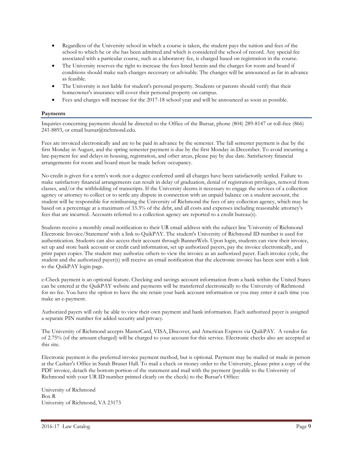- Regardless of the University school in which a course is taken, the student pays the tuition and fees of the school to which he or she has been admitted and which is considered the school of record. Any special fee associated with a particular course, such as a laboratory fee, is charged based on registration in the course.
- The University reserves the right to increase the fees listed herein and the charges for room and board if conditions should make such changes necessary or advisable. The changes will be announced as far in advance as feasible.
- The University is not liable for student's personal property. Students or parents should verify that their homeowner's insurance will cover their personal property on campus.
- Fees and charges will increase for the 2017-18 school year and will be announced as soon as possible.

# **Payments**

Inquiries concerning payments should be directed to the Office of the Bursar, phone (804) 289-8147 or toll-free (866) 241-8893, or email bursar@richmond.edu.

Fees are invoiced electronically and are to be paid in advance by the semester. The fall semester payment is due by the first Monday in August, and the spring semester payment is due by the first Monday in December. To avoid incurring a late-payment fee and delays in housing, registration, and other areas, please pay by due date. Satisfactory financial arrangements for room and board must be made before occupancy.

No credit is given for a term's work nor a degree conferred until all charges have been satisfactorily settled. Failure to make satisfactory financial arrangements can result in delay of graduation, denial of registration privileges, removal from classes, and/or the withholding of transcripts. If the University deems it necessary to engage the services of a collection agency or attorney to collect or to settle any dispute in connection with an unpaid balance on a student account, the student will be responsible for reimbursing the University of Richmond the fees of any collection agency, which may be based on a percentage at a maximum of 33.3% of the debt, and all costs and expenses including reasonable attorney's fees that are incurred. Accounts referred to a collection agency are reported to a credit bureau(s).

Students receive a monthly email notification to their UR email address with the subject line 'University of Richmond Electronic Invoice/Statement' with a link to QuikPAY. The student's University of Richmond ID number is used for authentication. Students can also access their account through BannerWeb. Upon login, students can view their invoice, set up and store bank account or credit card information, set up authorized payers, pay the invoice electronically, and print paper copies. The student may authorize others to view the invoice as an authorized payer. Each invoice cycle, the student and the authorized payer(s) will receive an email notification that the electronic invoice has been sent with a link to the QuikPAY login page.

e-Check payment is an optional feature. Checking and savings account information from a bank within the United States can be entered at the QuikPAY website and payments will be transferred electronically to the University of Richmond for no fee. You have the option to have the site retain your bank account information or you may enter it each time you make an e-payment.

Authorized payers will only be able to view their own payment and bank information. Each authorized payer is assigned a separate PIN number for added security and privacy.

The University of Richmond accepts MasterCard, VISA, Discover, and American Express via QuikPAY. A vendor fee of 2.75% (of the amount charged) will be charged to your account for this service. Electronic checks also are accepted at this site.

Electronic payment is the preferred invoice payment method, but is optional. Payment may be mailed or made in person at the Cashier's Office in Sarah Brunet Hall. To mail a check or money order to the University, please print a copy of the PDF invoice, detach the bottom portion of the statement and mail with the payment (payable to the University of Richmond with your UR ID number printed clearly on the check) to the Bursar's Office:

University of Richmond Box R University of Richmond, VA 23173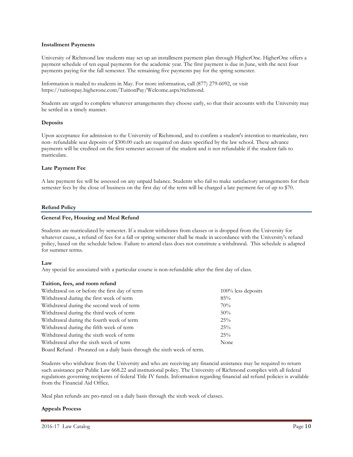#### **Installment Payments**

University of Richmond law students may set up an installment payment plan through HigherOne. HigherOne offers a payment schedule of ten equal payments for the academic year. The first payment is due in June, with the next four payments paying for the fall semester. The remaining five payments pay for the spring semester.

Information is mailed to students in May. For more information, call (877) 279-6092, or visit https://tuitionpay.higherone.com/TuitionPay/Welcome.aspx?richmond.

Students are urged to complete whatever arrangements they choose early, so that their accounts with the University may be settled in a timely manner.

#### **Deposits**

Upon acceptance for admission to the University of Richmond, and to confirm a student's intention to matriculate, two non- refundable seat deposits of \$300.00 each are required on dates specified by the law school. These advance payments will be credited on the first semester account of the student and is not refundable if the student fails to matriculate.

#### **Late Payment Fee**

A late payment fee will be assessed on any unpaid balance. Students who fail to make satisfactory arrangements for their semester fees by the close of business on the first day of the term will be charged a late payment fee of up to \$70.

#### **Refund Policy**

#### **General Fee, Housing and Meal Refund**

Students are matriculated by semester. If a student withdraws from classes or is dropped from the University for whatever cause, a refund of fees for a fall or spring semester shall be made in accordance with the University's refund policy, based on the schedule below. Failure to attend class does not constitute a withdrawal. This schedule is adapted for summer terms.

#### **Law**

Any special fee associated with a particular course is non-refundable after the first day of class.

#### **Tuition, fees, and room refund**

| Withdrawal on or before the first day of term                            | $100\%$ less deposits |
|--------------------------------------------------------------------------|-----------------------|
| Withdrawal during the first week of term                                 | 85%                   |
| Withdrawal during the second week of term                                | 70%                   |
| Withdrawal during the third week of term                                 | $50\%$                |
| Withdrawal during the fourth week of term                                | 25%                   |
| Withdrawal during the fifth week of term                                 | 25%                   |
| Withdrawal during the sixth week of term                                 | 25%                   |
| Withdrawal after the sixth week of term                                  | None                  |
| Board Refund - Prorated on a daily basis through the sixth week of term. |                       |

Students who withdraw from the University and who are receiving any financial assistance may be required to return such assistance per Public Law 668.22 and institutional policy. The University of Richmond complies with all federal regulations governing recipients of federal Title IV funds. Information regarding financial aid refund policies is available from the Financial Aid Office.

Meal plan refunds are pro-rated on a daily basis through the sixth week of classes.

#### **Appeals Process**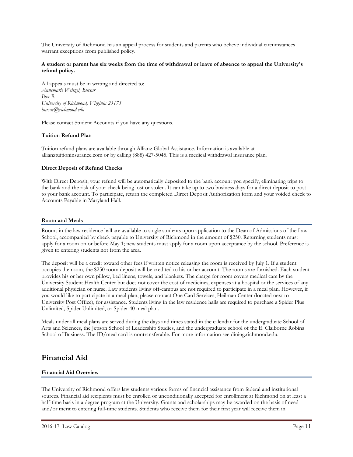The University of Richmond has an appeal process for students and parents who believe individual circumstances warrant exceptions from published policy.

#### **A student or parent has six weeks from the time of withdrawal or leave of absence to appeal the University's refund policy.**

All appeals must be in writing and directed to: *Annemarie Weitzel, Bursar Box R University of Richmond, Virginia 23173 bursar@richmond.edu*

Please contact Student Accounts if you have any questions.

# **Tuition Refund Plan**

Tuition refund plans are available through Allianz Global Assistance. Information is available at allianztuitioninsurance.com or by calling (888) 427-5045. This is a medical withdrawal insurance plan.

# **Direct Deposit of Refund Checks**

With Direct Deposit, your refund will be automatically deposited to the bank account you specify, eliminating trips to the bank and the risk of your check being lost or stolen. It can take up to two business days for a direct deposit to post to your bank account. To participate, return the completed Direct Deposit Authorization form and your voided check to Accounts Payable in Maryland Hall.

# **Room and Meals**

Rooms in the law residence hall are available to single students upon application to the Dean of Admissions of the Law School, accompanied by check payable to University of Richmond in the amount of \$250. Returning students must apply for a room on or before May 1; new students must apply for a room upon acceptance by the school. Preference is given to entering students not from the area.

The deposit will be a credit toward other fees if written notice releasing the room is received by July 1. If a student occupies the room, the \$250 room deposit will be credited to his or her account. The rooms are furnished. Each student provides his or her own pillow, bed linens, towels, and blankets. The charge for room covers medical care by the University Student Health Center but does not cover the cost of medicines, expenses at a hospital or the services of any additional physician or nurse. Law students living off-campus are not required to participate in a meal plan. However, if you would like to participate in a meal plan, please contact One Card Services, Heilman Center (located next to University Post Office), for assistance. Students living in the law residence halls are required to purchase a Spider Plus Unlimited, Spider Unlimited, or Spider 40 meal plan.

Meals under all meal plans are served during the days and times stated in the calendar for the undergraduate School of Arts and Sciences, the Jepson School of Leadership Studies, and the undergraduate school of the E. Claiborne Robins School of Business. The ID/meal card is nontransferable. For more information see dining.richmond.edu.

# **Financial Aid**

# **Financial Aid Overview**

The University of Richmond offers law students various forms of financial assistance from federal and institutional sources. Financial aid recipients must be enrolled or unconditionally accepted for enrollment at Richmond on at least a half-time basis in a degree program at the University. Grants and scholarships may be awarded on the basis of need and/or merit to entering full-time students. Students who receive them for their first year will receive them in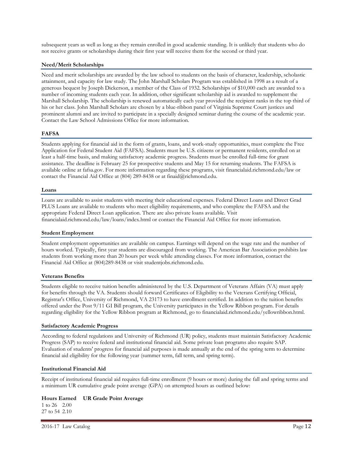subsequent years as well as long as they remain enrolled in good academic standing. It is unlikely that students who do not receive grants or scholarships during their first year will receive them for the second or third year.

#### **Need/Merit Scholarships**

Need and merit scholarships are awarded by the law school to students on the basis of character, leadership, scholastic attainment, and capacity for law study. The John Marshall Scholars Program was established in 1998 as a result of a generous bequest by Joseph Dickerson, a member of the Class of 1932. Scholarships of \$10,000 each are awarded to a number of incoming students each year. In addition, other significant scholarship aid is awarded to supplement the Marshall Scholarship. The scholarship is renewed automatically each year provided the recipient ranks in the top third of his or her class. John Marshall Scholars are chosen by a blue-ribbon panel of Virginia Supreme Court justices and prominent alumni and are invited to participate in a specially designed seminar during the course of the academic year. Contact the Law School Admissions Office for more information.

#### **FAFSA**

Students applying for financial aid in the form of grants, loans, and work-study opportunities, must complete the Free Application for Federal Student Aid (FAFSA). Students must be U.S. citizens or permanent residents, enrolled on at least a half-time basis, and making satisfactory academic progress. Students must be enrolled full-time for grant assistance. The deadline is February 25 for prospective students and May 15 for returning students. The FAFSA is available online at fafsa.gov. For more information regarding these programs, visit financialaid.richmond.edu/law or contact the Financial Aid Office at (804) 289-8438 or at finaid@richmond.edu.

#### **Loans**

Loans are available to assist students with meeting their educational expenses. Federal Direct Loans and Direct Grad PLUS Loans are available to students who meet eligibility requirements, and who complete the FAFSA and the appropriate Federal Direct Loan application. There are also private loans available. Visit financialaid.richmond.edu/law/loans/index.html or contact the Financial Aid Office for more information.

#### **Student Employment**

Student employment opportunities are available on campus. Earnings will depend on the wage rate and the number of hours worked. Typically, first year students are discouraged from working. The American Bar Association prohibits law students from working more than 20 hours per week while attending classes. For more information, contact the Financial Aid Office at (804)289-8438 or visit studentjobs.richmond.edu.

#### **Veterans Benefits**

Students eligible to receive tuition benefits administered by the U.S. Department of Veterans Affairs (VA) must apply for benefits through the VA. Students should forward Certificates of Eligibility to the Veterans Certifying Official, Registrar's Office, University of Richmond, VA 23173 to have enrollment certified. In addition to the tuition benefits offered under the Post 9/11 GI Bill program, the University participates in the Yellow Ribbon program. For details regarding eligibility for the Yellow Ribbon program at Richmond, go to financialaid.richmond.edu/yellowribbon.html.

#### **Satisfactory Academic Progress**

According to federal regulations and University of Richmond (UR) policy, students must maintain Satisfactory Academic Progress (SAP) to receive federal and institutional financial aid. Some private loan programs also require SAP. Evaluation of students' progress for financial aid purposes is made annually at the end of the spring term to determine financial aid eligibility for the following year (summer term, fall term, and spring term).

#### **Institutional Financial Aid**

Receipt of institutional financial aid requires full-time enrollment (9 hours or more) during the fall and spring terms and a minimum UR cumulative grade point average (GPA) on attempted hours as outlined below:

**Hours Earned UR Grade Point Average** 1 to 26 2.00 27 to 54 2.10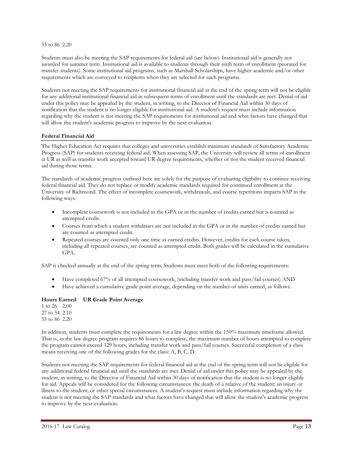55 to 86 2.20

Students must also be meeting the SAP requirements for federal aid (see below). Institutional aid is generally not awarded for summer term. Institutional aid is available to students through their sixth term of enrollment (prorated for transfer students). Some institutional aid programs, such as Marshall Scholarships, have higher academic and/or other requirements which are conveyed to recipients when they are selected for such programs.

Students not meeting the SAP requirements for institutional financial aid at the end of the spring term will not be eligible for any additional institutional financial aid in subsequent terms of enrollment until the standards are met. Denial of aid under this policy may be appealed by the student, in writing, to the Director of Financial Aid within 30 days of notification that the student is no longer eligible for institutional aid. A student's request must include information regarding why the student is not meeting the SAP requirements for institutional aid and what factors have changed that will allow the student's academic progress to improve by the next evaluation.

#### **Federal Financial Aid**

The Higher Education Act requires that colleges and universities establish minimum standards of Satisfactory Academic Progress (SAP) for students receiving federal aid. When assessing SAP, the University will review all terms of enrollment at UR as well as transfer work accepted toward UR degree requirements, whether or not the student received financial aid during those terms.

The standards of academic progress outlined here are solely for the purpose of evaluating eligibility to continue receiving federal financial aid. They do not replace or modify academic standards required for continued enrollment at the University of Richmond. The effect of incomplete coursework, withdrawals, and course repetitions impacts SAP in the following ways:

- Incomplete coursework is not included in the GPA or in the number of credits earned but is counted as attempted credit.
- Courses from which a student withdraws are not included in the GPA or in the number of credits earned but are counted as attempted credit.
- Repeated courses are counted only one time as earned credits. However, credits for each course taken, including all repeated courses, are counted as attempted credit. Both grades will be calculated in the cumulative GPA.

SAP is checked annually at the end of the spring term. Students must meet both of the following requirements:

- Have completed 67% of all attempted coursework, (including transfer work and pass/fail courses) AND
- Have achieved a cumulative grade point average, depending on the number of units earned, as follows:

# **Hours Earned UR Grade Point Average**

1 to 26 2.00 27 to 54 2.10 55 to 86 2.20

In addition, students must complete the requirements for a law degree within the 150% maximum timeframe allowed. That is, as the law degree program requires 86 hours to complete, the maximum number of hours attempted to complete the program cannot exceed 129 hours, including transfer work and pass/fail courses. Successful completion of a class means receiving one of the following grades for the class: A, B, C, D.

Students not meeting the SAP requirements for federal financial aid at the end of the spring term will not be eligible for any additional federal financial aid until the standards are met. Denial of aid under this policy may be appealed by the student, in writing, to the Director of Financial Aid within 30 days of notification that the student is no longer eligible for aid. Appeals will be considered for the following circumstances: the death of a relative of the student; an injury or illness to the student; or other special circumstances. A student's request must include information regarding why the student is not meeting the SAP standards and what factors have changed that will allow the student's academic progress to improve by the next evaluation.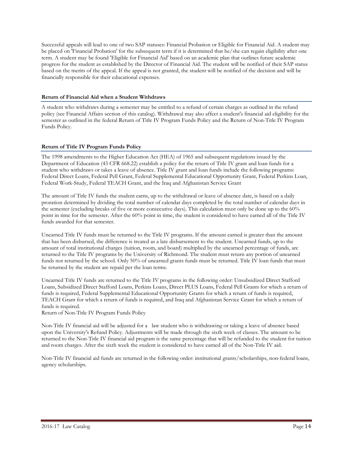Successful appeals will lead to one of two SAP statuses: Financial Probation or Eligible for Financial Aid. A student may be placed on 'Financial Probation' for the subsequent term if it is determined that he/she can regain eligibility after one term. A student may be found 'Eligible for Financial Aid' based on an academic plan that outlines future academic progress for the student as established by the Director of Financial Aid. The student will be notified of their SAP status based on the merits of the appeal. If the appeal is not granted, the student will be notified of the decision and will be financially responsible for their educational expenses.

# **Return of Financial Aid when a Student Withdraws**

A student who withdraws during a semester may be entitled to a refund of certain charges as outlined in the refund policy (see Financial Affairs section of this catalog). Withdrawal may also affect a student's financial aid eligibility for the semester as outlined in the federal Return of Title IV Program Funds Policy and the Return of Non-Title IV Program Funds Policy.

# **Return of Title IV Program Funds Policy**

The 1998 amendments to the Higher Education Act (HEA) of 1965 and subsequent regulations issued by the Department of Education (43 CFR 668.22) establish a policy for the return of Title IV grant and loan funds for a student who withdraws or takes a leave of absence. Title IV grant and loan funds include the following programs: Federal Direct Loans, Federal Pell Grant, Federal Supplemental Educational Opportunity Grant, Federal Perkins Loan, Federal Work-Study, Federal TEACH Grant, and the Iraq and Afghanistan Service Grant

The amount of Title IV funds the student earns, up to the withdrawal or leave of absence date, is based on a daily proration determined by dividing the total number of calendar days completed by the total number of calendar days in the semester (excluding breaks of five or more consecutive days). This calculation must only be done up to the 60% point in time for the semester. After the 60% point in time, the student is considered to have earned all of the Title IV funds awarded for that semester.

Unearned Title IV funds must be returned to the Title IV programs. If the amount earned is greater than the amount that has been disbursed, the difference is treated as a late disbursement to the student. Unearned funds, up to the amount of total institutional charges (tuition, room, and board) multiplied by the unearned percentage of funds, are returned to the Title IV programs by the University of Richmond. The student must return any portion of unearned funds not returned by the school. Only 50% of unearned grants funds must be returned. Title IV loan funds that must be returned by the student are repaid per the loan terms.

Unearned Title IV funds are returned to the Title IV programs in the following order: Unsubsidized Direct Stafford Loans, Subsidized Direct Stafford Loans, Perkins Loans, Direct PLUS Loans, Federal Pell Grants for which a return of funds is required, Federal Supplemental Educational Opportunity Grants for which a return of funds is required, TEACH Grant for which a return of funds is required, and Iraq and Afghanistan Service Grant for which a return of funds is required.

Return of Non-Title IV Program Funds Policy

Non-Title IV financial aid will be adjusted for a law student who is withdrawing or taking a leave of absence based upon the University's Refund Policy. Adjustments will be made through the sixth week of classes. The amount to be returned to the Non-Title IV financial aid program is the same percentage that will be refunded to the student for tuition and room charges. After the sixth week the student is considered to have earned all of the Non-Title IV aid.

Non-Title IV financial aid funds are returned in the following order: institutional grants/scholarships, non-federal loans, agency scholarships.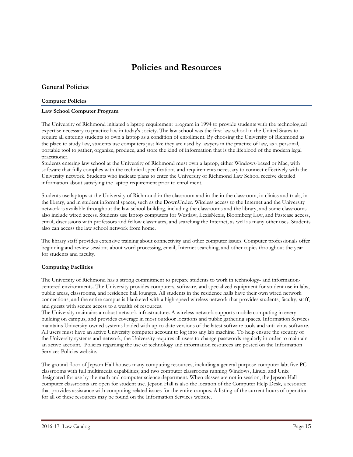# **Policies and Resources**

# **General Policies**

#### **Computer Policies**

#### **Law School Computer Program**

The University of Richmond initiated a laptop requirement program in 1994 to provide students with the technological expertise necessary to practice law in today's society. The law school was the first law school in the United States to require all entering students to own a laptop as a condition of enrollment. By choosing the University of Richmond as the place to study law, students use computers just like they are used by lawyers in the practice of law, as a personal, portable tool to gather, organize, produce, and store the kind of information that is the lifeblood of the modern legal practitioner.

Students entering law school at the University of Richmond must own a laptop, either Windows-based or Mac, with software that fully complies with the technical specifications and requirements necessary to connect effectively with the University network. Students who indicate plans to enter the University of Richmond Law School receive detailed information about satisfying the laptop requirement prior to enrollment.

Students use laptops at the University of Richmond in the classroom and in the in the classroom, in clinics and trials, in the library, and in student informal spaces, such as the DownUnder. Wireless access to the Internet and the University network is available throughout the law school building, including the classrooms and the library, and some classrooms also include wired access. Students use laptop computers for Westlaw, LexisNexis, Bloomberg Law, and Fastcase access, email, discussions with professors and fellow classmates, and searching the Internet, as well as many other uses. Students also can access the law school network from home.

The library staff provides extensive training about connectivity and other computer issues. Computer professionals offer beginning and review sessions about word processing, email, Internet searching, and other topics throughout the year for students and faculty.

# **Computing Facilities**

The University of Richmond has a strong commitment to prepare students to work in technology- and informationcentered environments. The University provides computers, software, and specialized equipment for student use in labs, public areas, classrooms, and residence hall lounges. All students in the residence halls have their own wired network connections, and the entire campus is blanketed with a high-speed wireless network that provides students, faculty, staff, and guests with secure access to a wealth of resources.

The University maintains a robust network infrastructure. A wireless network supports mobile computing in every building on campus, and provides coverage in most outdoor locations and public gathering spaces. Information Services maintains University-owned systems loaded with up-to-date versions of the latest software tools and anti-virus software. All users must have an active University computer account to log into any lab machine. To help ensure the security of the University systems and network, the University requires all users to change passwords regularly in order to maintain an active account. Policies regarding the use of technology and information resources are posted on the Information Services Policies website.

The ground floor of Jepson Hall houses many computing resources, including a general purpose computer lab; five PC classrooms with full multimedia capabilities; and two computer classrooms running Windows, Linux, and Unix designated for use by the math and computer science department. When classes are not in session, the Jepson Hall computer classrooms are open for student use. Jepson Hall is also the location of the Computer Help Desk, a resource that provides assistance with computing-related issues for the entire campus. A listing of the current hours of operation for all of these resources may be found on the Information Services website.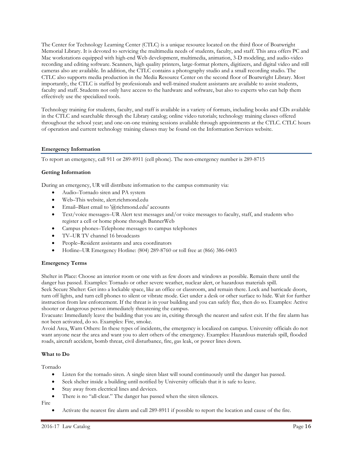The Center for Technology Learning Center (CTLC) is a unique resource located on the third floor of Boatwright Memorial Library. It is devoted to servicing the multimedia needs of students, faculty, and staff. This area offers PC and Mac workstations equipped with high-end Web development, multimedia, animation, 3-D modeling, and audio-video recording and editing software. Scanners, high quality printers, large-format plotters, digitizers, and digital video and still cameras also are available. In addition, the CTLC contains a photography studio and a small recording studio. The CTLC also supports media production in the Media Resource Center on the second floor of Boatwright Library. Most importantly, the CTLC is staffed by professionals and well-trained student assistants are available to assist students, faculty and staff. Students not only have access to the hardware and software, but also to experts who can help them effectively use the specialized tools.

Technology training for students, faculty, and staff is available in a variety of formats, including books and CDs available in the CTLC and searchable through the Library catalog; online video tutorials; technology training classes offered throughout the school year; and one-on-one training sessions available through appointments at the CTLC. CTLC hours of operation and current technology training classes may be found on the Information Services website.

# **Emergency Information**

To report an emergency, call 911 or 289-8911 (cell phone). The non-emergency number is 289-8715

# **Getting Information**

During an emergency, UR will distribute information to the campus community via:

- Audio–Tornado siren and PA system
- Web–This website, alert.richmond.edu
- Email–Blast email to '@richmond.edu' accounts
- Text/voice messages–UR Alert text messages and/or voice messages to faculty, staff, and students who register a cell or home phone through BannerWeb
- Campus phones–Telephone messages to campus telephones
- TV–UR TV channel 16 broadcasts
- People–Resident assistants and area coordinators
- Hotline–UR Emergency Hotline: (804) 289-8760 or toll free at (866) 386-0403

# **Emergency Terms**

Shelter in Place: Choose an interior room or one with as few doors and windows as possible. Remain there until the danger has passed. Examples: Tornado or other severe weather, nuclear alert, or hazardous materials spill.

Seek Secure Shelter: Get into a lockable space, like an office or classroom, and remain there. Lock and barricade doors, turn off lights, and turn cell phones to silent or vibrate mode. Get under a desk or other surface to hide. Wait for further instruction from law enforcement. If the threat is in your building and you can safely flee, then do so. Examples: Active shooter or dangerous person immediately threatening the campus.

Evacuate: Immediately leave the building that you are in, exiting through the nearest and safest exit. If the fire alarm has not been activated, do so. Examples: Fire, smoke.

Avoid Area, Warn Others: In these types of incidents, the emergency is localized on campus. University officials do not want anyone near the area and want you to alert others of the emergency. Examples: Hazardous materials spill, flooded roads, aircraft accident, bomb threat, civil disturbance, fire, gas leak, or power lines down.

# **What to Do**

Tornado

- Listen for the tornado siren. A single siren blast will sound continuously until the danger has passed.
- Seek shelter inside a building until notified by University officials that it is safe to leave.
- Stay away from electrical lines and devices.
- There is no "all-clear." The danger has passed when the siren silences.

Fire

• Activate the nearest fire alarm and call 289-8911 if possible to report the location and cause of the fire.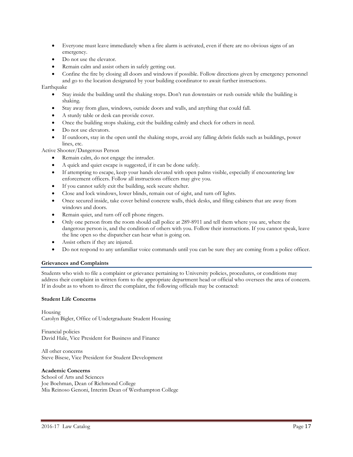- Everyone must leave immediately when a fire alarm is activated, even if there are no obvious signs of an emergency.
- Do not use the elevator.
- Remain calm and assist others in safely getting out.

• Confine the fire by closing all doors and windows if possible. Follow directions given by emergency personnel and go to the location designated by your building coordinator to await further instructions.

# Earthquake

- Stay inside the building until the shaking stops. Don't run downstairs or rush outside while the building is shaking.
- Stay away from glass, windows, outside doors and walls, and anything that could fall.
- A sturdy table or desk can provide cover.
- Once the building stops shaking, exit the building calmly and check for others in need.
- Do not use elevators.
- If outdoors, stay in the open until the shaking stops, avoid any falling debris fields such as buildings, power lines, etc.

# Active Shooter/Dangerous Person

- Remain calm, do not engage the intruder.
- A quick and quiet escape is suggested, if it can be done safely.
- If attempting to escape, keep your hands elevated with open palms visible, especially if encountering law enforcement officers. Follow all instructions officers may give you.
- If you cannot safely exit the building, seek secure shelter.
- Close and lock windows, lower blinds, remain out of sight, and turn off lights.
- Once secured inside, take cover behind concrete walls, thick desks, and filing cabinets that are away from windows and doors.
- Remain quiet, and turn off cell phone ringers.
- Only one person from the room should call police at 289-8911 and tell them where you are, where the dangerous person is, and the condition of others with you. Follow their instructions. If you cannot speak, leave the line open so the dispatcher can hear what is going on.
- Assist others if they are injured.
- Do not respond to any unfamiliar voice commands until you can be sure they are coming from a police officer.

# **Grievances and Complaints**

Students who wish to file a complaint or grievance pertaining to University policies, procedures, or conditions may address their complaint in written form to the appropriate department head or official who oversees the area of concern. If in doubt as to whom to direct the complaint, the following officials may be contacted:

# **Student Life Concerns**

Housing Carolyn Bigler, Office of Undergraduate Student Housing

Financial policies David Hale, Vice President for Business and Finance

All other concerns Steve Bisese, Vice President for Student Development

# **Academic Concerns**

School of Arts and Sciences Joe Boehman, Dean of Richmond College Mia Reinoso Genoni, Interim Dean of Westhampton College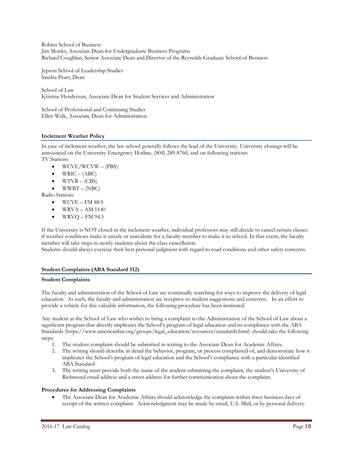Robins School of Business Jim Monks, Associate Dean for Undergraduate Business Programs Richard Coughlan, Senior Associate Dean and Director of the Reynolds Graduate School of Business

Jepson School of Leadership Studies Sandra Peart, Dean

School of Law Kristine Henderson, Associate Dean for Student Services and Administration

School of Professional and Continuing Studies Ellen Walk, Associate Dean for Administration

# **Inclement Weather Policy**

In case of inclement weather, the law school generally follows the lead of the University. University closings will be announced on the University Emergency Hotline, (804) 289-8760, and on following stations: TV Stations

- WCVE/WCVW (PBS)
- WRIC  $(ABC)$
- $WTVR (CBS)$
- WWBT (NBC)

Radio Stations

- WCVE FM 88.9
- $\bullet$  WRVA AM 1140
- $\bullet$  WRVO FM 94.5

If the University is NOT closed in the inclement weather, individual professors may still decide to cancel certain classes if weather conditions make it unsafe or unrealistic for a faculty member to make it to school. In that event, the faculty member will take steps to notify students about the class cancellation.

Students should always exercise their best personal judgment with regard to road conditions and other safety concerns.

# **Student Complaints (ABA Standard 512)**

# **Student Complaints**

The faculty and administration of the School of Law are continually searching for ways to improve the delivery of legal education. As such, the faculty and administration are receptive to student suggestions and concerns. In an effort to provide a vehicle for this valuable information, the following procedure has been instituted.

Any student at the School of Law who wishes to bring a complaint to the Administration of the School of Law about a significant program that directly implicates the School's program of legal education and its compliance with the ABA Standards (https://www.americanbar.org/groups/legal\_education/resources/standards.html) should take the following steps:

- 1. The student complaint should be submitted in writing to the Associate Dean for Academic Affairs.
- 2. The writing should describe in detail the behavior, program, or process complained of, and demonstrate how it implicates the School's program of legal education and the School's compliance with a particular identified ABA Standard.
- 3. The writing must provide both the name of the student submitting the complaint, the student's University of Richmond email address and a street address for further communication about the complaint.

# **Procedures for Addressing Complaints**

• The Associate Dean for Academic Affairs should acknowledge the complaint within three business days of receipt of the written complaint. Acknowledgment may be made by email, U.S. Mail, or by personal delivery.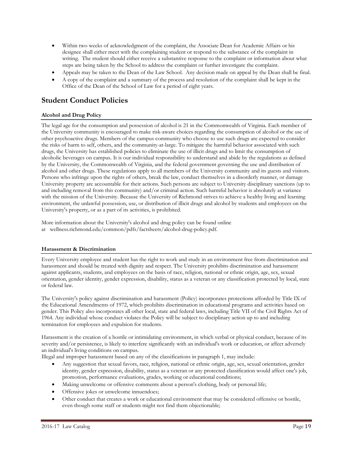- Within two weeks of acknowledgment of the complaint, the Associate Dean for Academic Affairs or his designee shall either meet with the complaining student or respond to the substance of the complaint in writing. The student should either receive a substantive response to the complaint or information about what steps are being taken by the School to address the complaint or further investigate the complaint.
- Appeals may be taken to the Dean of the Law School. Any decision made on appeal by the Dean shall be final.
- A copy of the complaint and a summary of the process and resolution of the complaint shall be kept in the Office of the Dean of the School of Law for a period of eight years.

# **Student Conduct Policies**

# **Alcohol and Drug Policy**

The legal age for the consumption and possession of alcohol is 21 in the Commonwealth of Virginia. Each member of the University community is encouraged to make risk-aware choices regarding the consumption of alcohol or the use of other psychoactive drugs. Members of the campus community who choose to use such drugs are expected to consider the risks of harm to self, others, and the community-at-large. To mitigate the harmful behavior associated with such drugs, the University has established policies to eliminate the use of illicit drugs and to limit the consumption of alcoholic beverages on campus. It is our individual responsibility to understand and abide by the regulations as defined by the University, the Commonwealth of Virginia, and the federal government governing the use and distribution of alcohol and other drugs. These regulations apply to all members of the University community and its guests and visitors. Persons who infringe upon the rights of others, break the law, conduct themselves in a disorderly manner, or damage University property are accountable for their actions. Such persons are subject to University disciplinary sanctions (up to and including removal from this community) and/or criminal action. Such harmful behavior is absolutely at variance with the mission of the University. Because the University of Richmond strives to achieve a healthy living and learning environment, the unlawful possession, use, or distribution of illicit drugs and alcohol by students and employees on the University's property, or as a part of its activities, is prohibited.

More information about the University's alcohol and drug policy can be found online at wellness.richmond.edu/common/pdfs/factsheets/alcohol-drug-policy.pdf.

# **Harassment & Discrimination**

Every University employee and student has the right to work and study in an environment free from discrimination and harassment and should be treated with dignity and respect. The University prohibits discrimination and harassment against applicants, students, and employees on the basis of race, religion, national or ethnic origin, age, sex, sexual orientation, gender identity, gender expression, disability, status as a veteran or any classification protected by local, state or federal law.

The University's policy against discrimination and harassment (Policy) incorporates protections afforded by Title IX of the Educational Amendments of 1972, which prohibits discrimination in educational programs and activities based on gender. This Policy also incorporates all other local, state and federal laws, including Title VII of the Civil Rights Act of 1964. Any individual whose conduct violates the Policy will be subject to disciplinary action up to and including termination for employees and expulsion for students.

Harassment is the creation of a hostile or intimidating environment, in which verbal or physical conduct, because of its severity and/or persistence, is likely to interfere significantly with an individual's work or education, or affect adversely an individual's living conditions on campus.

Illegal and improper harassment based on any of the classifications in paragraph 1, may include:

- Any suggestion that sexual favors, race, religion, national or ethnic origin, age, sex, sexual orientation, gender identity, gender expression, disability, status as a veteran or any protected classification would affect one's job, promotion, performance evaluations, grades, working or educational conditions;
- Making unwelcome or offensive comments about a person's clothing, body or personal life;
- Offensive jokes or unwelcome innuendoes;
- Other conduct that creates a work or educational environment that may be considered offensive or hostile, even though some staff or students might not find them objectionable;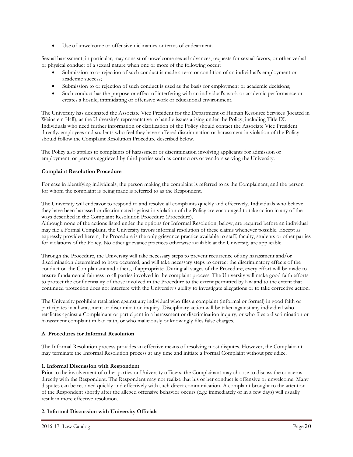• Use of unwelcome or offensive nicknames or terms of endearment.

Sexual harassment, in particular, may consist of unwelcome sexual advances, requests for sexual favors, or other verbal or physical conduct of a sexual nature when one or more of the following occur:

- Submission to or rejection of such conduct is made a term or condition of an individual's employment or academic success;
- Submission to or rejection of such conduct is used as the basis for employment or academic decisions;
- Such conduct has the purpose or effect of interfering with an individual's work or academic performance or creates a hostile, intimidating or offensive work or educational environment.

The University has designated the Associate Vice President for the Department of Human Resource Services (located in Weinstein Hall), as the University's representative to handle issues arising under the Policy, including Title IX. Individuals who need further information or clarification of the Policy should contact the Associate Vice President directly. employees and students who feel they have suffered discrimination or harassment in violation of the Policy should follow the Complaint Resolution Procedure described below.

The Policy also applies to complaints of harassment or discrimination involving applicants for admission or employment, or persons aggrieved by third parties such as contractors or vendors serving the University.

# **Complaint Resolution Procedure**

For ease in identifying individuals, the person making the complaint is referred to as the Complainant, and the person for whom the complaint is being made is referred to as the Respondent.

The University will endeavor to respond to and resolve all complaints quickly and effectively. Individuals who believe they have been harassed or discriminated against in violation of the Policy are encouraged to take action in any of the ways described in the Complaint Resolution Procedure (Procedure).

Although none of the actions listed under the options for Informal Resolution, below, are required before an individual may file a Formal Complaint, the University favors informal resolution of these claims whenever possible. Except as expressly provided herein, the Procedure is the only grievance practice available to staff, faculty, students or other parties for violations of the Policy. No other grievance practices otherwise available at the University are applicable.

Through the Procedure, the University will take necessary steps to prevent recurrence of any harassment and/or discrimination determined to have occurred, and will take necessary steps to correct the discriminatory effects of the conduct on the Complainant and others, if appropriate. During all stages of the Procedure, every effort will be made to ensure fundamental fairness to all parties involved in the complaint process. The University will make good faith efforts to protect the confidentiality of those involved in the Procedure to the extent permitted by law and to the extent that continued protection does not interfere with the University's ability to investigate allegations or to take corrective action.

The University prohibits retaliation against any individual who files a complaint (informal or formal) in good faith or participates in a harassment or discrimination inquiry. Disciplinary action will be taken against any individual who retaliates against a Complainant or participant in a harassment or discrimination inquiry, or who files a discrimination or harassment complaint in bad faith, or who maliciously or knowingly files false charges.

# **A. Procedures for Informal Resolution**

The Informal Resolution process provides an effective means of resolving most disputes. However, the Complainant may terminate the Informal Resolution process at any time and initiate a Formal Complaint without prejudice.

# **1. Informal Discussion with Respondent**

Prior to the involvement of other parties or University officers, the Complainant may choose to discuss the concerns directly with the Respondent. The Respondent may not realize that his or her conduct is offensive or unwelcome. Many disputes can be resolved quickly and effectively with such direct communication. A complaint brought to the attention of the Respondent shortly after the alleged offensive behavior occurs (e.g.: immediately or in a few days) will usually result in more effective resolution.

# **2. Informal Discussion with University Officials**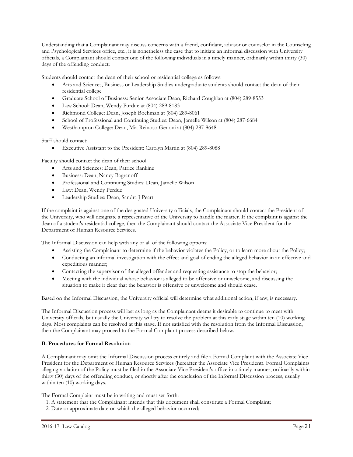Understanding that a Complainant may discuss concerns with a friend, confidant, advisor or counselor in the Counseling and Psychological Services office, etc., it is nonetheless the case that to initiate an informal discussion with University officials, a Complainant should contact one of the following individuals in a timely manner, ordinarily within thirty (30) days of the offending conduct:

Students should contact the dean of their school or residential college as follows:

- Arts and Sciences, Business or Leadership Studies undergraduate students should contact the dean of their residential college
- Graduate School of Business: Senior Associate Dean, Richard Coughlan at (804) 289-8553
- Law School: Dean, Wendy Purdue at (804) 289-8183
- Richmond College: Dean, Joseph Boehman at (804) 289-8061
- School of Professional and Continuing Studies: Dean, Jamelle Wilson at (804) 287-6684
- Westhampton College: Dean, Mia Reinoso Genoni at (804) 287-8648

Staff should contact:

• Executive Assistant to the President: Carolyn Martin at (804) 289-8088

Faculty should contact the dean of their school:

- Arts and Sciences: Dean, Patrice Rankine
- Business: Dean, Nancy Bagranoff
- Professional and Continuing Studies: Dean, Jamelle Wilson
- Law: Dean, Wendy Perdue
- Leadership Studies: Dean, Sandra J Peart

If the complaint is against one of the designated University officials, the Complainant should contact the President of the University, who will designate a representative of the University to handle the matter. If the complaint is against the dean of a student's residential college, then the Complainant should contact the Associate Vice President for the Department of Human Resource Services.

The Informal Discussion can help with any or all of the following options:

- Assisting the Complainant to determine if the behavior violates the Policy, or to learn more about the Policy;
- Conducting an informal investigation with the effect and goal of ending the alleged behavior in an effective and expeditious manner;
- Contacting the supervisor of the alleged offender and requesting assistance to stop the behavior;
- Meeting with the individual whose behavior is alleged to be offensive or unwelcome, and discussing the situation to make it clear that the behavior is offensive or unwelcome and should cease.

Based on the Informal Discussion, the University official will determine what additional action, if any, is necessary.

The Informal Discussion process will last as long as the Complainant deems it desirable to continue to meet with University officials, but usually the University will try to resolve the problem at this early stage within ten (10) working days. Most complaints can be resolved at this stage. If not satisfied with the resolution from the Informal Discussion, then the Complainant may proceed to the Formal Complaint process described below.

# **B. Procedures for Formal Resolution**

A Complainant may omit the Informal Discussion process entirely and file a Formal Complaint with the Associate Vice President for the Department of Human Resource Services (hereafter the Associate Vice President). Formal Complaints alleging violation of the Policy must be filed in the Associate Vice President's office in a timely manner, ordinarily within thirty (30) days of the offending conduct, or shortly after the conclusion of the Informal Discussion process, usually within ten (10) working days.

The Formal Complaint must be in writing and must set forth:

- 1. A statement that the Complainant intends that this document shall constitute a Formal Complaint;
- 2. Date or approximate date on which the alleged behavior occurred;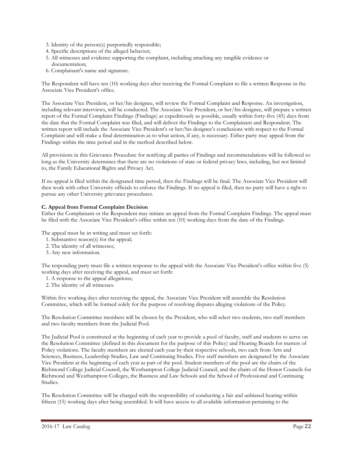- 3. Identity of the person(s) purportedly responsible;
- 4. Specific descriptions of the alleged behavior;
- 5. All witnesses and evidence supporting the complaint, including attaching any tangible evidence or documentation;
- 6. Complainant's name and signature.

The Respondent will have ten (10) working days after receiving the Formal Complaint to file a written Response in the Associate Vice President's office.

The Associate Vice President, or her/his designee, will review the Formal Complaint and Response. An investigation, including relevant interviews, will be conducted. The Associate Vice President, or her/his designee, will prepare a written report of the Formal Complaint Findings (Findings) as expeditiously as possible, usually within forty-five (45) days from the date that the Formal Complaint was filed, and will deliver the Findings to the Complainant and Respondent. The written report will include the Associate Vice President's or her/his designee's conclusions with respect to the Formal Complaint and will make a final determination as to what action, if any, is necessary. Either party may appeal from the Findings within the time period and in the method described below.

All provisions in this Grievance Procedure for notifying all parties of Findings and recommendations will be followed so long as the University determines that there are no violations of state or federal privacy laws, including, but not limited to, the Family Educational Rights and Privacy Act.

If no appeal is filed within the designated time period, then the Findings will be final. The Associate Vice President will then work with other University officials to enforce the Findings. If no appeal is filed, then no party will have a right to pursue any other University grievance procedures.

# **C. Appeal from Formal Complaint Decision**

Either the Complainant or the Respondent may initiate an appeal from the Formal Complaint Findings. The appeal must be filed with the Associate Vice President's office within ten (10) working days from the date of the Findings.

The appeal must be in writing and must set forth:

- 1. Substantive reason(s) for the appeal;
- 2. The identity of all witnesses;
- 3. Any new information.

The responding party must file a written response to the appeal with the Associate Vice President's office within five (5) working days after receiving the appeal, and must set forth:

- 1. A response to the appeal allegations;
- 2. The identity of all witnesses.

Within five working days after receiving the appeal, the Associate Vice President will assemble the Resolution Committee, which will be formed solely for the purpose of resolving disputes alleging violations of the Policy.

The Resolution Committee members will be chosen by the President, who will select two students, two staff members and two faculty members from the Judicial Pool.

The Judicial Pool is constituted at the beginning of each year to provide a pool of faculty, staff and students to serve on the Resolution Committee (defined in this document for the purpose of this Policy) and Hearing Boards for matters of Policy violations. The faculty members are elected each year by their respective schools, two each from Arts and Sciences, Business, Leadership Studies, Law and Continuing Studies. Five staff members are designated by the Associate Vice President at the beginning of each year as part of the pool. Student members of the pool are the chairs of the Richmond College Judicial Council, the Westhampton College Judicial Council, and the chairs of the Honor Councils for Richmond and Westhampton Colleges, the Business and Law Schools and the School of Professional and Continuing Studies.

The Resolution Committee will be charged with the responsibility of conducting a fair and unbiased hearing within fifteen (15) working days after being assembled. It will have access to all available information pertaining to the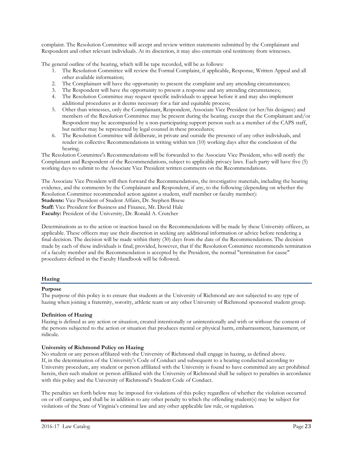complaint. The Resolution Committee will accept and review written statements submitted by the Complainant and Respondent and other relevant individuals. At its discretion, it may also entertain oral testimony from witnesses.

The general outline of the hearing, which will be tape recorded, will be as follows:

- 1. The Resolution Committee will review the Formal Complaint, if applicable, Response, Written Appeal and all other available information;
- 2. The Complainant will have the opportunity to present the complaint and any attending circumstances;
- 3. The Respondent will have the opportunity to present a response and any attending circumstances;
- 4. The Resolution Committee may request specific individuals to appear before it and may also implement additional procedures as it deems necessary for a fair and equitable process;
- 5. Other than witnesses, only the Complainant, Respondent, Associate Vice President (or her/his designee) and members of the Resolution Committee may be present during the hearing; except that the Complainant and/or Respondent may be accompanied by a non-participating support person such as a member of the CAPS staff, but neither may be represented by legal counsel in these procedures;
- 6. The Resolution Committee will deliberate, in private and outside the presence of any other individuals, and render its collective Recommendations in writing within ten (10) working days after the conclusion of the hearing.

The Resolution Committee's Recommendations will be forwarded to the Associate Vice President, who will notify the Complainant and Respondent of the Recommendations, subject to applicable privacy laws. Each party will have five (5) working days to submit to the Associate Vice President written comments on the Recommendations.

The Associate Vice President will then forward the Recommendations, the investigative materials, including the hearing evidence, and the comments by the Complainant and Respondent, if any, to the following (depending on whether the Resolution Committee recommended action against a student, staff member or faculty member): **Students:** Vice President of Student Affairs, Dr. Stephen Bisese **Staff:** Vice President for Business and Finance, Mr. David Hale **Faculty:** President of the University, Dr. Ronald A. Crutcher

Determinations as to the action or inaction based on the Recommendations will be made by these University officers, as applicable. These officers may use their discretion in seeking any additional information or advice before rendering a final decision. The decision will be made within thirty (30) days from the date of the Recommendations. The decision made by each of these individuals is final; provided, however, that if the Resolution Committee recommends termination of a faculty member and the Recommendation is accepted by the President, the normal "termination for cause" procedures defined in the Faculty Handbook will be followed.

# **Hazing**

#### **Purpose**

The purpose of this policy is to ensure that students at the University of Richmond are not subjected to any type of hazing when joining a fraternity, sorority, athletic team or any other University of Richmond sponsored student group.

# **Definition of Hazing**

Hazing is defined as any action or situation, created intentionally or unintentionally and with or without the consent of the persons subjected to the action or situation that produces mental or physical harm, embarrassment, harassment, or ridicule.

# **University of Richmond Policy on Hazing**

No student or any person affiliated with the University of Richmond shall engage in hazing, as defined above. If, in the determination of the University's Code of Conduct and subsequent to a hearing conducted according to University procedure, any student or person affiliated with the University is found to have committed any act prohibited herein, then such student or person affiliated with the University of Richmond shall be subject to penalties in accordance with this policy and the University of Richmond's Student Code of Conduct.

The penalties set forth below may be imposed for violations of this policy regardless of whether the violation occurred on or off campus, and shall be in addition to any other penalty to which the offending student(s) may be subject for violations of the State of Virginia's criminal law and any other applicable law rule, or regulation.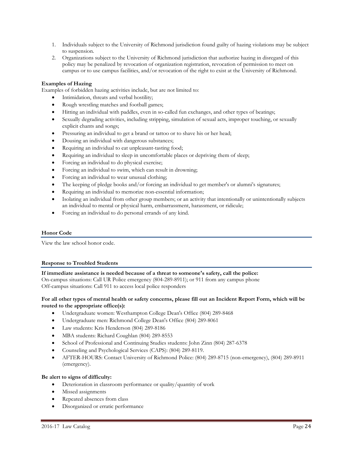- 1. Individuals subject to the University of Richmond jurisdiction found guilty of hazing violations may be subject to suspension.
- 2. Organizations subject to the University of Richmond jurisdiction that authorize hazing in disregard of this policy may be penalized by revocation of organization registration, revocation of permission to meet on campus or to use campus facilities, and/or revocation of the right to exist at the University of Richmond.

# **Examples of Hazing**

Examples of forbidden hazing activities include, but are not limited to:

- Intimidation, threats and verbal hostility;
- Rough wrestling matches and football games;
- Hitting an individual with paddles, even in so-called fun exchanges, and other types of beatings;
- Sexually degrading activities, including stripping, simulation of sexual acts, improper touching, or sexually explicit chants and songs;
- Pressuring an individual to get a brand or tattoo or to shave his or her head;
- Dousing an individual with dangerous substances;
- Requiring an individual to eat unpleasant-tasting food;
- Requiring an individual to sleep in uncomfortable places or depriving them of sleep;
- Forcing an individual to do physical exercise;
- Forcing an individual to swim, which can result in drowning;
- Forcing an individual to wear unusual clothing;
- The keeping of pledge books and/or forcing an individual to get member's or alumni's signatures;
- Requiring an individual to memorize non-essential information;
- Isolating an individual from other group members; or an activity that intentionally or unintentionally subjects an individual to mental or physical harm, embarrassment, harassment, or ridicule;
- Forcing an individual to do personal errands of any kind.

# **Honor Code**

View the law school honor code.

# **Response to Troubled Students**

**If immediate assistance is needed because of a threat to someone's safety, call the police:** On-campus situations: Call UR Police emergency (804-289-8911); or 911 from any campus phone Off-campus situations: Call 911 to access local police responders

#### **For all other types of mental health or safety concerns, please fill out an Incident Report Form, which will be routed to the appropriate office(s):**

- Undergraduate women: Westhampton College Dean's Office (804) 289-8468
- Undergraduate men: Richmond College Dean's Office (804) 289-8061
- Law students: Kris Henderson (804) 289-8186
- MBA students: Richard Coughlan (804) 289-8553
- School of Professional and Continuing Studies students: John Zinn (804) 287-6378
- Counseling and Psychological Services (CAPS): (804) 289-8119.
- AFTER-HOURS: Contact University of Richmond Police: (804) 289-8715 (non-emergency), (804) 289-8911 (emergency).

# **Be alert to signs of difficulty:**

- Deterioration in classroom performance or quality/quantity of work
- Missed assignments
- Repeated absences from class
- Disorganized or erratic performance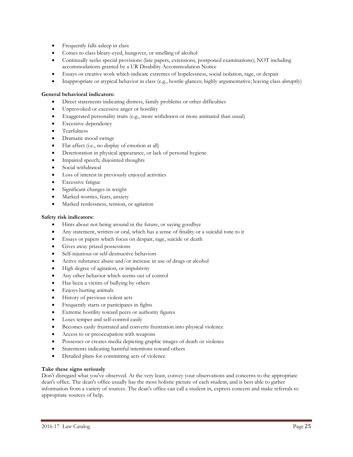- Frequently falls asleep in class
- Comes to class bleary-eyed, hungover, or smelling of alcohol
- Continually seeks special provisions (late papers, extensions, postponed examinations); NOT including accommodations granted by a UR Disability Accommodation Notice
- Essays or creative work which indicate extremes of hopelessness, social isolation, rage, or despair
- Inappropriate or atypical behavior in class (e.g., hostile glances; highly argumentative; leaving class abruptly)

# **General behavioral indicators:**

- Direct statements indicating distress, family problems or other difficulties
- Unprovoked or excessive anger or hostility
- Exaggerated personality traits (e.g., more withdrawn or more animated than usual)
- **Excessive dependency**
- Tearfulness
- Dramatic mood swings
- Flat affect (i.e., no display of emotion at all)
- Deterioration in physical appearance, or lack of personal hygiene
- Impaired speech; disjointed thoughts
- Social withdrawal
- Loss of interest in previously enjoyed activities
- Excessive fatigue
- Significant changes in weight
- Marked worries, fears, anxiety
- Marked restlessness, tension, or agitation

# **Safety risk indicators:**

- Hints about not being around in the future, or saying goodbye
- Any statement, written or oral, which has a sense of finality or a suicidal tone to it
- Essays or papers which focus on despair, rage, suicide or death
- Gives away prized possessions
- Self-injurious or self-destructive behaviors
- Active substance abuse and/or increase in use of drugs or alcohol
- High degree of agitation, or impulsivity
- Any other behavior which seems out of control
- Has been a victim of bullying by others
- Enjoys hurting animals
- History of previous violent acts
- Frequently starts or participates in fights
- Extreme hostility toward peers or authority figures
- Loses temper and self-control easily
- Becomes easily frustrated and converts frustration into physical violence
- Access to or preoccupation with weapons
- Possesses or creates media depicting graphic images of death or violence
- Statements indicating harmful intentions toward others
- Detailed plans for committing acts of violence

# **Take these signs seriously**

Don't disregard what you've observed. At the very least, convey your observations and concerns to the appropriate dean's office. The dean's office usually has the most holistic picture of each student, and is best able to gather information from a variety of sources. The dean's office can call a student in, express concern and make referrals to appropriate sources of help.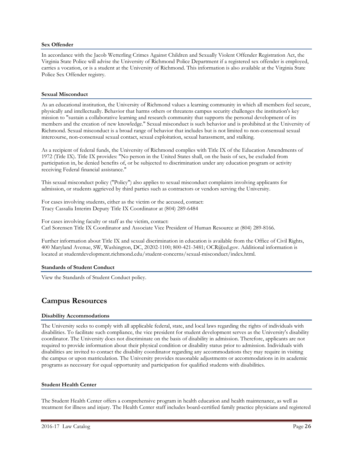#### **Sex Offender**

In accordance with the Jacob Wetterling Crimes Against Children and Sexually Violent Offender Registration Act, the Virginia State Police will advise the University of Richmond Police Department if a registered sex offender is employed, carries a vocation, or is a student at the University of Richmond. This information is also available at the Virginia State Police Sex Offender registry.

#### **Sexual Misconduct**

As an educational institution, the University of Richmond values a learning community in which all members feel secure, physically and intellectually. Behavior that harms others or threatens campus security challenges the institution's key mission to "sustain a collaborative learning and research community that supports the personal development of its members and the creation of new knowledge." Sexual misconduct is such behavior and is prohibited at the University of Richmond. Sexual misconduct is a broad range of behavior that includes but is not limited to non-consensual sexual intercourse, non-consensual sexual contact, sexual exploitation, sexual harassment, and stalking.

As a recipient of federal funds, the University of Richmond complies with Title IX of the Education Amendments of 1972 (Title IX). Title IX provides: "No person in the United States shall, on the basis of sex, be excluded from participation in, be denied benefits of, or be subjected to discrimination under any education program or activity receiving Federal financial assistance."

This sexual misconduct policy ("Policy") also applies to sexual misconduct complaints involving applicants for admission, or students aggrieved by third parties such as contractors or vendors serving the University.

For cases involving students, either as the victim or the accused, contact: Tracy Cassalia Interim Deputy Title IX Coordinator at (804) 289-6484

For cases involving faculty or staff as the victim, contact: Carl Sorensen Title IX Coordinator and Associate Vice President of Human Resource at (804) 289-8166.

Further information about Title IX and sexual discrimination in education is available from the Office of Civil Rights, 400 Maryland Avenue, SW, Washington, DC, 20202-1100; 800-421-3481; OCR@ed.gov. Additional information is located at studentdevelopment.richmond.edu/student-concerns/sexual-misconduct/index.html.

#### **Standards of Student Conduct**

View the Standards of Student Conduct policy.

# **Campus Resources**

# **Disability Accommodations**

The University seeks to comply with all applicable federal, state, and local laws regarding the rights of individuals with disabilities. To facilitate such compliance, the vice president for student development serves as the University's disability coordinator. The University does not discriminate on the basis of disability in admission. Therefore, applicants are not required to provide information about their physical condition or disability status prior to admission. Individuals with disabilities are invited to contact the disability coordinator regarding any accommodations they may require in visiting the campus or upon matriculation. The University provides reasonable adjustments or accommodations in its academic programs as necessary for equal opportunity and participation for qualified students with disabilities.

#### **Student Health Center**

The Student Health Center offers a comprehensive program in health education and health maintenance, as well as treatment for illness and injury. The Health Center staff includes board-certified family practice physicians and registered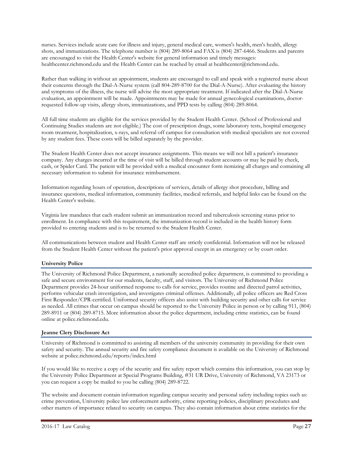nurses. Services include acute care for illness and injury, general medical care, women's health, men's health, allergy shots, and immunizations. The telephone number is (804) 289-8064 and FAX is (804) 287-6466. Students and parents are encouraged to visit the Health Center's website for general information and timely messages: healthcenter.richmond.edu and the Health Center can be reached by email at healthcenter@richmond.edu.

Rather than walking in without an appointment, students are encouraged to call and speak with a registered nurse about their concerns through the Dial-A-Nurse system (call 804-289-8700 for the Dial-A-Nurse). After evaluating the history and symptoms of the illness, the nurse will advise the most appropriate treatment. If indicated after the Dial-A-Nurse evaluation, an appointment will be made. Appointments may be made for annual gynecological examinations, doctorrequested follow-up visits, allergy shots, immunizations, and PPD tests by calling (804) 289-8064.

All full time students are eligible for the services provided by the Student Health Center. (School of Professional and Continuing Studies students are not eligible.) The cost of prescription drugs, some laboratory tests, hospital emergency room treatment, hospitalization, x-rays, and referral off campus for consultation with medical specialists are not covered by any student fees. These costs will be billed separately by the provider.

The Student Health Center does not accept insurance assignments. This means we will not bill a patient's insurance company. Any charges incurred at the time of visit will be billed through student accounts or may be paid by check, cash, or Spider Card. The patient will be provided with a medical encounter form itemizing all charges and containing all necessary information to submit for insurance reimbursement.

Information regarding hours of operation, descriptions of services, details of allergy shot procedure, billing and insurance questions, medical information, community facilities, medical referrals, and helpful links can be found on the Health Center's website.

Virginia law mandates that each student submit an immunization record and tuberculosis screening status prior to enrollment. In compliance with this requirement, the immunization record is included in the health history form provided to entering students and is to be returned to the Student Health Center.

All communications between student and Health Center staff are strictly confidential. Information will not be released from the Student Health Center without the patient's prior approval except in an emergency or by court order.

# **University Police**

The University of Richmond Police Department, a nationally accredited police department, is committed to providing a safe and secure environment for our students, faculty, staff, and visitors. The University of Richmond Police Department provides 24-hour uniformed response to calls for service, provides routine and directed patrol activities, performs vehicular crash investigation, and investigates criminal offenses. Additionally, all police officers are Red Cross First Responder/CPR-certified. Uniformed security officers also assist with building security and other calls for service as needed. All crimes that occur on campus should be reported to the University Police in person or by calling 911, (804) 289-8911 or (804) 289-8715. More information about the police department, including crime statistics, can be found online at police.richmond.edu.

# **Jeanne Clery Disclosure Act**

University of Richmond is committed to assisting all members of the university community in providing for their own safety and security. The annual security and fire safety compliance document is available on the University of Richmond website at police.richmond.edu/reports/index.html

If you would like to receive a copy of the security and fire safety report which contains this information, you can stop by the University Police Department at Special Programs Building, #31 UR Drive, University of Richmond, VA 23173 or you can request a copy be mailed to you be calling (804) 289-8722.

The website and document contain information regarding campus security and personal safety including topics such as: crime prevention, University police law enforcement authority, crime reporting policies, disciplinary procedures and other matters of importance related to security on campus. They also contain information about crime statistics for the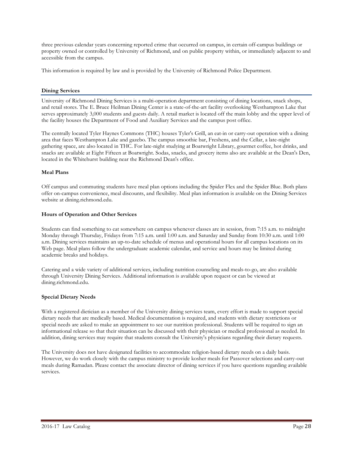three previous calendar years concerning reported crime that occurred on campus, in certain off-campus buildings or property owned or controlled by University of Richmond, and on public property within, or immediately adjacent to and accessible from the campus.

This information is required by law and is provided by the University of Richmond Police Department.

# **Dining Services**

University of Richmond Dining Services is a multi-operation department consisting of dining locations, snack shops, and retail stores. The E. Bruce Heilman Dining Center is a state-of-the-art facility overlooking Westhampton Lake that serves approximately 3,000 students and guests daily. A retail market is located off the main lobby and the upper level of the facility houses the Department of Food and Auxiliary Services and the campus post office.

The centrally located Tyler Haynes Commons (THC) houses Tyler's Grill, an eat-in or carry-out operation with a dining area that faces Westhampton Lake and gazebo. The campus smoothie bar, Freshens, and the Cellar, a late-night gathering space, are also located in THC. For late-night studying at Boatwright Library, gourmet coffee, hot drinks, and snacks are available at Eight Fifteen at Boatwright. Sodas, snacks, and grocery items also are available at the Dean's Den, located in the Whitehurst building near the Richmond Dean's office.

#### **Meal Plans**

Off campus and commuting students have meal plan options including the Spider Flex and the Spider Blue. Both plans offer on-campus convenience, meal discounts, and flexibility. Meal plan information is available on the Dining Services website at dining.richmond.edu.

#### **Hours of Operation and Other Services**

Students can find something to eat somewhere on campus whenever classes are in session, from 7:15 a.m. to midnight Monday through Thursday, Fridays from 7:15 a.m. until 1:00 a.m. and Saturday and Sunday from 10:30 a.m. until 1:00 a.m. Dining services maintains an up-to-date schedule of menus and operational hours for all campus locations on its Web page. Meal plans follow the undergraduate academic calendar, and service and hours may be limited during academic breaks and holidays.

Catering and a wide variety of additional services, including nutrition counseling and meals-to-go, are also available through University Dining Services. Additional information is available upon request or can be viewed at dining.richmond.edu.

# **Special Dietary Needs**

With a registered dietician as a member of the University dining services team, every effort is made to support special dietary needs that are medically based. Medical documentation is required, and students with dietary restrictions or special needs are asked to make an appointment to see our nutrition professional. Students will be required to sign an informational release so that their situation can be discussed with their physician or medical professional as needed. In addition, dining services may require that students consult the University's physicians regarding their dietary requests.

The University does not have designated facilities to accommodate religion-based dietary needs on a daily basis. However, we do work closely with the campus ministry to provide kosher meals for Passover selections and carry-out meals during Ramadan. Please contact the associate director of dining services if you have questions regarding available services.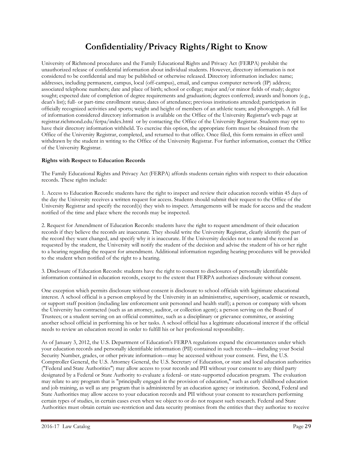# **Confidentiality/Privacy Rights/Right to Know**

University of Richmond procedures and the Family Educational Rights and Privacy Act (FERPA) prohibit the unauthorized release of confidential information about individual students. However, directory information is not considered to be confidential and may be published or otherwise released. Directory information includes: name; addresses, including permanent, campus, local (off-campus), email, and campus computer network (IP) address; associated telephone numbers; date and place of birth; school or college; major and/or minor fields of study; degree sought; expected date of completion of degree requirements and graduation; degrees conferred; awards and honors (e.g., dean's list); full- or part-time enrollment status; dates of attendance; previous institutions attended; participation in officially recognized activities and sports; weight and height of members of an athletic team; and photograph. A full list of information considered directory information is available on the Office of the University Registrar's web page at registrar.richmond.edu/ferpa/index.html or by contacting the Office of the University Registrar. Students may opt to have their directory information withheld. To exercise this option, the appropriate form must be obtained from the Office of the University Registrar, completed, and returned to that office. Once filed, this form remains in effect until withdrawn by the student in writing to the Office of the University Registrar. For further information, contact the Office of the University Registrar.

# **Rights with Respect to Education Records**

The Family Educational Rights and Privacy Act (FERPA) affords students certain rights with respect to their education records. These rights include:

1. Access to Education Records: students have the right to inspect and review their education records within 45 days of the day the University receives a written request for access. Students should submit their request to the Office of the University Registrar and specify the record(s) they wish to inspect. Arrangements will be made for access and the student notified of the time and place where the records may be inspected.

2. Request for Amendment of Education Records: students have the right to request amendment of their education records if they believe the records are inaccurate. They should write the University Registrar, clearly identify the part of the record they want changed, and specify why it is inaccurate. If the University decides not to amend the record as requested by the student, the University will notify the student of the decision and advise the student of his or her right to a hearing regarding the request for amendment. Additional information regarding hearing procedures will be provided to the student when notified of the right to a hearing.

3. Disclosure of Education Records: students have the right to consent to disclosures of personally identifiable information contained in education records, except to the extent that FERPA authorizes disclosure without consent.

One exception which permits disclosure without consent is disclosure to school officials with legitimate educational interest. A school official is a person employed by the University in an administrative, supervisory, academic or research, or support staff position (including law enforcement unit personnel and health staff); a person or company with whom the University has contracted (such as an attorney, auditor, or collection agent); a person serving on the Board of Trustees; or a student serving on an official committee, such as a disciplinary or grievance committee, or assisting another school official in performing his or her tasks. A school official has a legitimate educational interest if the official needs to review an education record in order to fulfill his or her professional responsibility.

As of January 3, 2012, the U.S. Department of Education's FERPA regulations expand the circumstances under which your education records and personally identifiable information (PII) contained in such records—including your Social Security Number, grades, or other private information—may be accessed without your consent. First, the U.S. Comptroller General, the U.S. Attorney General, the U.S. Secretary of Education, or state and local education authorities ("Federal and State Authorities") may allow access to your records and PII without your consent to any third party designated by a Federal or State Authority to evaluate a federal- or state-supported education program. The evaluation may relate to any program that is "principally engaged in the provision of education," such as early childhood education and job training, as well as any program that is administered by an education agency or institution. Second, Federal and State Authorities may allow access to your education records and PII without your consent to researchers performing certain types of studies, in certain cases even when we object to or do not request such research. Federal and State Authorities must obtain certain use-restriction and data security promises from the entities that they authorize to receive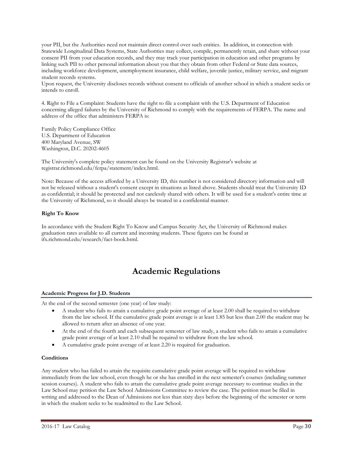your PII, but the Authorities need not maintain direct control over such entities. In addition, in connection with Statewide Longitudinal Data Systems, State Authorities may collect, compile, permanently retain, and share without your consent PII from your education records, and they may track your participation in education and other programs by linking such PII to other personal information about you that they obtain from other Federal or State data sources, including workforce development, unemployment insurance, child welfare, juvenile justice, military service, and migrant student records systems.

Upon request, the University discloses records without consent to officials of another school in which a student seeks or intends to enroll.

4. Right to File a Complaint: Students have the right to file a complaint with the U.S. Department of Education concerning alleged failures by the University of Richmond to comply with the requirements of FERPA. The name and address of the office that administers FERPA is:

Family Policy Compliance Office U.S. Department of Education 400 Maryland Avenue, SW Washington, D.C. 20202-4605

The University's complete policy statement can be found on the University Registrar's website at registrar.richmond.edu/ferpa/statement/index.html.

Note: Because of the access afforded by a University ID, this number is not considered directory information and will not be released without a student's consent except in situations as listed above. Students should treat the University ID as confidential; it should be protected and not carelessly shared with others. It will be used for a student's entire time at the University of Richmond, so it should always be treated in a confidential manner.

# **Right To Know**

In accordance with the Student Right To Know and Campus Security Act, the University of Richmond makes graduation rates available to all current and incoming students. These figures can be found at ifx.richmond.edu/research/fact-book.html.

# **Academic Regulations**

# **Academic Progress for J.D. Students**

At the end of the second semester (one year) of law study:

- A student who fails to attain a cumulative grade point average of at least 2.00 shall be required to withdraw from the law school. If the cumulative grade point average is at least 1.85 but less than 2.00 the student may be allowed to return after an absence of one year.
- At the end of the fourth and each subsequent semester of law study, a student who fails to attain a cumulative grade point average of at least 2.10 shall be required to withdraw from the law school.
- A cumulative grade point average of at least 2.20 is required for graduation.

#### **Conditions**

Any student who has failed to attain the requisite cumulative grade point average will be required to withdraw immediately from the law school, even though he or she has enrolled in the next semester's courses (including summer session courses). A student who fails to attain the cumulative grade point average necessary to continue studies in the Law School may petition the Law School Admissions Committee to review the case. The petition must be filed in writing and addressed to the Dean of Admissions not less than sixty days before the beginning of the semester or term in which the student seeks to be readmitted to the Law School.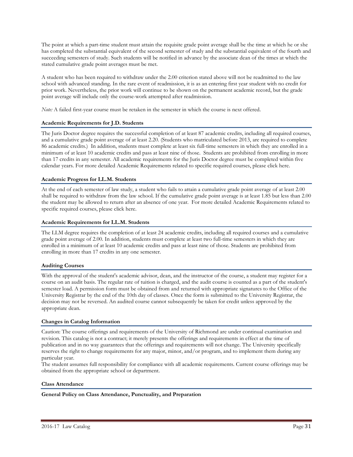The point at which a part-time student must attain the requisite grade point average shall be the time at which he or she has completed the substantial equivalent of the second semester of study and the substantial equivalent of the fourth and succeeding semesters of study. Such students will be notified in advance by the associate dean of the times at which the stated cumulative grade point averages must be met.

A student who has been required to withdraw under the 2.00 criterion stated above will not be readmitted to the law school with advanced standing. In the rare event of readmission, it is as an entering first year student with no credit for prior work. Nevertheless, the prior work will continue to be shown on the permanent academic record, but the grade point average will include only the course-work attempted after readmission.

*Note:* A failed first-year course must be retaken in the semester in which the course is next offered.

#### **Academic Requirements for J.D. Students**

The Juris Doctor degree requires the successful completion of at least 87 academic credits, including all required courses, and a cumulative grade point average of at least 2.20. (Students who matriculated before 2013, are required to complete 86 academic credits.) In addition, students must complete at least six full-time semesters in which they are enrolled in a minimum of at least 10 academic credits and pass at least nine of those. Students are prohibited from enrolling in more than 17 credits in any semester. All academic requirements for the Juris Doctor degree must be completed within five calendar years. For more detailed Academic Requirements related to specific required courses, please click here.

#### **Academic Progress for LL.M. Students**

At the end of each semester of law study, a student who fails to attain a cumulative grade point average of at least 2.00 shall be required to withdraw from the law school. If the cumulative grade point average is at least 1.85 but less than 2.00 the student may be allowed to return after an absence of one year. For more detailed Academic Requirements related to specific required courses, please click here.

#### **Academic Requirements for LL.M. Students**

The LLM degree requires the completion of at least 24 academic credits, including all required courses and a cumulative grade point average of 2.00. In addition, students must complete at least two full-time semesters in which they are enrolled in a minimum of at least 10 academic credits and pass at least nine of those. Students are prohibited from enrolling in more than 17 credits in any one semester.

#### **Auditing Courses**

With the approval of the student's academic advisor, dean, and the instructor of the course, a student may register for a course on an audit basis. The regular rate of tuition is charged, and the audit course is counted as a part of the student's semester load. A permission form must be obtained from and returned with appropriate signatures to the Office of the University Registrar by the end of the 10th day of classes. Once the form is submitted to the University Registrar, the decision may not be reversed. An audited course cannot subsequently be taken for credit unless approved by the appropriate dean.

#### **Changes in Catalog Information**

Caution: The course offerings and requirements of the University of Richmond are under continual examination and revision. This catalog is not a contract; it merely presents the offerings and requirements in effect at the time of publication and in no way guarantees that the offerings and requirements will not change. The University specifically reserves the right to change requirements for any major, minor, and/or program, and to implement them during any particular year.

The student assumes full responsibility for compliance with all academic requirements. Current course offerings may be obtained from the appropriate school or department.

#### **Class Attendance**

**General Policy on Class Attendance, Punctuality, and Preparation**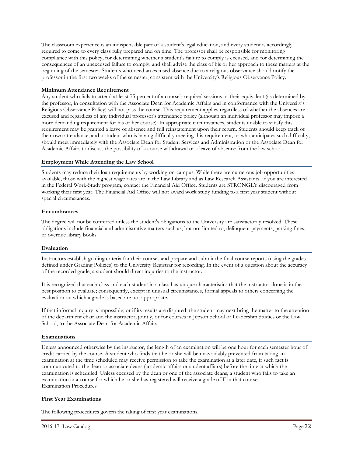The classroom experience is an indispensable part of a student's legal education, and every student is accordingly required to come to every class fully prepared and on time. The professor shall be responsible for monitoring compliance with this policy, for determining whether a student's failure to comply is excused, and for determining the consequences of an unexcused failure to comply, and shall advise the class of his or her approach to these matters at the beginning of the semester. Students who need an excused absence due to a religious observance should notify the professor in the first two weeks of the semester, consistent with the University's Religious Observance Policy.

#### **Minimum Attendance Requirement**

Any student who fails to attend at least 75 percent of a course's required sessions or their equivalent (as determined by the professor, in consultation with the Associate Dean for Academic Affairs and in conformance with the University's Religious Observance Policy) will not pass the course. This requirement applies regardless of whether the absences are excused and regardless of any individual professor's attendance policy (although an individual professor may impose a more demanding requirement for his or her course). In appropriate circumstances, students unable to satisfy this requirement may be granted a leave of absence and full reinstatement upon their return. Students should keep track of their own attendance, and a student who is having difficulty meeting this requirement, or who anticipates such difficulty, should meet immediately with the Associate Dean for Student Services and Administration or the Associate Dean for Academic Affairs to discuss the possibility of a course withdrawal or a leave of absence from the law school.

#### **Employment While Attending the Law School**

Students may reduce their loan requirements by working on-campus. While there are numerous job opportunities available, those with the highest wage rates are in the Law Library and as Law Research Assistants. If you are interested in the Federal Work-Study program, contact the Financial Aid Office. Students are STRONGLY discouraged from working their first year. The Financial Aid Office will not award work study funding to a first year student without special circumstances.

#### **Encumbrances**

The degree will not be conferred unless the student's obligations to the University are satisfactorily resolved. These obligations include financial and administrative matters such as, but not limited to, delinquent payments, parking fines, or overdue library books

# **Evaluation**

Instructors establish grading criteria for their courses and prepare and submit the final course reports (using the grades defined under Grading Policies) to the University Registrar for recording. In the event of a question about the accuracy of the recorded grade, a student should direct inquiries to the instructor.

It is recognized that each class and each student in a class has unique characteristics that the instructor alone is in the best position to evaluate; consequently, except in unusual circumstances, formal appeals to others concerning the evaluation on which a grade is based are not appropriate.

If that informal inquiry is impossible, or if its results are disputed, the student may next bring the matter to the attention of the department chair and the instructor, jointly, or for courses in Jepson School of Leadership Studies or the Law School, to the Associate Dean for Academic Affairs.

# **Examinations**

Unless announced otherwise by the instructor, the length of an examination will be one hour for each semester hour of credit carried by the course. A student who finds that he or she will be unavoidably prevented from taking an examination at the time scheduled may receive permission to take the examination at a later date, if such fact is communicated to the dean or associate deans (academic affairs or student affairs) before the time at which the examination is scheduled. Unless excused by the dean or one of the associate deans, a student who fails to take an examination in a course for which he or she has registered will receive a grade of F in that course. Examination Procedures

# **First Year Examinations**

The following procedures govern the taking of first year examinations.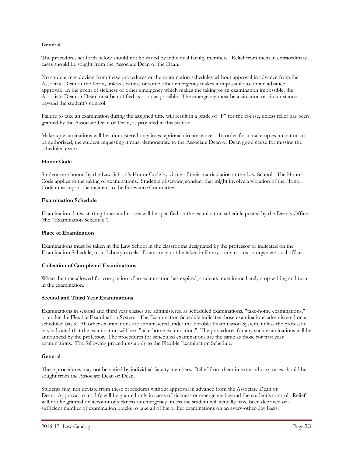# **General**

The procedures set forth below should not be varied by individual faculty members. Relief from them in extraordinary cases should be sought from the Associate Dean or the Dean.

No student may deviate from these procedures or the examination schedules without approval in advance from the Associate Dean or the Dean, unless sickness or some other emergency makes it impossible to obtain advance approval. In the event of sickness or other emergency which makes the taking of an examination impossible, the Associate Dean or Dean must be notified as soon as possible. The emergency must be a situation or circumstance beyond the student's control.

Failure to take an examination during the assigned time will result in a grade of "F" for the course, unless relief has been granted by the Associate Dean or Dean, as provided in this section.

Make-up examinations will be administered only in exceptional circumstances. In order for a make-up examination to be authorized, the student requesting it must demonstrate to the Associate Dean or Dean good cause for missing the scheduled exam.

#### **Honor Code**

Students are bound by the Law School's Honor Code by virtue of their matriculation at the Law School. The Honor Code applies to the taking of examinations. Students observing conduct that might involve a violation of the Honor Code must report the incident to the Grievance Committee.

#### **Examination Schedule**

Examination dates, starting times and rooms will be specified on the examination schedule posted by the Dean's Office (the "Examination Schedule").

#### **Place of Examination**

Examinations must be taken in the Law School in the classrooms designated by the professor or indicated on the Examination Schedule, or in Library carrels. Exams may not be taken in library study rooms or organizational offices.

#### **Collection of Completed Examinations**

When the time allowed for completion of an examination has expired, students must immediately stop writing and turn in the examination.

#### **Second and Third Year Examinations**

Examinations in second and third year classes are administered as scheduled examinations, "take-home examinations," or under the Flexible Examination System. The Examination Schedule indicates those examinations administered on a scheduled basis. All other examinations are administered under the Flexible Examination System, unless the professor has indicated that the examination will be a "take-home examination." The procedures for any such examinations will be announced by the professor. The procedures for scheduled examinations are the same as those for first year examinations. The following procedures apply to the Flexible Examination Schedule:

#### **General**

These procedures may not be varied by individual faculty members. Relief from them in extraordinary cases should be sought from the Associate Dean or Dean.

Students may not deviate from these procedures without approval in advance from the Associate Dean or Dean. Approval to modify will be granted only in cases of sickness or emergency beyond the student's control. Relief will not be granted on account of sickness or emergency unless the student will actually have been deprived of a sufficient number of examination blocks to take all of his or her examinations on an every-other-day basis.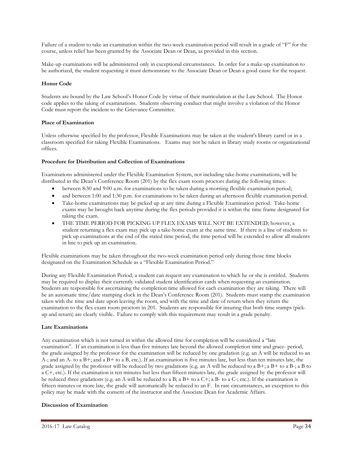Failure of a student to take an examination within the two-week examination period will result in a grade of "F" for the course, unless relief has been granted by the Associate Dean or Dean, as provided in this section.

Make-up examinations will be administered only in exceptional circumstances. In order for a make-up examination to be authorized, the student requesting it must demonstrate to the Associate Dean or Dean a good cause for the request.

#### **Honor Code**

Students are bound by the Law School's Honor Code by virtue of their matriculation at the Law School. The Honor code applies to the taking of examinations. Students observing conduct that might involve a violation of the Honor Code must report the incident to the Grievance Committee.

#### **Place of Examination**

Unless otherwise specified by the professor, Flexible Examinations may be taken at the student's library carrel or in a classroom specified for taking Flexible Examinations. Exams may not be taken in library study rooms or organizational offices.

#### **Procedure for Distribution and Collection of Examinations**

Examinations administered under the Flexible Examination System, not including take-home examinations, will be distributed in the Dean's Conference Room (201) by the flex exam room proctors during the following times:

- between 8:30 and 9:00 a.m. for examinations to be taken during a morning flexible examination period;
- and between 1:00 and 1:30 p.m. for examinations to be taken during an afternoon flexible examination period.
- Take-home examinations may be picked up at any time during a Flexible Examination period. Take-home exams may be brought back anytime during the flex periods provided it is within the time frame designated for taking the exam.
- THE TIME PERIOD FOR PICKING UP FLEX EXAMS WILL NOT BE EXTENDED; however, a student returning a flex exam may pick up a take-home exam at the same time. If there is a line of students to pick up examinations at the end of the stated time period, the time period will be extended to allow all students in line to pick up an examination.

Flexible examinations may be taken throughout the two-week examination period only during those time blocks designated on the Examination Schedule as a "Flexible Examination Period."

During any Flexible Examination Period, a student can request any examination to which he or she is entitled. Students may be required to display their currently validated student identification cards when requesting an examination. Students are responsible for ascertaining the completion time allowed for each examination they are taking. There will be an automatic time/date stamping clock in the Dean's Conference Room (201). Students must stamp the examination taken with the time and date upon leaving the room, and with the time and date of return when they return the examination to the flex exam room proctors in 201. Students are responsible for insuring that both time stamps (pickup and return) are clearly visible. Failure to comply with this requirement may result in a grade penalty.

#### **Late Examinations**

Any examination which is not turned in within the allowed time for completion will be considered a "late examination". If an examination is less than five minutes late beyond the allowed completion time and grace- period, the grade assigned by the professor for the examination will be reduced by one gradation (e.g. an A will be reduced to an A-; and an A- to a B+; and a B+ to a B, etc.). If an examination is five minutes late, but less than ten minutes late, the grade assigned by the professor will be reduced by two gradations (e.g. an A will be reduced to a  $B+$ ; a  $B+$  to a  $B-$ ; a  $B$  to a C+, etc.). If the examination is ten minutes but less than fifteen minutes late, the grade assigned by the professor will be reduced three gradations (e.g. an A will be reduced to a B; a B+ to a C+; a B- to a C-; etc.). If the examination is fifteen minutes or more late, the grade will automatically be reduced to an F. In rare circumstances, an exception to this policy may be made with the consent of the instructor and the Associate Dean for Academic Affairs.

# **Discussion of Examination**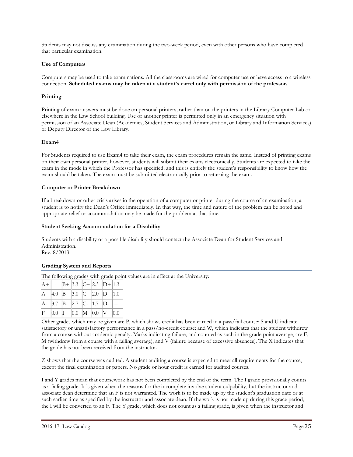Students may not discuss any examination during the two-week period, even with other persons who have completed that particular examination.

# **Use of Computers**

Computers may be used to take examinations. All the classrooms are wired for computer use or have access to a wireless connection. **Scheduled exams may be taken at a student's carrel only with permission of the professor.**

# **Printing**

Printing of exam answers must be done on personal printers, rather than on the printers in the Library Computer Lab or elsewhere in the Law School building. Use of another printer is permitted only in an emergency situation with permission of an Associate Dean (Academics, Student Services and Administration, or Library and Information Services) or Deputy Director of the Law Library.

# **Exam4**

For Students required to use Exam4 to take their exam, the exam procedures remain the same. Instead of printing exams on their own personal printer, however, students will submit their exams electronically. Students are expected to take the exam in the mode in which the Professor has specified, and this is entirely the student's responsibility to know how the exam should be taken. The exam must be submitted electronically prior to returning the exam.

# **Computer or Printer Breakdown**

If a breakdown or other crisis arises in the operation of a computer or printer during the course of an examination, a student is to notify the Dean's Office immediately. In that way, the time and nature of the problem can be noted and appropriate relief or accommodation may be made for the problem at that time.

# **Student Seeking Accommodation for a Disability**

Students with a disability or a possible disability should contact the Associate Dean for Student Services and Administration.

Rev. 8/2013

# **Grading System and Reports**

The following grades with grade point values are in effect at the University:

|  |  | $ A+  =  B+ 3.3 C+ 2.3 D+ 1.3 $ |  |
|--|--|---------------------------------|--|
|  |  | A 4.0 B 3.0 C 2.0 D 1.0         |  |
|  |  | A- 3.7 B- 2.7 C- 1.7 D-         |  |
|  |  | $F$ 0.0 1 0.0 M 0.0 V 0.0       |  |

Other grades which may be given are P, which shows credit has been earned in a pass/fail course; S and U indicate satisfactory or unsatisfactory performance in a pass/no-credit course; and W, which indicates that the student withdrew from a course without academic penalty. Marks indicating failure, and counted as such in the grade point average, are F, M (withdrew from a course with a failing average), and V (failure because of excessive absences). The X indicates that the grade has not been received from the instructor.

Z shows that the course was audited. A student auditing a course is expected to meet all requirements for the course, except the final examination or papers. No grade or hour credit is earned for audited courses.

I and Y grades mean that coursework has not been completed by the end of the term. The I grade provisionally counts as a failing grade. It is given when the reasons for the incomplete involve student culpability, but the instructor and associate dean determine that an F is not warranted. The work is to be made up by the student's graduation date or at such earlier time as specified by the instructor and associate dean. If the work is not made up during this grace period, the I will be converted to an F. The Y grade, which does not count as a failing grade, is given when the instructor and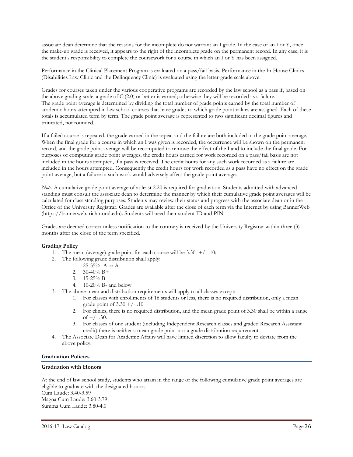associate dean determine that the reasons for the incomplete do not warrant an I grade. In the case of an I or Y, once the make-up grade is received, it appears to the right of the incomplete grade on the permanent record. In any case, it is the student's responsibility to complete the coursework for a course in which an I or Y has been assigned.

Performance in the Clinical Placement Program is evaluated on a pass/fail basis. Performance in the In-House Clinics (Disabilities Law Clinic and the Delinquency Clinic) is evaluated using the letter-grade scale above.

Grades for courses taken under the various cooperative programs are recorded by the law school as a pass if, based on the above grading scale, a grade of C (2.0) or better is earned; otherwise they will be recorded as a failure. The grade point average is determined by dividing the total number of grade points earned by the total number of academic hours attempted in law school courses that have grades to which grade point values are assigned. Each of these totals is accumulated term by term. The grade point average is represented to two significant decimal figures and truncated, not rounded.

If a failed course is repeated, the grade earned in the repeat and the failure are both included in the grade point average. When the final grade for a course in which an I was given is recorded, the occurrence will be shown on the permanent record, and the grade point average will be recomputed to remove the effect of the I and to include the final grade. For purposes of computing grade point averages, the credit hours earned for work recorded on a pass/fail basis are not included in the hours attempted, if a pass is received. The credit hours for any such work recorded as a failure are included in the hours attempted. Consequently the credit hours for work recorded as a pass have no effect on the grade point average, but a failure in such work would adversely affect the grade point average.

*Note:* A cumulative grade point average of at least 2.20 is required for graduation. Students admitted with advanced standing must consult the associate dean to determine the manner by which their cumulative grade point averages will be calculated for class standing purposes. Students may review their status and progress with the associate dean or in the Office of the University Registrar. Grades are available after the close of each term via the Internet by using BannerWeb (https://bannerweb. richmond.edu). Students will need their student ID and PIN.

Grades are deemed correct unless notification to the contrary is received by the University Registrar within three (3) months after the close of the term specified.

# **Grading Policy**

- 1. The mean (average) grade point for each course will be  $3.30 + (-10)$ ;
- 2. The following grade distribution shall apply:
	- 1. 25-35% A or A-
	- 2.  $30-40\% \text{ B+}$
	- 3. 15-25% B
	- 4. 10-20% B- and below
- 3. The above mean and distribution requirements will apply to all classes except:
	- 1. For classes with enrollments of 16 students or less, there is no required distribution, only a mean grade point of  $3.30 + (-1.10)$
	- 2. For clinics, there is no required distribution, and the mean grade point of 3.30 shall be within a range of  $+/- .30$ .
	- 3. For classes of one student (including Independent Research classes and graded Research Assistant credit) there is neither a mean grade point nor a grade distribution requirement.
- 4. The Associate Dean for Academic Affairs will have limited discretion to allow faculty to deviate from the above policy.

#### **Graduation Policies**

#### **Graduation with Honors**

At the end of law school study, students who attain in the range of the following cumulative grade point averages are eligible to graduate with the designated honors: Cum Laude: 3.40-3.59 Magna Cum Laude: 3.60-3.79 Summa Cum Laude: 3.80-4.0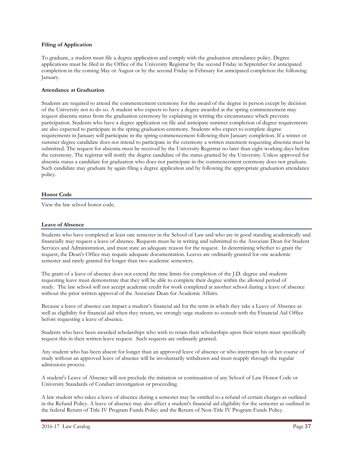## **Filing of Application**

To graduate, a student must file a degree application and comply with the graduation attendance policy. Degree applications must be filed in the Office of the University Registrar by the second Friday in September for anticipated completion in the coming May or August or by the second Friday in February for anticipated completion the following January.

## **Attendance at Graduation**

Students are required to attend the commencement ceremony for the award of the degree in person except by decision of the University not to do so. A student who expects to have a degree awarded at the spring commencement may request absentia status from the graduation ceremony by explaining in writing the circumstance which prevents participation. Students who have a degree application on file and anticipate summer completion of degree requirements are also expected to participate in the spring graduation ceremony. Students who expect to complete degree requirements in January will participate in the spring commencement following their January completion. If a winter or summer degree candidate does not intend to participate in the ceremony a written statement requesting absentia must be submitted. The request for absentia must be received by the University Registrar no later than eight working days before the ceremony. The registrar will notify the degree candidate of the status granted by the University. Unless approved for absentia status a candidate for graduation who does not participate in the commencement ceremony does not graduate. Such candidate may graduate by again filing a degree application and by following the appropriate graduation attendance policy.

## **Honor Code**

View the law school honor code.

## **Leave of Absence**

Students who have completed at least one semester in the School of Law and who are in good standing academically and financially may request a leave of absence. Requests must be in writing and submitted to the Associate Dean for Student Services and Administration, and must state an adequate reason for the request. In determining whether to grant the request, the Dean's Office may require adequate documentation. Leaves are ordinarily granted for one academic semester and rarely granted for longer than two academic semesters.

The grant of a leave of absence does not extend the time limits for completion of the J.D. degree and students requesting leave must demonstrate that they will be able to complete their degree within the allowed period of study. The law school will not accept academic credit for work completed at another school during a leave of absence without the prior written approval of the Associate Dean for Academic Affairs.

Because a leave of absence can impact a student's financial aid for the term in which they take a Leave of Absence as well as eligibility for financial aid when they return, we strongly urge students to consult with the Financial Aid Office before requesting a leave of absence.

Students who have been awarded scholarships who wish to retain their scholarships upon their return must specifically request this in their written leave request. Such requests are ordinarily granted.

Any student who has been absent for longer than an approved leave of absence or who interrupts his or her course of study without an approved leave of absence will be involuntarily withdrawn and must reapply through the regular admissions process.

A student's Leave of Absence will not preclude the initiation or continuation of any School of Law Honor Code or University Standards of Conduct investigation or proceeding.

A law student who takes a leave of absence during a semester may be entitled to a refund of certain charges as outlined in the Refund Policy. A leave of absence may also affect a student's financial aid eligibility for the semester as outlined in the federal Return of Title IV Program Funds Policy and the Return of Non-Title IV Program Funds Policy.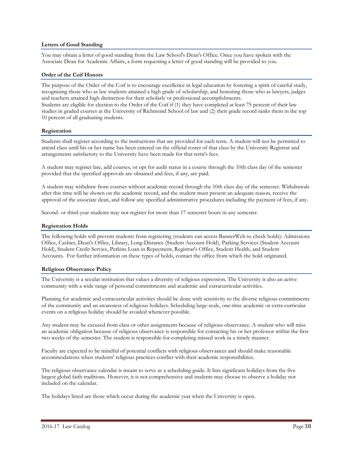## **Letters of Good Standing**

You may obtain a letter of good standing from the Law School's Dean's Office. Once you have spoken with the Associate Dean for Academic Affairs, a form requesting a letter of good standing will be provided to you.

#### **Order of the Coif Honors**

The purpose of the Order of the Coif is to encourage excellence in legal education by fostering a spirit of careful study, recognizing those who as law students attained a high grade of scholarship, and honoring those who as lawyers, judges and teachers attained high distinction for their scholarly or professional accomplishments. Students are eligible for election to the Order of the Coif if (1) they have completed at least 75 percent of their law studies in graded courses at the University of Richmond School of law and (2) their grade record ranks them in the top 10 percent of all graduating students.

#### **Registration**

Students shall register according to the instructions that are provided for each term. A student will not be permitted to attend class until his or her name has been entered on the official roster of that class by the University Registrar and arrangements satisfactory to the University have been made for that term's fees.

A student may register late, add courses, or opt for audit status in a course through the 10th class day of the semester provided that the specified approvals are obtained and fees, if any, are paid.

A student may withdraw from courses without academic record through the 10th class day of the semester. Withdrawals after this time will be shown on the academic record, and the student must present an adequate reason, receive the approval of the associate dean, and follow any specified administrative procedures including the payment of fees, if any.

Second- or third-year students may not register for more than 17 semester hours in any semester.

## **Registration Holds**

The following holds will prevent students from registering (students can access BannerWeb to check holds): Admissions Office, Cashier, Dean's Office, Library, Long-Distance (Student Account Hold), Parking Services (Student Account Hold), Student Credit Service, Perkins Loan in Repayment, Registrar's Office, Student Health, and Student Accounts. For further information on these types of holds, contact the office from which the hold originated.

#### **Religious Observance Policy**

The University is a secular institution that values a diversity of religious expression. The University is also an active community with a wide range of personal commitments and academic and extracurricular activities.

Planning for academic and extracurricular activities should be done with sensitivity to the diverse religious commitments of the community and an awareness of religious holidays. Scheduling large-scale, one-time academic or extra-curricular events on a religious holiday should be avoided whenever possible.

Any student may be excused from class or other assignments because of religious observance. A student who will miss an academic obligation because of religious observance is responsible for contacting his or her professor within the first two weeks of the semester. The student is responsible for completing missed work in a timely manner.

Faculty are expected to be mindful of potential conflicts with religious observances and should make reasonable accommodations when students' religious practices conflict with their academic responsibilities.

The religious observance calendar is meant to serve as a scheduling guide. It lists significant holidays from the five largest global faith traditions. However, it is not comprehensive and students may choose to observe a holiday not included on the calendar.

The holidays listed are those which occur during the academic year when the University is open.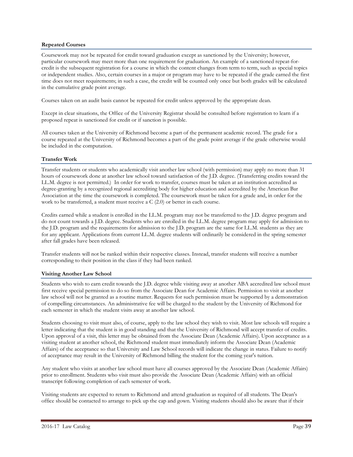## **Repeated Courses**

Coursework may not be repeated for credit toward graduation except as sanctioned by the University; however, particular coursework may meet more than one requirement for graduation. An example of a sanctioned repeat-forcredit is the subsequent registration for a course in which the content changes from term to term, such as special topics or independent studies. Also, certain courses in a major or program may have to be repeated if the grade earned the first time does not meet requirements; in such a case, the credit will be counted only once but both grades will be calculated in the cumulative grade point average.

Courses taken on an audit basis cannot be repeated for credit unless approved by the appropriate dean.

Except in clear situations, the Office of the University Registrar should be consulted before registration to learn if a proposed repeat is sanctioned for credit or if sanction is possible.

All courses taken at the University of Richmond become a part of the permanent academic record. The grade for a course repeated at the University of Richmond becomes a part of the grade point average if the grade otherwise would be included in the computation.

## **Transfer Work**

Transfer students or students who academically visit another law school (with permission) may apply no more than 31 hours of coursework done at another law school toward satisfaction of the J.D. degree. (Transferring credits toward the LL.M. degree is not permitted.) In order for work to transfer, courses must be taken at an institution accredited as degree-granting by a recognized regional accrediting body for higher education and accredited by the American Bar Association at the time the coursework is completed. The coursework must be taken for a grade and, in order for the work to be transferred, a student must receive a C (2.0) or better in each course.

Credits earned while a student is enrolled in the LL.M. program may not be transferred to the J.D. degree program and do not count towards a J.D. degree. Students who are enrolled in the LL.M. degree program may apply for admission to the J.D. program and the requirements for admission to the J.D. program are the same for LL.M. students as they are for any applicant. Applications from current LL.M. degree students will ordinarily be considered in the spring semester after fall grades have been released.

Transfer students will not be ranked within their respective classes. Instead, transfer students will receive a number corresponding to their position in the class if they had been ranked.

#### **Visiting Another Law School**

Students who wish to earn credit towards the J.D. degree while visiting away at another ABA accredited law school must first receive special permission to do so from the Associate Dean for Academic Affairs. Permission to visit at another law school will not be granted as a routine matter. Requests for such permission must be supported by a demonstration of compelling circumstances. An administrative fee will be charged to the student by the University of Richmond for each semester in which the student visits away at another law school.

Students choosing to visit must also, of course, apply to the law school they wish to visit. Most law schools will require a letter indicating that the student is in good standing and that the University of Richmond will accept transfer of credits. Upon approval of a visit, this letter may be obtained from the Associate Dean (Academic Affairs). Upon acceptance as a visiting student at another school, the Richmond student must immediately inform the Associate Dean (Academic Affairs) of the acceptance so that University and Law School records will indicate the change in status. Failure to notify of acceptance may result in the University of Richmond billing the student for the coming year's tuition.

Any student who visits at another law school must have all courses approved by the Associate Dean (Academic Affairs) prior to enrollment. Students who visit must also provide the Associate Dean (Academic Affairs) with an official transcript following completion of each semester of work.

Visiting students are expected to return to Richmond and attend graduation as required of all students. The Dean's office should be contacted to arrange to pick up the cap and gown. Visiting students should also be aware that if their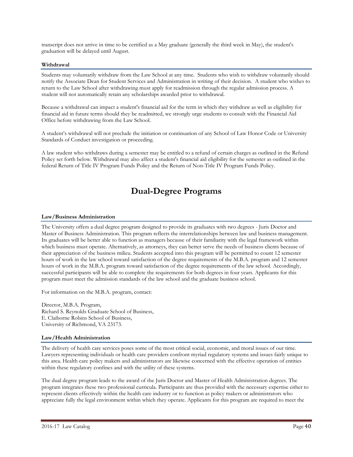transcript does not arrive in time to be certified as a May graduate (generally the third week in May), the student's graduation will be delayed until August.

#### **Withdrawal**

Students may voluntarily withdraw from the Law School at any time. Students who wish to withdraw voluntarily should notify the Associate Dean for Student Services and Administration in writing of their decision. A student who wishes to return to the Law School after withdrawing must apply for readmission through the regular admission process. A student will not automatically retain any scholarships awarded prior to withdrawal.

Because a withdrawal can impact a student's financial aid for the term in which they withdraw as well as eligibility for financial aid in future terms should they be readmitted, we strongly urge students to consult with the Financial Aid Office before withdrawing from the Law School.

A student's withdrawal will not preclude the initiation or continuation of any School of Law Honor Code or University Standards of Conduct investigation or proceeding.

A law student who withdraws during a semester may be entitled to a refund of certain charges as outlined in the Refund Policy set forth below. Withdrawal may also affect a student's financial aid eligibility for the semester as outlined in the federal Return of Title IV Program Funds Policy and the Return of Non-Title IV Program Funds Policy.

# **Dual-Degree Programs**

#### **Law/Business Administration**

The University offers a dual degree program designed to provide its graduates with two degrees - Juris Doctor and Master of Business Administration. This program reflects the interrelationships between law and business management. Its graduates will be better able to function as managers because of their familiarity with the legal framework within which business must operate. Alternatively, as attorneys, they can better serve the needs of business clients because of their appreciation of the business milieu. Students accepted into this program will be permitted to count 12 semester hours of work in the law school toward satisfaction of the degree requirements of the M.B.A. program and 12 semester hours of work in the M.B.A. program toward satisfaction of the degree requirements of the law school. Accordingly, successful participants will be able to complete the requirements for both degrees in four years. Applicants for this program must meet the admission standards of the law school and the graduate business school.

For information on the M.B.A. program, contact:

Director, M.B.A. Program, Richard S. Reynolds Graduate School of Business, E. Claiborne Robins School of Business, University of Richmond, VA 23173.

#### **Law/Health Administration**

The delivery of health care services poses some of the most critical social, economic, and moral issues of our time. Lawyers representing individuals or health care providers confront myriad regulatory systems and issues fairly unique to this area. Health care policy makers and administrators are likewise concerned with the effective operation of entities within these regulatory confines and with the utility of these systems.

The dual degree program leads to the award of the Juris Doctor and Master of Health Administration degrees. The program integrates these two professional curricula. Participants are thus provided with the necessary expertise either to represent clients effectively within the health care industry or to function as policy makers or administrators who appreciate fully the legal environment within which they operate. Applicants for this program are required to meet the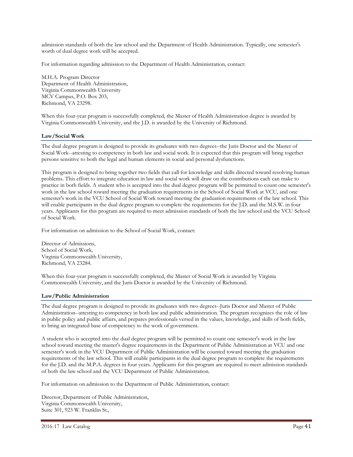admission standards of both the law school and the Department of Health Administration. Typically, one semester's worth of dual degree work will be accepted.

For information regarding admission to the Department of Health Administration, contact:

M.H.A. Program Director Department of Health Administration, Virginia Commonwealth University MCV Campus, P.O. Box 203, Richmond, VA 23298.

When this four-year program is successfully completed, the Master of Health Administration degree is awarded by Virginia Commonwealth University, and the J.D. is awarded by the University of Richmond.

## **Law/Social Work**

The dual degree program is designed to provide its graduates with two degrees--the Juris Doctor and the Master of Social Work--attesting to competency in both law and social work. It is expected that this program will bring together persons sensitive to both the legal and human elements in social and personal dysfunctions.

This program is designed to bring together two fields that call for knowledge and skills directed toward resolving human problems. This effort to integrate education in law and social work will draw on the contributions each can make to practice in both fields. A student who is accepted into the dual degree program will be permitted to count one semester's work in the law school toward meeting the graduation requirements in the School of Social Work at VCU, and one semester's work in the VCU School of Social Work toward meeting the graduation requirements of the law school. This will enable participants in the dual degree program to complete the requirements for the J.D. and the M.S.W. in four years. Applicants for this program are required to meet admission standards of both the law school and the VCU School of Social Work.

For information on admission to the School of Social Work, contact:

Director of Admissions, School of Social Work, Virginia Commonwealth University, Richmond, VA 23284.

When this four-year program is successfully completed, the Master of Social Work is awarded by Virginia Commonwealth University, and the Juris Doctor is awarded by the University of Richmond.

#### **Law/Public Administration**

The dual degree program is designed to provide its graduates with two degrees--Juris Doctor and Master of Public Administration--attesting to competency in both law and public administration. The program recognizes the role of law in public policy and public affairs, and prepares professionals versed in the values, knowledge, and skills of both fields, to bring an integrated base of competency to the work of government.

A student who is accepted into the dual degree program will be permitted to count one semester's work in the law school toward meeting the master's degree requirements in the Department of Public Administration at VCU and one semester's work in the VCU Department of Public Administration will be counted toward meeting the graduation requirements of the law school. This will enable participants in the dual degree program to complete the requirements for the J.D. and the M.P.A. degrees in four years. Applicants for this program are required to meet admission standards of both the law school and the VCU Department of Public Administration.

For information on admission to the Department of Public Administration, contact:

Director, Department of Public Administration, Virginia Commonwealth University, Suite 301, 923 W. Franklin St.,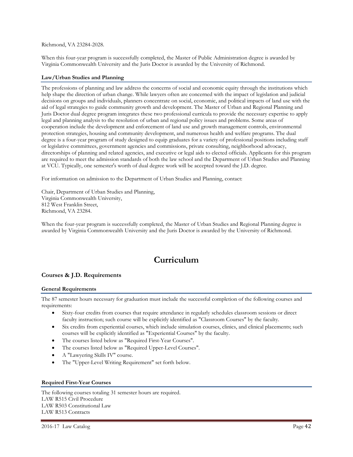Richmond, VA 23284-2028.

When this four-year program is successfully completed, the Master of Public Administration degree is awarded by Virginia Commonwealth University and the Juris Doctor is awarded by the University of Richmond.

## **Law/Urban Studies and Planning**

The professions of planning and law address the concerns of social and economic equity through the institutions which help shape the direction of urban change. While lawyers often are concerned with the impact of legislation and judicial decisions on groups and individuals, planners concentrate on social, economic, and political impacts of land use with the aid of legal strategies to guide community growth and development. The Master of Urban and Regional Planning and Juris Doctor dual degree program integrates these two professional curricula to provide the necessary expertise to apply legal and planning analysis to the resolution of urban and regional policy issues and problems. Some areas of cooperation include the development and enforcement of land use and growth management controls, environmental protection strategies, housing and community development, and numerous health and welfare programs. The dual degree is a four-year program of study designed to equip graduates for a variety of professional positions including staff or legislative committees, government agencies and commissions, private consulting, neighborhood advocacy, directorships of planning and related agencies, and executive or legal aids to elected officials. Applicants for this program are required to meet the admission standards of both the law school and the Department of Urban Studies and Planning at VCU. Typically, one semester's worth of dual degree work will be accepted toward the J.D. degree.

For information on admission to the Department of Urban Studies and Planning, contact:

Chair, Department of Urban Studies and Planning, Virginia Commonwealth University, 812 West Franklin Street, Richmond, VA 23284.

When the four-year program is successfully completed, the Master of Urban Studies and Regional Planning degree is awarded by Virginia Commonwealth University and the Juris Doctor is awarded by the University of Richmond.

# **Curriculum**

## **Courses & J.D. Requirements**

#### **General Requirements**

The 87 semester hours necessary for graduation must include the successful completion of the following courses and requirements:

- Sixty-four credits from courses that require attendance in regularly schedules classroom sessions or direct faculty instruction; such course will be explicitly identified as "Classroom Courses" by the faculty.
- Six credits from experiential courses, which include simulation courses, clinics, and clinical placements; such courses will be explicitly identified as "Experiential Courses" by the faculty.
- The courses listed below as "Required First-Year Courses".
- The courses listed below as "Required Upper-Level Courses".
- A "Lawyering Skills IV" course.
- The "Upper-Level Writing Requirement" set forth below.

## **Required First-Year Courses**

The following courses totaling 31 semester hours are required. LAW R515 Civil Procedure LAW R503 Constitutional Law LAW R513 Contracts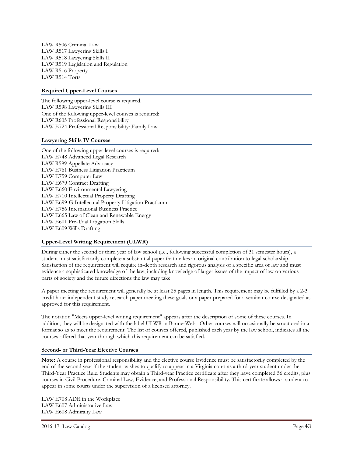LAW R506 Criminal Law LAW R517 Lawyering Skills I LAW R518 Lawyering Skills II LAW R519 Legislation and Regulation LAW R516 Property LAW R514 Torts

## **Required Upper-Level Courses**

The following upper-level course is required. LAW R598 Lawyering Skills III One of the following upper-level courses is required: LAW R605 Professional Responsibility LAW E724 Professional Responsibility: Family Law

## **Lawyering Skills IV Courses**

One of the following upper-level courses is required: LAW E748 Advanced Legal Research LAW R599 Appellate Advocacy LAW E761 Business Litigation Practicum LAW E759 Computer Law LAW E679 Contract Drafting LAW E660 Environmental Lawyering LAW E710 Intellectual Property Drafting LAW E699-G Intellectual Property Litigation Practicum LAW E756 International Business Practice LAW E665 Law of Clean and Renewable Energy LAW E601 Pre-Trial Litigation Skills LAW E609 Wills Drafting

## **Upper-Level Writing Requirement (ULWR)**

During either the second or third year of law school (i.e., following successful completion of 31 semester hours), a student must satisfactorily complete a substantial paper that makes an original contribution to legal scholarship. Satisfaction of the requirement will require in-depth research and rigorous analysis of a specific area of law and must evidence a sophisticated knowledge of the law, including knowledge of larger issues of the impact of law on various parts of society and the future directions the law may take.

A paper meeting the requirement will generally be at least 25 pages in length. This requirement may be fulfilled by a 2-3 credit hour independent study research paper meeting these goals or a paper prepared for a seminar course designated as approved for this requirement.

The notation "Meets upper-level writing requirement" appears after the description of some of these courses. In addition, they will be designated with the label ULWR in BannerWeb. Other courses will occasionally be structured in a format so as to meet the requirement. The list of courses offered, published each year by the law school, indicates all the courses offered that year through which this requirement can be satisfied.

#### **Second- or Third-Year Elective Courses**

**Note:** A course in professional responsibility and the elective course Evidence must be satisfactorily completed by the end of the second year if the student wishes to qualify to appear in a Virginia court as a third-year student under the Third-Year Practice Rule. Students may obtain a Third-year Practice certificate after they have completed 56 credits, plus courses in Civil Procedure, Criminal Law, Evidence, and Professional Responsibility. This certificate allows a student to appear in some courts under the supervision of a licensed attorney.

LAW E708 ADR in the Workplace LAW E607 Administrative Law LAW E608 Admiralty Law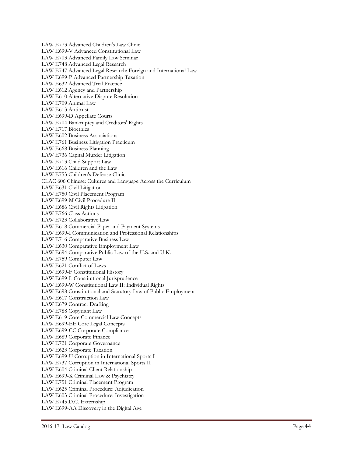LAW E773 Advanced Children's Law Clinic LAW E699 -V Advanced Constitutional Law LAW E703 Advanced Family Law Seminar LAW E748 Advanced Legal Research LAW E747 Advanced Legal Research: Foreign and International Law LAW E699 -P Advanced Partnership Taxation LAW E632 Advanced Trial Practice LAW E612 Agency and Partnership LAW E610 Alternative Dispute Resolution LAW E709 Animal Law LAW E613 Antitrust LAW E699 -D Appellate Courts LAW E704 Bankruptcy and Creditors' Rights LAW E717 Bioethics LAW E602 Business Associations LAW E761 Business Litigation Practicum LAW E668 Business Planning LAW E736 Capital Murder Litigation LAW E713 Child Support Law LAW E616 Children and the Law LAW E753 Children's Defense Clinic CLAC 606 Chinese: Cultures and Language Across the Curriculum LAW E631 Civil Litigation LAW E750 Civil Placement Program LAW E699 -M Civil Procedure II LAW E686 Civil Rights Litigation LAW E766 Class Actions LAW E723 Collaborative Law LAW E618 Commercial Paper and Payment Systems LAW E699 -I Communication and Professional Relationships LAW E716 Comparative Business Law LAW E630 Comparative Employment Law LAW E694 Comparative Public Law of the U.S. and U.K. LAW E759 Computer Law LAW E621 Conflict of Laws LAW E699 -F Constitutional History LAW E699 -L Constitutional Jurisprudence LAW E699 -W Constitutional Law II: Individual Rights LAW E698 Constitutional and Statutory Law of Public Employment LAW E617 Construction Law LAW E679 Contract Drafting LAW E788 Copyright Law LAW E619 Core Commercial Law Concepts LAW E699 -EE Core Legal Concepts LAW E699 -CC Corporate Compliance LAW E689 Corporate Finance LAW E721 Corporate Governance LAW E623 Corporate Taxation LAW E699 -U Corruption in International Sports I LAW E737 Corruption in International Sports II LAW E604 Criminal Client Relationship LAW E699 -X Criminal Law & Psychiatry LAW E751 Criminal Placement Program LAW E625 Criminal Procedure: Adjudication LAW E603 Criminal Procedure: Investigation LAW E745 D.C. Externship LAW E699 -AA Discovery in the Digital Age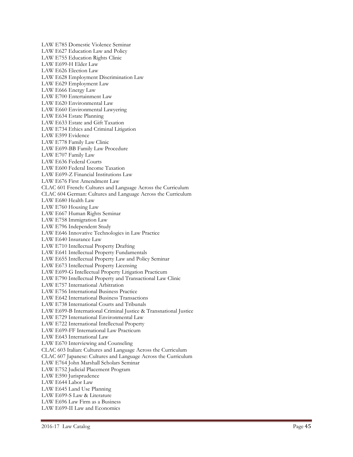LAW E785 Domestic Violence Seminar LAW E627 Education Law and Policy LAW E755 Education Rights Clinic LAW E699 -H Elder Law LAW E626 Election Law LAW E628 Employment Discrimination Law LAW E629 Employment Law LAW E666 Energy Law LAW E700 Entertainment Law LAW E620 Environmental Law LAW E660 Environmental Lawyering LAW E634 Estate Planning LAW E633 Estate and Gift Taxation LAW E734 Ethics and Criminal Litigation LAW E599 Evidence LAW E778 Family Law Clinic LAW E699 -BB Family Law Procedure LAW E707 Family Law LAW E636 Federal Courts LAW E600 Federal Income Taxation LAW E699 -Z Financial Institutions Law LAW E676 First Amendment Law CLAC 601 French: Cultures and Language Across the Curriculum CLAC 604 German: Cultures and Language Across the Curriculum LAW E680 Health Law LAW E760 Housing Law LAW E667 Human Rights Seminar LAW E758 Immigration Law LAW E796 Independent Study LAW E646 Innovative Technologies in Law Practice LAW E640 Insurance Law LAW E710 Intellectual Property Drafting LAW E641 Intellectual Property Fundamentals LAW E655 Intellectual Property Law and Policy Seminar LAW E673 Intellectual Property Licensing LAW E699 -G Intellectual Property Litigation Practicum LAW E790 Intellectual Property and Transactional Law Clinic LAW E757 International Arbitration LAW E756 International Business Practice LAW E642 International Business Transactions LAW E738 International Courts and Tribunals LAW E699 -B International Criminal Justice & Transnational Justice LAW E729 International Environmental Law LAW E722 International Intellectual Property LAW E699 -FF International Law Practicum LAW E643 International Law LAW E670 Interviewing and Counseling CLAC 603 Italian: Cultures and Language Across the Curriculum CLAC 607 Japanese: Cultures and Language Across the Curriculum LAW E764 John Marshall Scholars Seminar LAW E752 Judicial Placement Program LAW E590 Jurisprudence LAW E644 Labor Law LAW E645 Land Use Planning LAW E699 -S Law & Literature LAW E696 Law Firm as a Business LAW E699 -II Law and Economics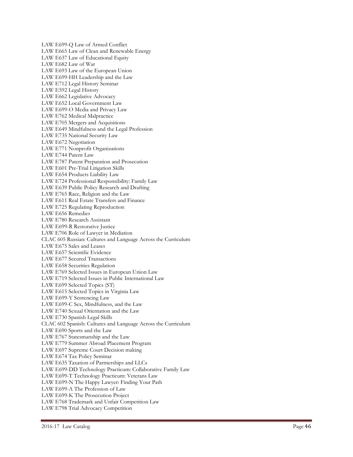LAW E699 -Q Law of Armed Conflict LAW E665 Law of Clean and Renewable Energy LAW E637 Law of Educational Equity LAW E682 Law of War LAW E693 Law of the European Union LAW E699 -HH Leadership and the Law LAW E712 Legal History Seminar LAW E592 Legal History LAW E662 Legislative Advocacy LAW E652 Local Government Law LAW E699 -O Media and Privacy Law LAW E762 Medical Malpractice LAW E705 Mergers and Acquisitions LAW E649 Mindfulness and the Legal Profession LAW E735 National Security Law LAW E672 Negotiation LAW E771 Nonprofit Organizations LAW E744 Patent Law LAW E787 Patent Preparation and Prosecution LAW E601 Pre -Trial Litigation Skills LAW E654 Products Liability Law LAW E724 Professional Responsibility: Family Law LAW E639 Public Policy Research and Drafting LAW E765 Race, Religion and the Law LAW E611 Real Estate Transfers and Finance LAW E725 Regulating Reproduction LAW E656 Remedies LAW E780 Research Assistant LAW E699 -R Restorative Justice LAW E706 Role of Lawyer in Mediation CLAC 605 Russian: Cultures and Language Across the Curriculum LAW E675 Sales and Leases LAW E657 Scientific Evidence LAW E677 Secured Transactions LAW E658 Securities Regulation LAW E769 Selected Issues in European Union Law LAW E719 Selected Issues in Public International Law LAW E699 Selected Topics (ST) LAW E615 Selected Topics in Virginia Law LAW E699 - Y Sentencing Law LAW E699 -C Sex, Mindfulness, and the Law LAW E740 Sexual Orientation and the Law LAW E730 Spanish Legal Skills CLAC 602 Spanish: Cultures and Language Across the Curriculum LAW E690 Sports and the Law LAW E767 Statesmanship and the Law LAW E779 Summer Abroad Placement Program LAW E697 Supreme Court Decision making LAW E674 Tax Policy Seminar LAW E635 Taxation of Partnerships and LLCs LAW E699 -DD Technology Practicum: Collaborative Family Law LAW E699 -T Technology Practicum: Veterans Law LAW E699 -N The Happy Lawyer: Finding Your Path LAW E699 -A The Profession of Law LAW E699 -K The Prosecution Project LAW E768 Trademark and Unfair Competition Law LAW E798 Trial Advocacy Competition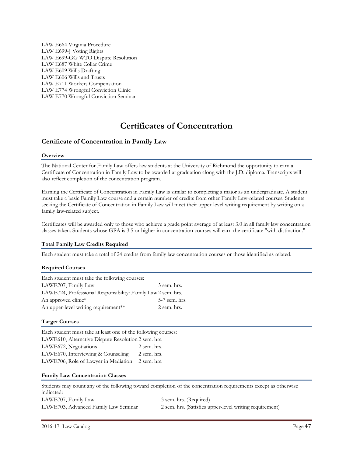LAW E664 Virginia Procedure LAW E699-J Voting Rights LAW E699-GG WTO Dispute Resolution LAW E687 White Collar Crime LAW E609 Wills Drafting LAW E606 Wills and Trusts LAW E711 Workers Compensation LAW E774 Wrongful Conviction Clinic LAW E770 Wrongful Conviction Seminar

# **Certificates of Concentration**

## **Certificate of Concentration in Family Law**

#### **Overview**

The National Center for Family Law offers law students at the University of Richmond the opportunity to earn a Certificate of Concentration in Family Law to be awarded at graduation along with the J.D. diploma. Transcripts will also reflect completion of the concentration program.

Earning the Certificate of Concentration in Family Law is similar to completing a major as an undergraduate. A student must take a basic Family Law course and a certain number of credits from other Family Law-related courses. Students seeking the Certificate of Concentration in Family Law will meet their upper-level writing requirement by writing on a family law-related subject.

Certificates will be awarded only to those who achieve a grade point average of at least 3.0 in all family law concentration classes taken. Students whose GPA is 3.5 or higher in concentration courses will earn the certificate "with distinction."

## **Total Family Law Credits Required**

Each student must take a total of 24 credits from family law concentration courses or those identified as related.

#### **Required Courses**

| Each student must take the following courses:                |               |
|--------------------------------------------------------------|---------------|
| LAWE707, Family Law                                          | 3 sem. hrs.   |
| LAWE724, Professional Responsibility: Family Law 2 sem. hrs. |               |
| An approved clinic <sup>*</sup>                              | 5-7 sem. hrs. |
| An upper-level writing requirement**                         | 2 sem. hrs.   |

#### **Target Courses**

Each student must take at least one of the following courses: LAWE610, Alternative Dispute Resolution 2 sem. hrs. LAWE672, Negotiations 2 sem. hrs. LAWE670, Interviewing & Counseling 2 sem. hrs. LAWE706, Role of Lawyer in Mediation 2 sem. hrs.

#### **Family Law Concentration Classes**

Students may count any of the following toward completion of the concentration requirements except as otherwise indicated: LAWE707, Family Law 3 sem. hrs. (Required) LAWE703, Advanced Family Law Seminar 2 sem. hrs. (Satisfies upper-level writing requirement)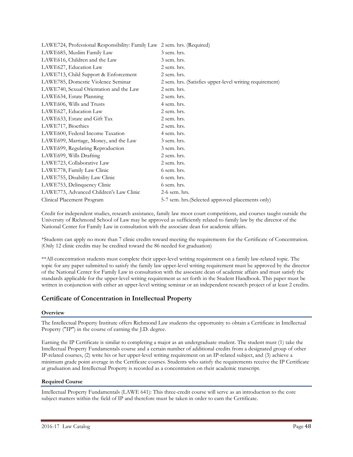| LAWE724, Professional Responsibility: Family Law 2 sem. hrs. (Required) |                                                         |
|-------------------------------------------------------------------------|---------------------------------------------------------|
| LAWE685, Muslim Family Law                                              | 3 sem. hrs.                                             |
| LAWE616, Children and the Law                                           | 3 sem. hrs.                                             |
| LAWE627, Education Law                                                  | 2 sem. hrs.                                             |
| LAWE713, Child Support & Enforcement                                    | 2 sem. hrs.                                             |
| LAWE785, Domestic Violence Seminar                                      | 2 sem. hrs. (Satisfies upper-level writing requirement) |
| LAWE740, Sexual Orientation and the Law                                 | 2 sem. hrs.                                             |
| LAWE634, Estate Planning                                                | 2 sem. hrs.                                             |
| LAWE606, Wills and Trusts                                               | 4 sem. hrs.                                             |
| LAWE627, Education Law                                                  | 2 sem. hrs.                                             |
| LAWE633, Estate and Gift Tax                                            | 2 sem. hrs.                                             |
| LAWE717, Bioethics                                                      | 2 sem. hrs.                                             |
| LAWE600, Federal Income Taxation                                        | 4 sem. hrs.                                             |
| LAWE699, Marriage, Money, and the Law                                   | 3 sem. hrs.                                             |
| LAWE699, Regulating Reproduction                                        | 3 sem. hrs.                                             |
| LAWE699, Wills Drafting                                                 | 2 sem. hrs.                                             |
| LAWE723, Collaborative Law                                              | 2 sem. hrs.                                             |
| LAWE778, Family Law Clinic                                              | 6 sem. hrs.                                             |
| LAWE755, Disability Law Clinic                                          | 6 sem. hrs.                                             |
| LAWE753, Delinquency Clinic                                             | 6 sem. hrs.                                             |
| LAWE773, Advanced Children's Law Clinic                                 | 2-6 sem. hrs.                                           |
| Clinical Placement Program                                              | 5-7 sem. hrs. (Selected approved placements only)       |

Credit for independent studies, research assistance, family law moot court competitions, and courses taught outside the University of Richmond School of Law may be approved as sufficiently related to family law by the director of the National Center for Family Law in consultation with the associate dean for academic affairs.

\*Students can apply no more than 7 clinic credits toward meeting the requirements for the Certificate of Concentration. (Only 12 clinic credits may be credited toward the 86 needed for graduation)

\*\*All concentration students must complete their upper-level writing requirement on a family law-related topic. The topic for any paper submitted to satisfy the family law upper-level writing requirement must be approved by the director of the National Center for Family Law in consultation with the associate dean of academic affairs and must satisfy the standards applicable for the upper-level writing requirement as set forth in the Student Handbook. This paper must be written in conjunction with either an upper-level writing seminar or an independent research project of at least 2 credits.

## **Certificate of Concentration in Intellectual Property**

## **Overview**

The Intellectual Property Institute offers Richmond Law students the opportunity to obtain a Certificate in Intellectual Property ("IP") in the course of earning the J.D. degree.

Earning the IP Certificate is similar to completing a major as an undergraduate student. The student must (1) take the Intellectual Property Fundamentals course and a certain number of additional credits from a designated group of other IP-related courses, (2) write his or her upper-level writing requirement on an IP-related subject, and (3) achieve a minimum grade point average in the Certificate courses. Students who satisfy the requirements receive the IP Certificate at graduation and Intellectual Property is recorded as a concentration on their academic transcript.

#### **Required Course**

Intellectual Property Fundamentals (LAWE 641): This three-credit course will serve as an introduction to the core subject matters within the field of IP and therefore must be taken in order to earn the Certificate.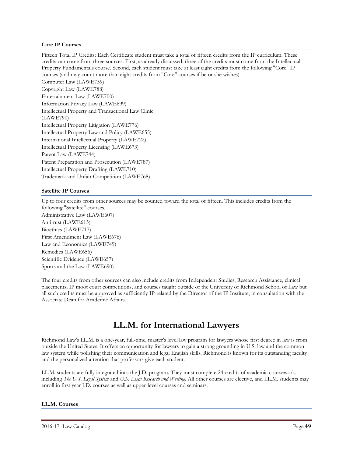## **Core IP Courses**

Fifteen Total IP Credits: Each Certificate student must take a total of fifteen credits from the IP curriculum. These credits can come from three sources. First, as already discussed, three of the credits must come from the Intellectual Property Fundamentals course. Second, each student must take at least eight credits from the following "Core" IP courses (and may count more than eight credits from "Core" courses if he or she wishes).

Computer Law (LAWE759) Copyright Law (LAWE788) Entertainment Law (LAWE700) Information Privacy Law (LAWE699) Intellectual Property and Transactional Law Clinic (LAWE790) Intellectual Property Litigation (LAWE776) Intellectual Property Law and Policy (LAWE655) International Intellectual Property (LAWE722) Intellectual Property Licensing (LAWE673) Patent Law (LAWE744) Patent Preparation and Prosecution (LAWE787) Intellectual Property Drafting (LAWE710) Trademark and Unfair Competition (LAWE768)

## **Satellite IP Courses**

Up to four credits from other sources may be counted toward the total of fifteen. This includes credits from the following "Satellite" courses. Administrative Law (LAWE607) Antitrust (LAWE613) Bioethics (LAWE717) First Amendment Law (LAWE676) Law and Economics (LAWE749) Remedies (LAWE656) Scientific Evidence (LAWE657) Sports and the Law (LAWE690)

The four credits from other sources can also include credits from Independent Studies, Research Assistance, clinical placements, IP moot court competitions, and courses taught outside of the University of Richmond School of Law but all such credits must be approved as sufficiently IP-related by the Director of the IP Institute, in consultation with the Associate Dean for Academic Affairs.

# **LL.M. for International Lawyers**

Richmond Law's LL.M. is a one-year, full-time, master's level law program for lawyers whose first degree in law is from outside the United States. It offers an opportunity for lawyers to gain a strong grounding in U.S. law and the common law system while polishing their communication and legal English skills. Richmond is known for its outstanding faculty and the personalized attention that professors give each student.

LL.M. students are fully integrated into the J.D. program. They must complete 24 credits of academic coursework, including *The U.S. Legal System* and *U.S. Legal Research and Writing*. All other courses are elective, and LL.M. students may enroll in first year J.D. courses as well as upper-level courses and seminars.

## **LL.M. Courses**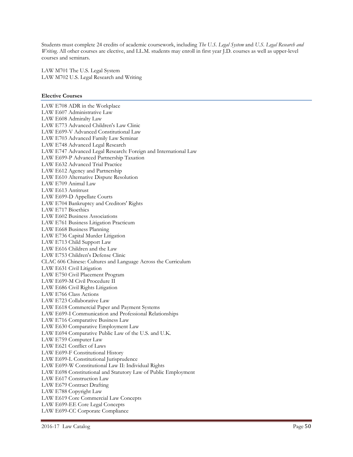Students must complete 24 credits of academic coursework, including *The U.S. Legal System* and *U.S. Legal Research and Writing*. All other courses are elective, and LL.M. students may enroll in first year J.D. courses as well as upper-level courses and seminars.

LAW M701 The U.S. Legal System LAW M702 U.S. Legal Research and Writing

#### **Elective Courses**

LAW E708 ADR in the Workplace LAW E607 Administrative Law LAW E608 Admiralty Law LAW E773 Advanced Children's Law Clinic LAW E699-V Advanced Constitutional Law LAW E703 Advanced Family Law Seminar LAW E748 Advanced Legal Research LAW E747 Advanced Legal Research: Foreign and International Law LAW E699-P Advanced Partnership Taxation LAW E632 Advanced Trial Practice LAW E612 Agency and Partnership LAW E610 Alternative Dispute Resolution LAW E709 Animal Law LAW E613 Antitrust LAW E699-D Appellate Courts LAW E704 Bankruptcy and Creditors' Rights LAW E717 Bioethics LAW E602 Business Associations LAW E761 Business Litigation Practicum LAW E668 Business Planning LAW E736 Capital Murder Litigation LAW E713 Child Support Law LAW E616 Children and the Law LAW E753 Children's Defense Clinic CLAC 606 Chinese: Cultures and Language Across the Curriculum LAW E631 Civil Litigation LAW E750 Civil Placement Program LAW E699-M Civil Procedure II LAW E686 Civil Rights Litigation LAW E766 Class Actions LAW E723 Collaborative Law LAW E618 Commercial Paper and Payment Systems LAW E699-I Communication and Professional Relationships LAW E716 Comparative Business Law LAW E630 Comparative Employment Law LAW E694 Comparative Public Law of the U.S. and U.K. LAW E759 Computer Law LAW E621 Conflict of Laws LAW E699-F Constitutional History LAW E699-L Constitutional Jurisprudence LAW E699-W Constitutional Law II: Individual Rights LAW E698 Constitutional and Statutory Law of Public Employment LAW E617 Construction Law LAW E679 Contract Drafting LAW E788 Copyright Law LAW E619 Core Commercial Law Concepts LAW E699-EE Core Legal Concepts LAW E699-CC Corporate Compliance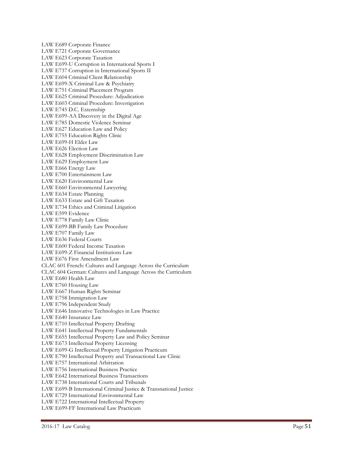LAW E689 Corporate Finance LAW E721 Corporate Governance LAW E623 Corporate Taxation LAW E699 -U Corruption in International Sports I LAW E737 Corruption in International Sports II LAW E604 Criminal Client Relationship LAW E699 -X Criminal Law & Psychiatry LAW E751 Criminal Placement Program LAW E625 Criminal Procedure: Adjudication LAW E603 Criminal Procedure: Investigation LAW E745 D.C. Externship LAW E699 -AA Discovery in the Digital Age LAW E785 Domestic Violence Seminar LAW E627 Education Law and Policy LAW E755 Education Rights Clinic LAW E699 -H Elder Law LAW E626 Election Law LAW E628 Employment Discrimination Law LAW E629 Employment Law LAW E666 Energy Law LAW E700 Entertainment Law LAW E620 Environmental Law LAW E660 Environmental Lawyering LAW E634 Estate Planning LAW E633 Estate and Gift Taxation LAW E734 Ethics and Criminal Litigation LAW E599 Evidence LAW E778 Family Law Clinic LAW E699 -BB Family Law Procedure LAW E707 Family Law LAW E636 Federal Courts LAW E600 Federal Income Taxation LAW E699 -Z Financial Institutions Law LAW E676 First Amendment Law CLAC 601 French: Cultures and Language Across the Curriculum CLAC 604 German: Cultures and Language Across the Curriculum LAW E680 Health Law LAW E760 Housing Law LAW E667 Human Rights Seminar LAW E758 Immigration Law LAW E796 Independent Study LAW E646 Innovative Technologies in Law Practice LAW E640 Insurance Law LAW E710 Intellectual Property Drafting LAW E641 Intellectual Property Fundamentals LAW E655 Intellectual Property Law and Policy Seminar LAW E673 Intellectual Property Licensing LAW E699 -G Intellectual Property Litigation Practicum LAW E790 Intellectual Property and Transactional Law Clinic LAW E757 International Arbitration LAW E756 International Business Practice LAW E642 International Business Transactions LAW E738 International Courts and Tribunals LAW E699 -B International Criminal Justice & Transnational Justice LAW E729 International Environmental Law LAW E722 International Intellectual Property LAW E699 -FF International Law Practicum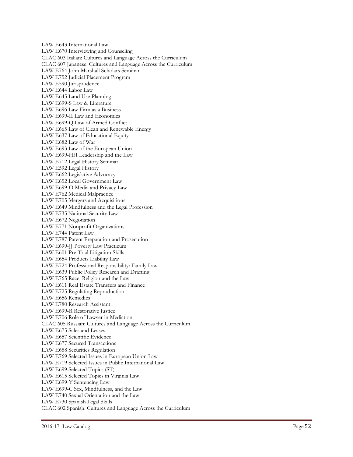LAW E643 International Law LAW E670 Interviewing and Counseling CLAC 603 Italian: Cultures and Language Across the Curriculum CLAC 607 Japanese: Cultures and Language Across the Curriculum LAW E764 John Marshall Scholars Seminar LAW E752 Judicial Placement Program LAW E590 Jurisprudence LAW E644 Labor Law LAW E645 Land Use Planning LAW E699 -S Law & Literature LAW E696 Law Firm as a Business LAW E699 -II Law and Economics LAW E699 -Q Law of Armed Conflict LAW E665 Law of Clean and Renewable Energy LAW E637 Law of Educational Equity LAW E682 Law of War LAW E693 Law of the European Union LAW E699 -HH Leadership and the Law LAW E712 Legal History Seminar LAW E592 Legal History LAW E662 Legislative Advocacy LAW E652 Local Government Law LAW E699 -O Media and Privacy Law LAW E762 Medical Malpractice LAW E705 Mergers and Acquisitions LAW E649 Mindfulness and the Legal Profession LAW E735 National Security Law LAW E672 Negotiation LAW E771 Nonprofit Organizations LAW E744 Patent Law LAW E787 Patent Preparation and Prosecution LAW E699 -JJ Poverty Law Practicum LAW E601 Pre -Trial Litigation Skills LAW E654 Products Liability Law LAW E724 Professional Responsibility: Family Law LAW E639 Public Policy Research and Drafting LAW E765 Race, Religion and the Law LAW E611 Real Estate Transfers and Finance LAW E725 Regulating Reproduction LAW E656 Remedies LAW E780 Research Assistant LAW E699 -R Restorative Justice LAW E706 Role of Lawyer in Mediation CLAC 605 Russian: Cultures and Language Across the Curriculum LAW E675 Sales and Leases LAW E657 Scientific Evidence LAW E677 Secured Transactions LAW E658 Securities Regulation LAW E769 Selected Issues in European Union Law LAW E719 Selected Issues in Public International Law LAW E699 Selected Topics (ST) LAW E615 Selected Topics in Virginia Law LAW E699 -Y Sentencing Law LAW E699 -C Sex, Mindfulness, and the Law LAW E740 Sexual Orientation and the Law LAW E730 Spanish Legal Skills CLAC 602 Spanish: Cultures and Language Across the Curriculum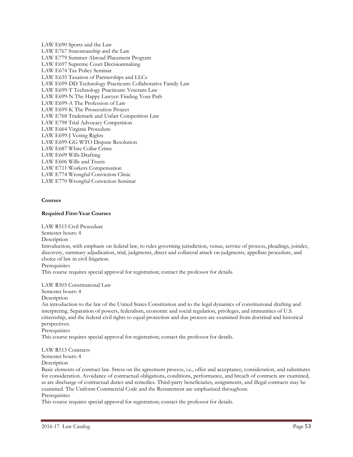LAW E690 Sports and the Law LAW E767 Statesmanship and the Law LAW E779 Summer Abroad Placement Program LAW E697 Supreme Court Decisionmaking LAW E674 Tax Policy Seminar LAW E635 Taxation of Partnerships and LLCs LAW E699-DD Technology Practicum: Collaborative Family Law LAW E699-T Technology Practicum: Veterans Law LAW E699-N The Happy Lawyer: Finding Your Path LAW E699-A The Profession of Law LAW E699-K The Prosecution Project LAW E768 Trademark and Unfair Competition Law LAW E798 Trial Advocacy Competition LAW E664 Virginia Procedure LAW E699-J Voting Rights LAW E699-GG WTO Dispute Resolution LAW E687 White Collar Crime LAW E609 Wills Drafting LAW E606 Wills and Trusts LAW E711 Workers Compensation LAW E774 Wrongful Conviction Clinic LAW E770 Wrongful Conviction Seminar

## **Courses**

#### **Required First-Year Courses**

LAW R515 Civil Procedure

Semester hours: 4

**Description** 

Introduction, with emphasis on federal law, to rules governing jurisdiction, venue, service of process, pleadings, joinder, discovery, summary adjudication, trial, judgments, direct and collateral attack on judgments, appellate procedure, and choice of law in civil litigation.

**Prerequisites** 

This course requires special approval for registration; contact the professor for details.

LAW R503 Constitutional Law

Semester hours: 4

Description

An introduction to the law of the United States Constitution and to the legal dynamics of constitutional drafting and interpreting. Separation of powers, federalism, economic and social regulation, privileges, and immunities of U.S. citizenship, and the federal civil rights to equal protection and due process are examined from doctrinal and historical perspectives.

Prerequisites

This course requires special approval for registration; contact the professor for details.

LAW R513 Contracts

Semester hours: 4

Description

Basic elements of contract law. Stress on the agreement process, i.e., offer and acceptance, consideration, and substitutes for consideration. Avoidance of contractual obligations, conditions, performance, and breach of contracts are examined, as are discharge of contractual duties and remedies. Third-party beneficiaries, assignments, and illegal contracts may be examined. The Uniform Commercial Code and the Restatement are emphasized throughout. Prerequisites

This course requires special approval for registration; contact the professor for details.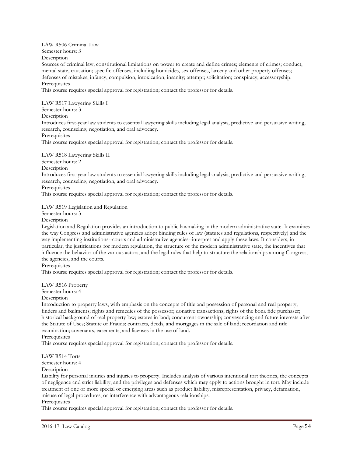LAW R506 Criminal Law

Semester hours: 3

Description

Sources of criminal law; constitutional limitations on power to create and define crimes; elements of crimes; conduct, mental state, causation; specific offenses, including homicides, sex offenses, larceny and other property offenses; defenses of mistakes, infancy, compulsion, intoxication, insanity; attempt; solicitation; conspiracy; accessoryship. Prerequisites

This course requires special approval for registration; contact the professor for details.

LAW R517 Lawyering Skills I

Semester hours: 3

**Description** 

Introduces first-year law students to essential lawyering skills including legal analysis, predictive and persuasive writing, research, counseling, negotiation, and oral advocacy.

**Prerequisites** 

This course requires special approval for registration; contact the professor for details.

LAW R518 Lawyering Skills II

Semester hours: 2

Description

Introduces first-year law students to essential lawyering skills including legal analysis, predictive and persuasive writing, research, counseling, negotiation, and oral advocacy.

Prerequisites

This course requires special approval for registration; contact the professor for details.

LAW R519 Legislation and Regulation

Semester hours: 3

Description

Legislation and Regulation provides an introduction to public lawmaking in the modern administrative state. It examines the way Congress and administrative agencies adopt binding rules of law (statutes and regulations, respectively) and the way implementing institutions--courts and administrative agencies--interpret and apply these laws. It considers, in particular, the justifications for modern regulation, the structure of the modern administrative state, the incentives that influence the behavior of the various actors, and the legal rules that help to structure the relationships among Congress, the agencies, and the courts.

Prerequisites

This course requires special approval for registration; contact the professor for details.

LAW R516 Property

Semester hours: 4

Description

Introduction to property laws, with emphasis on the concepts of title and possession of personal and real property; finders and bailments; rights and remedies of the possessor; donative transactions; rights of the bona fide purchaser; historical background of real property law; estates in land; concurrent ownership; conveyancing and future interests after the Statute of Uses; Statute of Frauds; contracts, deeds, and mortgages in the sale of land; recordation and title examination; covenants, easements, and licenses in the use of land.

Prerequisites

This course requires special approval for registration; contact the professor for details.

LAW R514 Torts

Semester hours: 4

Description

Liability for personal injuries and injuries to property. Includes analysis of various intentional tort theories, the concepts of negligence and strict liability, and the privileges and defenses which may apply to actions brought in tort. May include treatment of one or more special or emerging areas such as product liability, misrepresentation, privacy, defamation, misuse of legal procedures, or interference with advantageous relationships.

**Prerequisites** 

This course requires special approval for registration; contact the professor for details.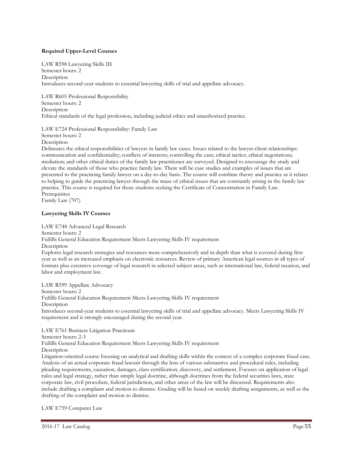## **Required Upper-Level Courses**

LAW R598 Lawyering Skills III Semester hours: 2 Description Introduces second-year students to essential lawyering skills of trial and appellate advocacy.

LAW R605 Professional Responsibility Semester hours: 2 Description Ethical standards of the legal profession, including judicial ethics and unauthorized practice.

LAW E724 Professional Responsibility: Family Law

Semester hours: 2

**Description** 

Delineates the ethical responsibilities of lawyers in family law cases. Issues related to the lawyer-client relationships: communication and confidentiality; conflicts of interests; controlling the case; ethical tactics; ethical negotiations; mediation; and other ethical duties of the family law practitioner are surveyed. Designed to encourage the study and elevate the standards of those who practice family law. There will be case studies and examples of issues that are presented to the practicing family lawyer on a day-to-day basis. The course will combine theory and practice as it relates to helping to guide the practicing lawyer through the maze of ethical issues that are constantly arising in the family law practice. This course is required for those students seeking the Certificate of Concentration in Family Law. **Prerequisites** 

Family Law (707).

## **Lawyering Skills IV Courses**

LAW E748 Advanced Legal Research Semester hours: 2 Fulfills General Education Requirement Meets Lawyering Skills IV requirement **Description** Explores legal research strategies and resources more comprehensively and in-depth than what is covered during first year as well as an increased emphasis on electronic resources. Review of primary American legal sources in all types of formats plus extensive coverage of legal research in selected subject areas, such as international law, federal taxation, and labor and employment law. LAW R599 Appellate Advocacy

Semester hours: 2 Fulfills General Education Requirement Meets Lawyering Skills IV requirement Description Introduces second-year students to essential lawyering skills of trial and appellate advocacy. Meets Lawyering Skills IV requirement and is strongly encouraged during the second year.

LAW E761 Business Litigation Practicum

Semester hours: 2-3

Fulfills General Education Requirement Meets Lawyering Skills IV requirement Description

Litigation-oriented course focusing on analytical and drafting skills within the context of a complex corporate fraud case. Analysis of an actual corporate fraud lawsuit through the lens of various substantive and procedural rules, including pleading requirements, causation, damages, class certification, discovery, and settlement. Focuses on application of legal rules and legal strategy, rather than simply legal doctrine, although doctrines from the federal securities laws, state corporate law, civil procedure, federal jurisdiction, and other areas of the law will be discussed. Requirements also include drafting a complaint and motion to dismiss. Grading will be based on weekly drafting assignments, as well as the drafting of the complaint and motion to dismiss.

LAW E759 Computer Law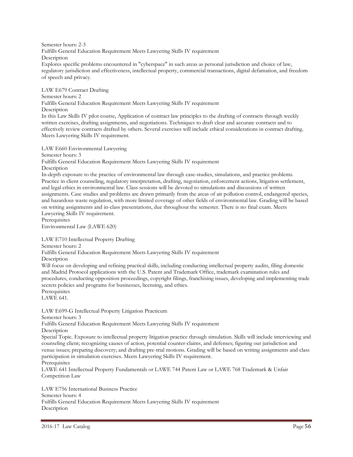Semester hours: 2-3 Fulfills General Education Requirement Meets Lawyering Skills IV requirement Description Explores specific problems encountered in "cyberspace" in such areas as personal jurisdiction and choice of law, regulatory jurisdiction and effectiveness, intellectual property, commercial transactions, digital defamation, and freedom of speech and privacy.

LAW E679 Contract Drafting Semester hours: 2 Fulfills General Education Requirement Meets Lawyering Skills IV requirement Description In this Law Skills IV pilot course, Application of contract law principles to the drafting of contracts through weekly written exercises, drafting assignments, and negotiations. Techniques to draft clear and accurate contracts and to effectively review contracts drafted by others. Several exercises will include ethical considerations in contract drafting. Meets Lawyering Skills IV requirement.

LAW E660 Environmental Lawyering

Semester hours: 3

Fulfills General Education Requirement Meets Lawyering Skills IV requirement Description

In-depth exposure to the practice of environmental law through case-studies, simulations, and practice problems. Practice in client counseling, regulatory interpretation, drafting, negotiation, enforcement actions, litigation settlement, and legal ethics in environmental law. Class sessions will be devoted to simulations and discussions of written assignments. Case studies and problems are drawn primarily from the areas of air pollution control, endangered species, and hazardous waste regulation, with more limited coverage of other fields of environmental law. Grading will be based on writing assignments and in-class presentations, due throughout the semester. There is no final exam. Meets Lawyering Skills IV requirement.

**Prerequisites** Environmental Law (LAWE 620)

LAW E710 Intellectual Property Drafting

Semester hours: 2

Fulfills General Education Requirement Meets Lawyering Skills IV requirement

Description

Will focus on developing and refining practical skills, including conducting intellectual property audits, filing domestic and Madrid Protocol applications with the U.S. Patent and Trademark Office, trademark examination rules and procedures, conducting opposition proceedings, copyright filings, franchising issues, developing and implementing trade secrets policies and programs for businesses, licensing, and ethics.

Prerequisites LAWE 641.

LAW E699-G Intellectual Property Litigation Practicum

Semester hours: 3

Fulfills General Education Requirement Meets Lawyering Skills IV requirement

Description

Special Topic. Exposure to intellectual property litigation practice through simulation. Skills will include interviewing and counseling client; recognizing causes of action, potential counter-claims, and defenses; figuring out jurisdiction and venue issues; preparing discovery; and drafting pre-trial motions. Grading will be based on writing assignments and class participation in simulation exercises. Meets Lawyering Skills IV requirement.

**Prerequisites** 

LAWE 641 Intellectual Property Fundamentals or LAWE 744 Patent Law or LAWE 768 Trademark & Unfair Competition Law

LAW E756 International Business Practice Semester hours: 4 Fulfills General Education Requirement Meets Lawyering Skills IV requirement Description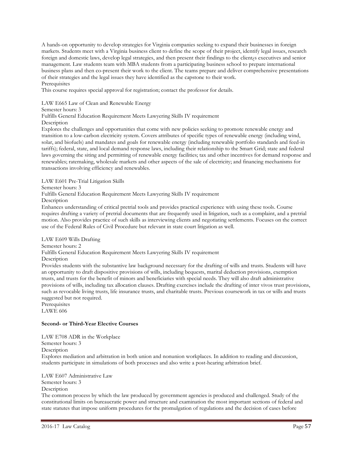A hands-on opportunity to develop strategies for Virginia companies seeking to expand their businesses in foreign markets. Students meet with a Virginia business client to define the scope of their project, identify legal issues, research foreign and domestic laws, develop legal strategies, and then present their findings to the client¿s executives and senior management. Law students team with MBA students from a participating business school to prepare international business plans and then co-present their work to the client. The teams prepare and deliver comprehensive presentations of their strategies and the legal issues they have identified as the capstone to their work. Prerequisites

This course requires special approval for registration; contact the professor for details.

LAW E665 Law of Clean and Renewable Energy

Semester hours: 3

Fulfills General Education Requirement Meets Lawyering Skills IV requirement

Description

Explores the challenges and opportunities that come with new policies seeking to promote renewable energy and transition to a low-carbon electricity system. Covers attributes of specific types of renewable energy (including wind, solar, and biofuels) and mandates and goals for renewable energy (including renewable portfolio standards and feed-in tariffs); federal, state, and local demand response laws, including their relationship to the Smart Grid; state and federal laws governing the siting and permitting of renewable energy facilities; tax and other incentives for demand response and renewables; ratemaking, wholesale markets and other aspects of the sale of electricity; and financing mechanisms for transactions involving efficiency and renewables.

LAW E601 Pre-Trial Litigation Skills

Semester hours: 3

Fulfills General Education Requirement Meets Lawyering Skills IV requirement

Description

Enhances understanding of critical pretrial tools and provides practical experience with using these tools. Course requires drafting a variety of pretrial documents that are frequently used in litigation, such as a complaint, and a pretrial motion. Also provides practice of such skills as interviewing clients and negotiating settlements. Focuses on the correct use of the Federal Rules of Civil Procedure but relevant in state court litigation as well.

LAW E609 Wills Drafting

Semester hours: 2

Fulfills General Education Requirement Meets Lawyering Skills IV requirement

**Description** 

Provides students with the substantive law background necessary for the drafting of wills and trusts. Students will have an opportunity to draft dispositive provisions of wills, including bequests, marital deduction provisions, exemption trusts, and trusts for the benefit of minors and beneficiaries with special needs. They will also draft administrative provisions of wills, including tax allocation clauses. Drafting exercises include the drafting of inter vivos trust provisions, such as revocable living trusts, life insurance trusts, and charitable trusts. Previous coursework in tax or wills and trusts suggested but not required.

Prerequisites

LAWE 606

## **Second- or Third-Year Elective Courses**

LAW E708 ADR in the Workplace Semester hours: 3 Description Explores mediation and arbitration in both union and nonunion workplaces. In addition to reading and discussion, students participate in simulations of both processes and also write a post-hearing arbitration brief.

LAW E607 Administrative Law Semester hours: 3 Description

The common process by which the law produced by government agencies is produced and challenged. Study of the constitutional limits on bureaucratic power and structure and examination the most important sections of federal and state statutes that impose uniform procedures for the promulgation of regulations and the decision of cases before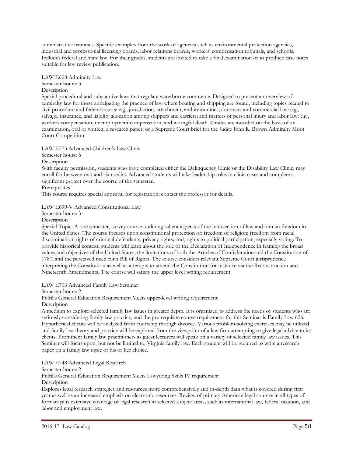administrative tribunals. Specific examples from the work of agencies such as environmental protection agencies, industrial and professional licensing boards, labor relations boards, workers' compensation tribunals, and schools. Includes federal and state law. For their grades, students are invited to take a final examination or to produce case notes suitable for law review publication.

LAW E608 Admiralty Law Semester hours: 3 **Description** 

Special procedural and substantive laws that regulate waterborne commerce. Designed to present an overview of admiralty law for those anticipating the practice of law where boating and shipping are found, including topics related to civil procedure and federal courts: e.g., jurisdiction, attachment, and immunities; contracts and commercial law: e.g., salvage, insurance, and liability allocation among shippers and carriers; and matters of personal injury and labor law: e.g., workers compensation, unemployment compensation, and wrongful death. Grades are awarded on the basis of an examination, oral or written, a research paper, or a Supreme Court brief for the Judge John R. Brown Admiralty Moot Court Competition.

LAW E773 Advanced Children's Law Clinic

Semester hours: 6

Description

With faculty permission, students who have completed either the Delinquency Clinic or the Disability Law Clinic, may enroll for between two and six credits. Advanced students will take leadership roles in clinic cases and complete a significant project over the course of the semester.

Prerequisites

This course requires special approval for registration; contact the professor for details.

LAW E699-V Advanced Constitutional Law

Semester hours: 3

Description

Special Topic. A one semester, survey course outlining salient aspects of the intersection of law and human freedom in the United States. The course focuses upon constitutional protection of: freedom of religion; freedom from racial discrimination; rights of criminal defendants; privacy rights; and, rights to political participation, especially voting. To provide historical context, students will learn about the role of the Declaration of Independence in framing the broad values and objectives of the United States, the limitations of both the Articles of Confederation and the Constitution of 1787, and the perceived need for a Bill of Rights. The course considers relevant Supreme Court jurisprudence interpreting the Constitution as well as attempts to amend the Constitution for instance via the Reconstruction and Nineteenth Amendments. The course will satisfy the upper level writing requirement.

LAW E703 Advanced Family Law Seminar

Semester hours: 2

Fulfills General Education Requirement Meets upper-level writing requirement

**Description** 

A medium to explore selected family law issues in greater depth. It is organized to address the needs of students who are seriously considering family law practice, and the pre-requisite course requirement for this Seminar is Family Law 626. Hypothetical clients will be analyzed from courtship through divorce. Various problem-solving exercises may be utilized and family law theory and practice will be explored from the viewpoint of a law firm attempting to give legal advice to its clients. Prominent family law practitioners as guest lecturers will speak on a variety of selected family law issues. This Seminar will focus upon, but not be limited to, Virginia family law. Each student will be required to write a research paper on a family law topic of his or her choice.

LAW E748 Advanced Legal Research

Semester hours: 2

Fulfills General Education Requirement Meets Lawyering Skills IV requirement

**Description** 

Explores legal research strategies and resources more comprehensively and in-depth than what is covered during first year as well as an increased emphasis on electronic resources. Review of primary American legal sources in all types of formats plus extensive coverage of legal research in selected subject areas, such as international law, federal taxation, and labor and employment law.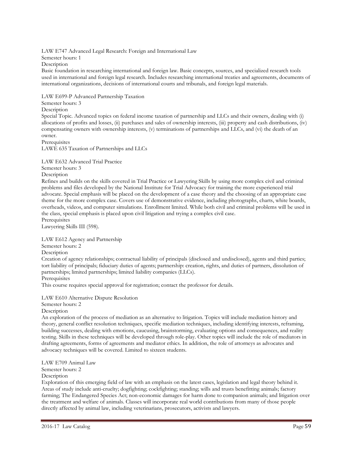LAW E747 Advanced Legal Research: Foreign and International Law Semester hours: 1 Description Basic foundation in researching international and foreign law. Basic concepts, sources, and specialized research tools used in international and foreign legal research. Includes researching international treaties and agreements, documents of international organizations, decisions of international courts and tribunals, and foreign legal materials.

LAW E699-P Advanced Partnership Taxation Semester hours: 3 Description Special Topic. Advanced topics on federal income taxation of partnership and LLCs and their owners, dealing with (i) allocations of profits and losses, (ii) purchases and sales of ownership interests, (iii) property and cash distributions, (iv) compensating owners with ownership interests, (v) terminations of partnerships and LLCs, and (vi) the death of an owner. **Prerequisites** 

LAWE 635 Taxation of Partnerships and LLCs

LAW E632 Advanced Trial Practice

Semester hours: 3

Description

Refines and builds on the skills covered in Trial Practice or Lawyering Skills by using more complex civil and criminal problems and files developed by the National Institute for Trial Advocacy for training the more experienced trial advocate. Special emphasis will be placed on the development of a case theory and the choosing of an appropriate case theme for the more complex case. Covers use of demonstrative evidence, including photographs, charts, white boards, overheads, videos, and computer simulations. Enrollment limited. While both civil and criminal problems will be used in the class, special emphasis is placed upon civil litigation and trying a complex civil case. **Prerequisites** 

Lawyering Skills III (598).

## LAW E612 Agency and Partnership

Semester hours: 2

Description

Creation of agency relationships; contractual liability of principals (disclosed and undisclosed), agents and third parties; tort liability of principals; fiduciary duties of agents; partnership: creation, rights, and duties of partners, dissolution of partnerships; limited partnerships; limited liability companies (LLCs).

Prerequisites

This course requires special approval for registration; contact the professor for details.

LAW E610 Alternative Dispute Resolution

Semester hours: 2

## Description

An exploration of the process of mediation as an alternative to litigation. Topics will include mediation history and theory, general conflict resolution techniques, specific mediation techniques, including identifying interests, reframing, building successes, dealing with emotions, caucusing, brainstorming, evaluating options and consequences, and reality testing. Skills in these techniques will be developed through role-play. Other topics will include the role of mediators in drafting agreements, forms of agreements and mediator ethics. In addition, the role of attorneys as advocates and advocacy techniques will be covered. Limited to sixteen students.

LAW E709 Animal Law

Semester hours: 2

Description

Exploration of this emerging field of law with an emphasis on the latest cases, legislation and legal theory behind it. Areas of study include anti-cruelty; dogfighting; cockfighting; standing; wills and trusts benefitting animals; factory farming; The Endangered Species Act; non-economic damages for harm done to companion animals; and litigation over the treatment and welfare of animals. Classes will incorporate real world contributions from many of those people directly affected by animal law, including veterinarians, prosecutors, activists and lawyers.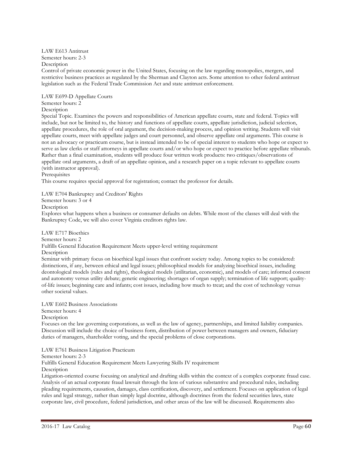## LAW E613 Antitrust Semester hours: 2-3 Description

Control of private economic power in the United States, focusing on the law regarding monopolies, mergers, and restrictive business practices as regulated by the Sherman and Clayton acts. Some attention to other federal antitrust legislation such as the Federal Trade Commission Act and state antitrust enforcement.

LAW E699-D Appellate Courts Semester hours: 2 Description

Special Topic. Examines the powers and responsibilities of American appellate courts, state and federal. Topics will include, but not be limited to, the history and functions of appellate courts, appellate jurisdiction, judicial selection, appellate procedures, the role of oral argument, the decision-making process, and opinion writing. Students will visit appellate courts, meet with appellate judges and court personnel, and observe appellate oral arguments. This course is not an advocacy or practicum course, but is instead intended to be of special interest to students who hope or expect to serve as law clerks or staff attorneys in appellate courts and/or who hope or expect to practice before appellate tribunals. Rather than a final examination, students will produce four written work products: two critiques/observations of appellate oral arguments, a draft of an appellate opinion, and a research paper on a topic relevant to appellate courts (with instructor approval).

Prerequisites

This course requires special approval for registration; contact the professor for details.

LAW E704 Bankruptcy and Creditors' Rights

Semester hours: 3 or 4

Description

Explores what happens when a business or consumer defaults on debts. While most of the classes will deal with the Bankruptcy Code, we will also cover Virginia creditors rights law.

LAW E717 Bioethics

Semester hours: 2

Fulfills General Education Requirement Meets upper-level writing requirement

Description

Seminar with primary focus on bioethical legal issues that confront society today. Among topics to be considered: distinctions, if any, between ethical and legal issues; philosophical models for analyzing bioethical issues, including deontological models (rules and rights), theological models (utilitarian, economic), and models of care; informed consent and autonomy versus utility debate; genetic engineering; shortages of organ supply; termination of life support; qualityof-life issues; beginning care and infants; cost issues, including how much to treat; and the cost of technology versus other societal values.

LAW E602 Business Associations

Semester hours: 4

Description

Focuses on the law governing corporations, as well as the law of agency, partnerships, and limited liability companies. Discussion will include the choice of business form, distribution of power between managers and owners, fiduciary duties of managers, shareholder voting, and the special problems of close corporations.

LAW E761 Business Litigation Practicum

Semester hours: 2-3

Fulfills General Education Requirement Meets Lawyering Skills IV requirement **Description** 

Litigation-oriented course focusing on analytical and drafting skills within the context of a complex corporate fraud case. Analysis of an actual corporate fraud lawsuit through the lens of various substantive and procedural rules, including pleading requirements, causation, damages, class certification, discovery, and settlement. Focuses on application of legal rules and legal strategy, rather than simply legal doctrine, although doctrines from the federal securities laws, state corporate law, civil procedure, federal jurisdiction, and other areas of the law will be discussed. Requirements also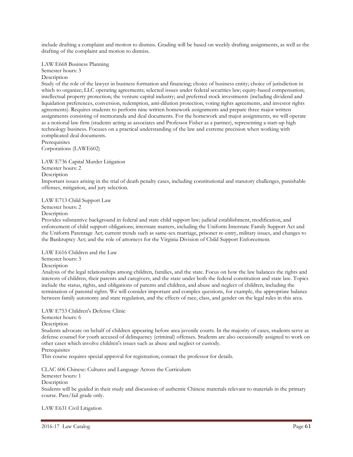include drafting a complaint and motion to dismiss. Grading will be based on weekly drafting assignments, as well as the drafting of the complaint and motion to dismiss.

LAW E668 Business Planning Semester hours: 3 Description

Study of the role of the lawyer in business formation and financing; choice of business entity; choice of jurisdiction in which to organize; LLC operating agreements; selected issues under federal securities law; equity-based compensation; intellectual property protection; the venture capital industry; and preferred stock investments (including dividend and liquidation preferences, conversion, redemption, anti-dilution protection, voting rights agreements, and investor rights agreements). Requires students to perform nine written homework assignments and prepare three major written assignments consisting of memoranda and deal documents. For the homework and major assignments, we will operate as a notional law firm (students acting as associates and Professor Fisher as a partner), representing a start-up high technology business. Focuses on a practical understanding of the law and extreme precision when working with complicated deal documents. **Prerequisites** 

Corporations (LAWE602)

LAW E736 Capital Murder Litigation Semester hours: 2 Description Important issues arising in the trial of death penalty cases, including constitutional and statutory challenges, punishable offenses, mitigation, and jury selection.

LAW E713 Child Support Law Semester hours: 2

Description

Provides substantive background in federal and state child support law; judicial establishment, modification, and enforcement of child support obligations; interstate matters, including the Uniform Interstate Family Support Act and the Uniform Parentage Act; current trends such as same-sex marriage, prisoner re-entry, military issues, and changes to the Bankruptcy Act; and the role of attorneys for the Virginia Division of Child Support Enforcement.

LAW E616 Children and the Law

Semester hours: 3 Description

Analysis of the legal relationships among children, families, and the state. Focus on how the law balances the rights and interests of children, their parents and caregivers, and the state under both the federal constitution and state law. Topics include the status, rights, and obligations of parents and children, and abuse and neglect of children, including the termination of parental rights. We will consider important and complex questions, for example, the appropriate balance between family autonomy and state regulation, and the effects of race, class, and gender on the legal rules in this area.

LAW E753 Children's Defense Clinic

Semester hours: 6

Description

Students advocate on behalf of children appearing before area juvenile courts. In the majority of cases, students serve as defense counsel for youth accused of delinquency (criminal) offenses. Students are also occasionally assigned to work on other cases which involve children's issues such as abuse and neglect or custody.

Prerequisites

This course requires special approval for registration; contact the professor for details.

CLAC 606 Chinese: Cultures and Language Across the Curriculum

Semester hours: 1

Description

Students will be guided in their study and discussion of authentic Chinese materials relevant to materials in the primary course. Pass/fail grade only.

LAW E631 Civil Litigation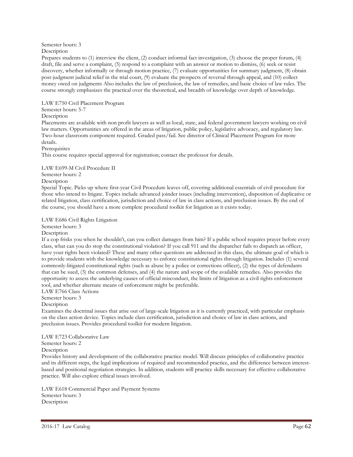# Semester hours: 3

Description

Prepares students to (1) interview the client, (2) conduct informal fact investigation, (3) choose the proper forum, (4) draft, file and serve a complaint, (5) respond to a complaint with an answer or motion to dismiss, (6) seek or resist discovery, whether informally or through motion practice, (7) evaluate opportunities for summary judgment, (8) obtain post-judgment judicial relief in the trial court, (9) evaluate the prospects of reversal through appeal, and (10) collect money owed on judgments Also includes the law of preclusion, the law of remedies, and basic choice of law rules. The course strongly emphasizes the practical over the theoretical, and breadth of knowledge over depth of knowledge.

LAW E750 Civil Placement Program

## Semester hours: 5-7

**Description** 

Placements are available with non profit lawyers as well as local, state, and federal government lawyers working on civil law matters. Opportunities are offered in the areas of litigation, public policy, legislative advocacy, and regulatory law. Two-hour classroom component required. Graded pass/fail. See director of Clinical Placement Program for more details.

**Prerequisites** 

This course requires special approval for registration; contact the professor for details.

LAW E699-M Civil Procedure II

Semester hours: 2

Description

Special Topic. Picks up where first-year Civil Procedure leaves off, covering additional essentials of civil procedure for those who intend to litigate. Topics include advanced joinder issues (including intervention), disposition of duplicative or related litigation, class certification, jurisdiction and choice of law in class actions, and preclusion issues. By the end of the course, you should have a more complete procedural toolkit for litigation as it exists today.

LAW E686 Civil Rights Litigation

Semester hours: 3

Description

If a cop frisks you when he shouldn't, can you collect damages from him? If a public school requires prayer before every class, what can you do stop the constitutional violation? If you call 911 and the dispatcher fails to dispatch an officer, have your rights been violated? These and many other questions are addressed in this class, the ultimate goal of which is to provide students with the knowledge necessary to enforce constitutional rights through litigation. Includes (1) several commonly-litigated constitutional rights (such as abuse by a police or corrections officer), (2) the types of defendants that can be sued, (3) the common defenses, and (4) the nature and scope of the available remedies. Also provides the opportunity to assess the underlying causes of official misconduct, the limits of litigation as a civil rights enforcement tool, and whether alternate means of enforcement might be preferable.

LAW E766 Class Actions

Semester hours: 3

Description

Examines the doctrinal issues that arise out of large-scale litigation as it is currently practiced, with particular emphasis on the class action device. Topics include class certification, jurisdiction and choice of law in class actions, and preclusion issues. Provides procedural toolkit for modern litigation.

LAW E723 Collaborative Law

Semester hours: 2

Description

Provides history and development of the collaborative practice model. Will discuss principles of collaborative practice and its different steps, the legal implications of required and recommended practice, and the difference between interestbased and positional negotiation strategies. In addition, students will practice skills necessary for effective collaborative practice. Will also explore ethical issues involved.

LAW E618 Commercial Paper and Payment Systems Semester hours: 3 Description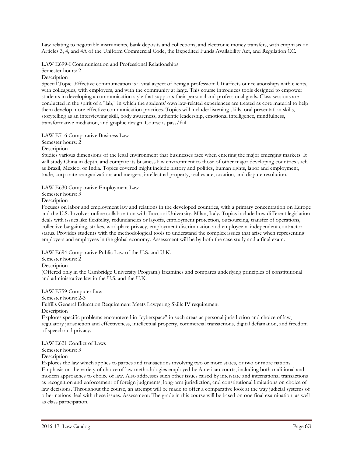Law relating to negotiable instruments, bank deposits and collections, and electronic money transfers, with emphasis on Articles 3, 4, and 4A of the Uniform Commercial Code, the Expedited Funds Availability Act, and Regulation CC.

LAW E699-I Communication and Professional Relationships Semester hours: 2

Description

Special Topic. Effective communication is a vital aspect of being a professional. It affects our relationships with clients, with colleagues, with employers, and with the community at large. This course introduces tools designed to empower students in developing a communication style that supports their personal and professional goals. Class sessions are conducted in the spirit of a "lab," in which the students' own law-related experiences are treated as core material to help them develop more effective communication practices. Topics will include: listening skills, oral presentation skills, storytelling as an interviewing skill, body awareness, authentic leadership, emotional intelligence, mindfulness, transformative mediation, and graphic design. Course is pass/fail

LAW E716 Comparative Business Law

Semester hours: 2

Description

Studies various dimensions of the legal environment that businesses face when entering the major emerging markets. It will study China in depth, and compare its business law environment to those of other major developing countries such as Brazil, Mexico, or India. Topics covered might include history and politics, human rights, labor and employment, trade, corporate reorganizations and mergers, intellectual property, real estate, taxation, and dispute resolution.

LAW E630 Comparative Employment Law

Semester hours: 3

Description

Focuses on labor and employment law and relations in the developed countries, with a primary concentration on Europe and the U.S. Involves online collaboration with Bocconi University, Milan, Italy. Topics include how different legislation deals with issues like flexibility, redundancies or layoffs, employment protection, outsourcing, transfer of operations, collective bargaining, strikes, workplace privacy, employment discrimination and employee v. independent contractor status. Provides students with the methodological tools to understand the complex issues that arise when representing employers and employees in the global economy. Assessment will be by both the case study and a final exam.

LAW E694 Comparative Public Law of the U.S. and U.K.

Semester hours: 2

Description

(Offered only in the Cambridge University Program.) Examines and compares underlying principles of constitutional and administrative law in the U.S. and the U.K.

LAW E759 Computer Law Semester hours: 2-3 Fulfills General Education Requirement Meets Lawyering Skills IV requirement

Description

Explores specific problems encountered in "cyberspace" in such areas as personal jurisdiction and choice of law, regulatory jurisdiction and effectiveness, intellectual property, commercial transactions, digital defamation, and freedom of speech and privacy.

LAW E621 Conflict of Laws Semester hours: 3

Description

Explores the law which applies to parties and transactions involving two or more states, or two or more nations. Emphasis on the variety of choice of law methodologies employed by American courts, including both traditional and modern approaches to choice of law. Also addresses such other issues raised by interstate and international transactions as recognition and enforcement of foreign judgments, long-arm jurisdiction, and constitutional limitations on choice of law decisions. Throughout the course, an attempt will be made to offer a comparative look at the way judicial systems of other nations deal with these issues. Assessment: The grade in this course will be based on one final examination, as well as class participation.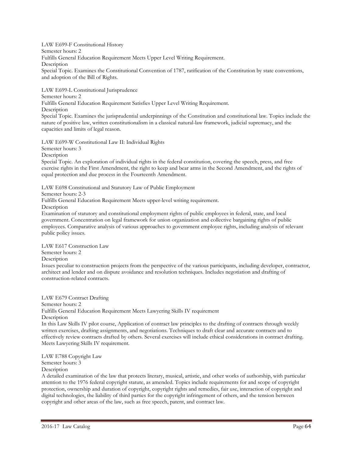LAW E699-F Constitutional History Semester hours: 2 Fulfills General Education Requirement Meets Upper Level Writing Requirement. Description Special Topic. Examines the Constitutional Convention of 1787, ratification of the Constitution by state conventions, and adoption of the Bill of Rights.

LAW E699-L Constitutional Jurisprudence Semester hours: 2 Fulfills General Education Requirement Satisfies Upper Level Writing Requirement. Description Special Topic. Examines the jurisprudential underpinnings of the Constitution and constitutional law. Topics include the nature of positive law, written constitutionalism in a classical natural-law framework, judicial supremacy, and the capacities and limits of legal reason.

LAW E699-W Constitutional Law II: Individual Rights Semester hours: 3 Description

Special Topic. An exploration of individual rights in the federal constitution, covering the speech, press, and free exercise rights in the First Amendment, the right to keep and bear arms in the Second Amendment, and the rights of equal protection and due process in the Fourteenth Amendment.

LAW E698 Constitutional and Statutory Law of Public Employment Semester hours: 2-3 Fulfills General Education Requirement Meets upper-level writing requirement. Description Examination of statutory and constitutional employment rights of public employees in federal, state, and local

government. Concentration on legal framework for union organization and collective bargaining rights of public employees. Comparative analysis of various approaches to government employee rights, including analysis of relevant public policy issues.

LAW E617 Construction Law Semester hours: 2 Description Issues peculiar to construction projects from the perspective of the various participants, including developer, contractor, architect and lender and on dispute avoidance and resolution techniques. Includes negotiation and drafting of construction-related contracts.

LAW E679 Contract Drafting Semester hours: 2 Fulfills General Education Requirement Meets Lawyering Skills IV requirement Description In this Law Skills IV pilot course, Application of contract law principles to the drafting of contracts through weekly written exercises, drafting assignments, and negotiations. Techniques to draft clear and accurate contracts and to effectively review contracts drafted by others. Several exercises will include ethical considerations in contract drafting. Meets Lawyering Skills IV requirement.

Semester hours: 3 Description A detailed examination of the law that protects literary, musical, artistic, and other works of authorship, with particular attention to the 1976 federal copyright statute, as amended. Topics include requirements for and scope of copyright protection, ownership and duration of copyright, copyright rights and remedies, fair use, interaction of copyright and digital technologies, the liability of third parties for the copyright infringement of others, and the tension between copyright and other areas of the law, such as free speech, patent, and contract law.

LAW E788 Copyright Law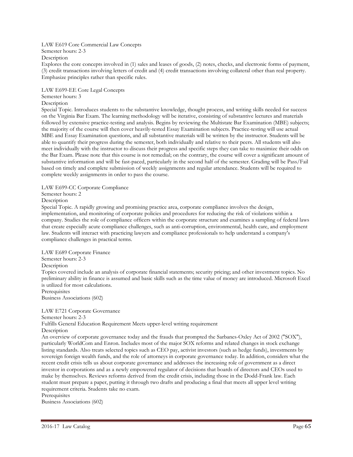#### LAW E619 Core Commercial Law Concepts

Semester hours: 2-3

Description

Explores the core concepts involved in (1) sales and leases of goods, (2) notes, checks, and electronic forms of payment, (3) credit transactions involving letters of credit and (4) credit transactions involving collateral other than real property. Emphasize principles rather than specific rules.

LAW E699-EE Core Legal Concepts

## Semester hours: 3

#### **Description**

Special Topic. Introduces students to the substantive knowledge, thought process, and writing skills needed for success on the Virginia Bar Exam. The learning methodology will be iterative, consisting of substantive lectures and materials followed by extensive practice-testing and analysis. Begins by reviewing the Multistate Bar Examination (MBE) subjects; the majority of the course will then cover heavily-tested Essay Examination subjects. Practice-testing will use actual MBE and Essay Examination questions, and all substantive materials will be written by the instructor. Students will be able to quantify their progress during the semester, both individually and relative to their peers. All students will also meet individually with the instructor to discuss their progress and specific steps they can take to maximize their odds on the Bar Exam. Please note that this course is not remedial; on the contrary, the course will cover a significant amount of substantive information and will be fast-paced, particularly in the second half of the semester. Grading will be Pass/Fail based on timely and complete submission of weekly assignments and regular attendance. Students will be required to complete weekly assignments in order to pass the course.

## LAW E699-CC Corporate Compliance

Semester hours: 2

## Description

Special Topic. A rapidly growing and promising practice area, corporate compliance involves the design, implementation, and monitoring of corporate policies and procedures for reducing the risk of violations within a company. Studies the role of compliance officers within the corporate structure and examines a sampling of federal laws that create especially acute compliance challenges, such as anti-corruption, environmental, health care, and employment law. Students will interact with practicing lawyers and compliance professionals to help understand a company's compliance challenges in practical terms.

## LAW E689 Corporate Finance

Semester hours: 2-3

Description

Topics covered include an analysis of corporate financial statements; security pricing; and other investment topics. No preliminary ability in finance is assumed and basic skills such as the time value of money are introduced. Microsoft Excel is utilized for most calculations.

Prerequisites Business Associations (602)

## LAW E721 Corporate Governance

Semester hours: 2-3

Fulfills General Education Requirement Meets upper-level writing requirement Description

An overview of corporate governance today and the frauds that prompted the Sarbanes-Oxley Act of 2002 ("SOX"), particularly WorldCom and Enron. Includes most of the major SOX reforms and related changes in stock exchange listing standards. Also treats selected topics such as CEO pay, activist investors (such as hedge funds), investments by sovereign foreign wealth funds, and the role of attorneys in corporate governance today. In addition, considers what the recent credit crisis tells us about corporate governance and addresses the increasing role of government as a direct investor in corporations and as a newly empowered regulator of decisions that boards of directors and CEOs used to make by themselves. Reviews reforms derived from the credit crisis, including those in the Dodd-Frank law. Each student must prepare a paper, putting it through two drafts and producing a final that meets all upper level writing requirement criteria. Students take no exam.

Prerequisites Business Associations (602)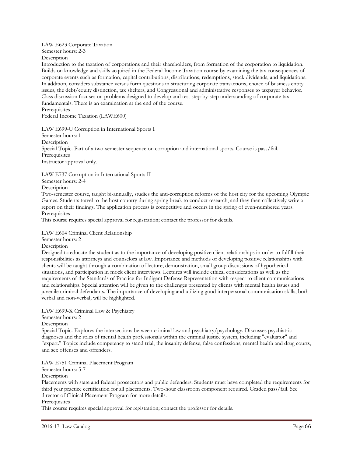LAW E623 Corporate Taxation

Semester hours: 2-3

Description

Introduction to the taxation of corporations and their shareholders, from formation of the corporation to liquidation. Builds on knowledge and skills acquired in the Federal Income Taxation course by examining the tax consequences of corporate events such as formation, capital contributions, distributions, redemptions, stock dividends, and liquidations. In addition, considers substance versus form questions in structuring corporate transactions, choice of business entity issues, the debt/equity distinction, tax shelters, and Congressional and administrative responses to taxpayer behavior. Class discussion focuses on problems designed to develop and test step-by-step understanding of corporate tax fundamentals. There is an examination at the end of the course. **Prerequisites** 

Federal Income Taxation (LAWE600)

LAW E699-U Corruption in International Sports I Semester hours: 1 **Description** Special Topic. Part of a two-semester sequence on corruption and international sports. Course is pass/fail. Prerequisites Instructor approval only.

LAW E737 Corruption in International Sports II Semester hours: 2-4

Description

Two-semester course, taught bi-annually, studies the anti-corruption reforms of the host city for the upcoming Olympic Games. Students travel to the host country during spring break to conduct research, and they then collectively write a report on their findings. The application process is competitive and occurs in the spring of even-numbered years. **Prerequisites** 

This course requires special approval for registration; contact the professor for details.

LAW E604 Criminal Client Relationship

Semester hours: 2

Description

Designed to educate the student as to the importance of developing positive client relationships in order to fulfill their responsibilities as attorneys and counselors at law. Importance and methods of developing positive relationships with clients will be taught through a combination of lecture, demonstration, small group discussions of hypothetical situations, and participation in mock client interviews. Lectures will include ethical considerations as well as the requirements of the Standards of Practice for Indigent Defense Representation with respect to client communications and relationships. Special attention will be given to the challenges presented by clients with mental health issues and juvenile criminal defendants. The importance of developing and utilizing good interpersonal communication skills, both verbal and non-verbal, will be highlighted.

LAW E699-X Criminal Law & Psychiatry

Semester hours: 2

Description

Special Topic. Explores the intersections between criminal law and psychiatry/psychology. Discusses psychiatric diagnoses and the roles of mental health professionals within the criminal justice system, including "evaluator" and "expert." Topics include competency to stand trial, the insanity defense, false confessions, mental health and drug courts, and sex offenses and offenders.

LAW E751 Criminal Placement Program

Semester hours: 5-7

**Description** 

Placements with state and federal prosecutors and public defenders. Students must have completed the requirements for third year practice certification for all placements. Two-hour classroom component required. Graded pass/fail. See director of Clinical Placement Program for more details.

Prerequisites

This course requires special approval for registration; contact the professor for details.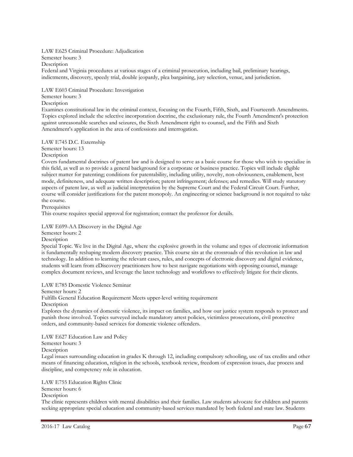LAW E625 Criminal Procedure: Adjudication

Semester hours: 3 Description

Federal and Virginia procedures at various stages of a criminal prosecution, including bail, preliminary hearings, indictments, discovery, speedy trial, double jeopardy, plea bargaining, jury selection, venue, and jurisdiction.

LAW E603 Criminal Procedure: Investigation

Semester hours: 3

## Description

Examines constitutional law in the criminal context, focusing on the Fourth, Fifth, Sixth, and Fourteenth Amendments. Topics explored include the selective incorporation doctrine, the exclusionary rule, the Fourth Amendment's protection against unreasonable searches and seizures, the Sixth Amendment right to counsel, and the Fifth and Sixth Amendment's application in the area of confessions and interrogation.

# LAW E745 D.C. Externship

Semester hours: 13

Description

Covers fundamental doctrines of patent law and is designed to serve as a basic course for those who wish to specialize in this field, as well as to provide a general background for a corporate or business practice. Topics will include eligible subject matter for patenting; conditions for patentability, including utility, novelty, non-obviousness, enablement, best mode, definiteness, and adequate written description; patent infringement; defenses; and remedies. Will study statutory aspects of patent law, as well as judicial interpretation by the Supreme Court and the Federal Circuit Court. Further, course will consider justifications for the patent monopoly. An engineering or science background is not required to take the course.

Prerequisites

This course requires special approval for registration; contact the professor for details.

LAW E699-AA Discovery in the Digital Age

Semester hours: 2

## **Description**

Special Topic. We live in the Digital Age, where the explosive growth in the volume and types of electronic information is fundamentally reshaping modern discovery practice. This course sits at the crossroads of this revolution in law and technology. In addition to learning the relevant cases, rules, and concepts of electronic discovery and digital evidence, students will learn from eDiscovery practitioners how to best navigate negotiations with opposing counsel, manage complex document reviews, and leverage the latest technology and workflows to effectively litigate for their clients.

LAW E785 Domestic Violence Seminar

Semester hours: 2

Fulfills General Education Requirement Meets upper-level writing requirement

Description

Explores the dynamics of domestic violence, its impact on families, and how our justice system responds to protect and punish those involved. Topics surveyed include mandatory arrest policies, victimless prosecutions, civil protective orders, and community-based services for domestic violence offenders.

LAW E627 Education Law and Policy Semester hours: 3

Description

Legal issues surrounding education in grades K through 12, including compulsory schooling, use of tax credits and other means of financing education, religion in the schools, textbook review, freedom of expression issues, due process and discipline, and competency role in education.

LAW E755 Education Rights Clinic

Semester hours: 6

**Description** 

The clinic represents children with mental disabilities and their families. Law students advocate for children and parents seeking appropriate special education and community-based services mandated by both federal and state law. Students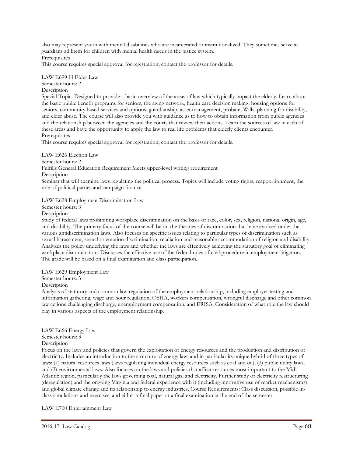also may represent youth with mental disabilities who are incarcerated or institutionalized. They sometimes serve as guardians ad litem for children with mental health needs in the justice system. Prerequisites

This course requires special approval for registration; contact the professor for details.

LAW E699-H Elder Law Semester hours: 2

**Description** 

Special Topic. Designed to provide a basic overview of the areas of law which typically impact the elderly. Learn about the basic public benefit programs for seniors, the aging network, health care decision making, housing options for seniors, community based services and options, guardianship, asset management, probate, Wills, planning for disability, and elder abuse. The course will also provide you with guidance as to how to obtain information from public agencies and the relationship between the agencies and the courts that review their actions. Learn the sources of law in each of these areas and have the opportunity to apply the law to real life problems that elderly clients encounter. **Prerequisites** 

This course requires special approval for registration; contact the professor for details.

LAW E626 Election Law Semester hours: 2 Fulfills General Education Requirement Meets upper-level writing requirement Description Seminar that will examine laws regulating the political process. Topics will include voting rights, reapportionment, the role of political parties and campaign finance.

LAW E628 Employment Discrimination Law

Semester hours: 3

**Description** 

Study of federal laws prohibiting workplace discrimination on the basis of race, color, sex, religion, national origin, age, and disability. The primary focus of the course will be on the theories of discrimination that have evolved under the various antidiscrimination laws. Also focuses on specific issues relating to particular types of discrimination such as sexual harassment, sexual orientation discrimination, retaliation and reasonable accommodation of religion and disability. Analyzes the policy underlying the laws and whether the laws are effectively achieving the statutory goal of eliminating workplace discrimination. Discusses the effective use of the federal rules of civil procedure in employment litigation. The grade will be based on a final examination and class participation.

LAW E629 Employment Law

Semester hours: 3

Description

Analysis of statutory and common law regulation of the employment relationship, including employer testing and information gathering, wage and hour regulation, OSHA, workers compensation, wrongful discharge and other common law actions challenging discharge, unemployment compensation, and ERISA. Consideration of what role the law should play in various aspects of the employment relationship.

LAW E666 Energy Law

Semester hours: 3

Description

Focus on the laws and policies that govern the exploitation of energy resources and the production and distribution of electricity. Includes an introduction to the structure of energy law, and in particular its unique hybrid of three types of laws: (1) natural resources laws (laws regulating individual energy resources such as coal and oil); (2) public utility laws; and (3) environmental laws. Also focuses on the laws and policies that affect resources most important to the Mid-Atlantic region, particularly the laws governing coal, natural gas, and electricity. Further study of electricity restructuring (deregulation) and the ongoing Virginia and federal experience with it (including innovative use of market mechanisms) and global climate change and its relationship to energy industries. Course Requirements: Class discussion, possible inclass simulations and exercises, and either a final paper or a final examination at the end of the semester.

LAW E700 Entertainment Law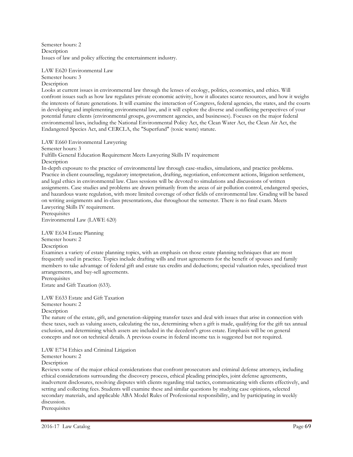Semester hours: 2 Description Issues of law and policy affecting the entertainment industry.

LAW E620 Environmental Law Semester hours: 3

**Description** 

Looks at current issues in environmental law through the lenses of ecology, politics, economics, and ethics. Will confront issues such as how law regulates private economic activity, how it allocates scarce resources, and how it weighs the interests of future generations. It will examine the interaction of Congress, federal agencies, the states, and the courts in developing and implementing environmental law, and it will explore the diverse and conflicting perspectives of your potential future clients (environmental groups, government agencies, and businesses). Focuses on the major federal environmental laws, including the National Environmental Policy Act, the Clean Water Act, the Clean Air Act, the Endangered Species Act, and CERCLA, the "Superfund" (toxic waste) statute.

LAW E660 Environmental Lawyering

Semester hours: 3

Fulfills General Education Requirement Meets Lawyering Skills IV requirement Description

In-depth exposure to the practice of environmental law through case-studies, simulations, and practice problems. Practice in client counseling, regulatory interpretation, drafting, negotiation, enforcement actions, litigation settlement, and legal ethics in environmental law. Class sessions will be devoted to simulations and discussions of written assignments. Case studies and problems are drawn primarily from the areas of air pollution control, endangered species, and hazardous waste regulation, with more limited coverage of other fields of environmental law. Grading will be based on writing assignments and in-class presentations, due throughout the semester. There is no final exam. Meets Lawyering Skills IV requirement.

**Prerequisites** Environmental Law (LAWE 620)

LAW E634 Estate Planning

Semester hours: 2

Description

Examines a variety of estate planning topics, with an emphasis on those estate planning techniques that are most frequently used in practice. Topics include drafting wills and trust agreements for the benefit of spouses and family members to take advantage of federal gift and estate tax credits and deductions; special valuation rules, specialized trust arrangements, and buy-sell agreements.

**Prerequisites** Estate and Gift Taxation (633).

LAW E633 Estate and Gift Taxation Semester hours: 2

**Description** 

The nature of the estate, gift, and generation-skipping transfer taxes and deal with issues that arise in connection with these taxes, such as valuing assets, calculating the tax, determining when a gift is made, qualifying for the gift tax annual exclusion, and determining which assets are included in the decedent's gross estate. Emphasis will be on general concepts and not on technical details. A previous course in federal income tax is suggested but not required.

LAW E734 Ethics and Criminal Litigation

Semester hours: 2

**Description** 

Reviews some of the major ethical considerations that confront prosecutors and criminal defense attorneys, including ethical considerations surrounding the discovery process, ethical pleading principles, joint defense agreements, inadvertent disclosures, resolving disputes with clients regarding trial tactics, communicating with clients effectively, and setting and collecting fees. Students will examine these and similar questions by studying case opinions, selected secondary materials, and applicable ABA Model Rules of Professional responsibility, and by participating in weekly discussion.

Prerequisites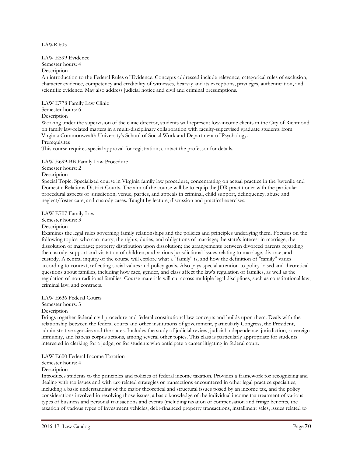## LAWR 605

LAW E599 Evidence

Semester hours: 4

Description

An introduction to the Federal Rules of Evidence. Concepts addressed include relevance, categorical rules of exclusion, character evidence, competency and credibility of witnesses, hearsay and its exceptions, privileges, authentication, and scientific evidence. May also address judicial notice and civil and criminal presumptions.

LAW E778 Family Law Clinic

Semester hours: 6

**Description** 

Working under the supervision of the clinic director, students will represent low-income clients in the City of Richmond on family law-related matters in a multi-disciplinary collaboration with faculty-supervised graduate students from Virginia Commonwealth University's School of Social Work and Department of Psychology. **Prerequisites** 

This course requires special approval for registration; contact the professor for details.

LAW E699-BB Family Law Procedure Semester hours: 2

Description

Special Topic. Specialized course in Virginia family law procedure, concentrating on actual practice in the Juvenile and Domestic Relations District Courts. The aim of the course will be to equip the JDR practitioner with the particular procedural aspects of jurisdiction, venue, parties, and appeals in criminal, child support, delinquency, abuse and neglect/foster care, and custody cases. Taught by lecture, discussion and practical exercises.

LAW E707 Family Law Semester hours: 3

## **Description**

Examines the legal rules governing family relationships and the policies and principles underlying them. Focuses on the following topics: who can marry; the rights, duties, and obligations of marriage; the state's interest in marriage; the dissolution of marriage; property distribution upon dissolution; the arrangements between divorced parents regarding the custody, support and visitation of children; and various jurisdictional issues relating to marriage, divorce, and custody. A central inquiry of the course will explore what a "family" is, and how the definition of "family" varies according to context, reflecting social values and policy goals. Also pays special attention to policy-based and theoretical questions about families, including how race, gender, and class affect the law's regulation of families, as well as the regulation of nontraditional families. Course materials will cut across multiple legal disciplines, such as constitutional law, criminal law, and contracts.

LAW E636 Federal Courts

Semester hours: 3

## Description

Brings together federal civil procedure and federal constitutional law concepts and builds upon them. Deals with the relationship between the federal courts and other institutions of government, particularly Congress, the President, administrative agencies and the states. Includes the study of judicial review, judicial independence, jurisdiction, sovereign immunity, and habeas corpus actions, among several other topics. This class is particularly appropriate for students interested in clerking for a judge, or for students who anticipate a career litigating in federal court.

## LAW E600 Federal Income Taxation

Semester hours: 4

## Description

Introduces students to the principles and policies of federal income taxation. Provides a framework for recognizing and dealing with tax issues and with tax-related strategies or transactions encountered in other legal practice specialties, including a basic understanding of the major theoretical and structural issues posed by an income tax, and the policy considerations involved in resolving those issues; a basic knowledge of the individual income tax treatment of various types of business and personal transactions and events (including taxation of compensation and fringe benefits, the taxation of various types of investment vehicles, debt-financed property transactions, installment sales, issues related to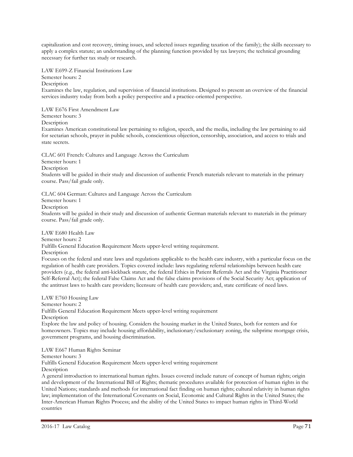capitalization and cost recovery, timing issues, and selected issues regarding taxation of the family); the skills necessary to apply a complex statute; an understanding of the planning function provided by tax lawyers; the technical grounding necessary for further tax study or research.

LAW E699-Z Financial Institutions Law Semester hours: 2 Description Examines the law, regulation, and supervision of financial institutions. Designed to present an overview of the financial services industry today from both a policy perspective and a practice-oriented perspective.

LAW E676 First Amendment Law Semester hours: 3 Description

Examines American constitutional law pertaining to religion, speech, and the media, including the law pertaining to aid for sectarian schools, prayer in public schools, conscientious objection, censorship, association, and access to trials and state secrets.

CLAC 601 French: Cultures and Language Across the Curriculum

Semester hours: 1

Description

Students will be guided in their study and discussion of authentic French materials relevant to materials in the primary course. Pass/fail grade only.

CLAC 604 German: Cultures and Language Across the Curriculum

Semester hours: 1

Description

Students will be guided in their study and discussion of authentic German materials relevant to materials in the primary course. Pass/fail grade only.

LAW E680 Health Law Semester hours: 2 Fulfills General Education Requirement Meets upper-level writing requirement. Description

Focuses on the federal and state laws and regulations applicable to the health care industry, with a particular focus on the regulation of health care providers. Topics covered include: laws regulating referral relationships between health care providers (e.g., the federal anti-kickback statute, the federal Ethics in Patient Referrals Act and the Virginia Practitioner Self-Referral Act); the federal False Claims Act and the false claims provisions of the Social Security Act; application of the antitrust laws to health care providers; licensure of health care providers; and, state certificate of need laws.

LAW E760 Housing Law Semester hours: 2 Fulfills General Education Requirement Meets upper-level writing requirement Description Explore the law and policy of housing. Considers the housing market in the United States, both for renters and for homeowners. Topics may include housing affordability, inclusionary/exclusionary zoning, the subprime mortgage crisis, government programs, and housing discrimination.

LAW E667 Human Rights Seminar

Semester hours: 3

Fulfills General Education Requirement Meets upper-level writing requirement **Description** 

A general introduction to international human rights. Issues covered include nature of concept of human rights; origin and development of the International Bill of Rights; thematic procedures available for protection of human rights in the United Nations; standards and methods for international fact finding on human rights; cultural relativity in human rights law; implementation of the International Covenants on Social, Economic and Cultural Rights in the United States; the Inter-American Human Rights Process; and the ability of the United States to impact human rights in Third-World countries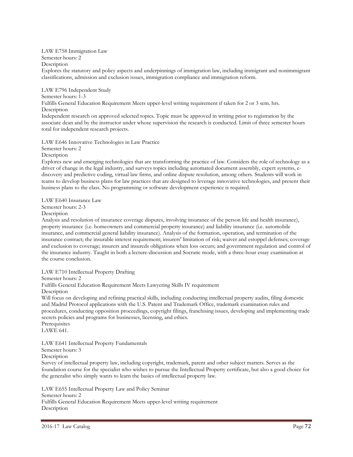#### LAW E758 Immigration Law Semester hours: 2 Description

Explores the statutory and policy aspects and underpinnings of immigration law, including immigrant and nonimmigrant classifications, admission and exclusion issues, immigration compliance and immigration reform.

#### LAW E796 Independent Study

Semester hours: 1-3

Fulfills General Education Requirement Meets upper-level writing requirement if taken for 2 or 3 sem. hrs.

**Description** 

Independent research on approved selected topics. Topic must be approved in writing prior to registration by the associate dean and by the instructor under whose supervision the research is conducted. Limit of three semester hours total for independent research projects.

LAW E646 Innovative Technologies in Law Practice Semester hours: 2

Description

Explores new and emerging technologies that are transforming the practice of law. Considers the role of technology as a driver of change in the legal industry, and surveys topics including automated document assembly, expert systems, ediscovery and predictive coding, virtual law firms, and online dispute resolution, among others. Students will work in teams to develop business plans for law practices that are designed to leverage innovative technologies, and present their business plans to the class. No programming or software development experience is required.

LAW E640 Insurance Law

Semester hours: 2-3

**Description** 

Analysis and resolution of insurance coverage disputes, involving insurance of the person life and health insurance), property insurance (i.e. homeowners and commercial property insurance) and liability insurance (i.e. automobile insurance, and commercial general liability insurance). Analysis of the formation, operation, and termination of the insurance contract; the insurable interest requirement; insurers' limitation of risk; waiver and estoppel defenses; coverage and exclusion to coverage; insurers and insureds obligations when loss occurs; and government regulation and control of the insurance industry. Taught in both a lecture-discussion and Socratic mode, with a three-hour essay examination at the course conclusion.

LAW E710 Intellectual Property Drafting

Semester hours: 2

Fulfills General Education Requirement Meets Lawyering Skills IV requirement Description

Will focus on developing and refining practical skills, including conducting intellectual property audits, filing domestic and Madrid Protocol applications with the U.S. Patent and Trademark Office, trademark examination rules and procedures, conducting opposition proceedings, copyright filings, franchising issues, developing and implementing trade secrets policies and programs for businesses, licensing, and ethics. Prerequisites

LAWE 641.

LAW E641 Intellectual Property Fundamentals

Semester hours: 3

**Description** 

Survey of intellectual property law, including copyright, trademark, patent and other subject matters. Serves as the foundation course for the specialist who wishes to pursue the Intellectual Property certificate, but also a good choice for the generalist who simply wants to learn the basics of intellectual property law.

LAW E655 Intellectual Property Law and Policy Seminar Semester hours: 2 Fulfills General Education Requirement Meets upper-level writing requirement Description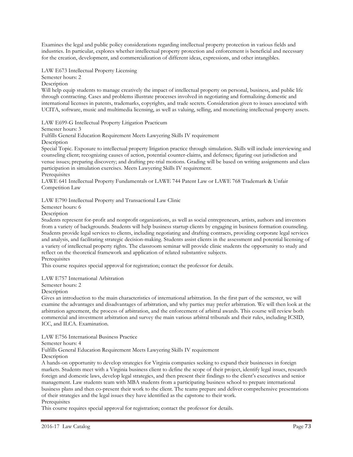Examines the legal and public policy considerations regarding intellectual property protection in various fields and industries. In particular, explores whether intellectual property protection and enforcement is beneficial and necessary for the creation, development, and commercialization of different ideas, expressions, and other intangibles.

LAW E673 Intellectual Property Licensing

Semester hours: 2

Description

Will help equip students to manage creatively the impact of intellectual property on personal, business, and public life through contracting. Cases and problems illustrate processes involved in negotiating and formalizing domestic and international licenses in patents, trademarks, copyrights, and trade secrets. Consideration given to issues associated with UCITA, software, music and multimedia licensing, as well as valuing, selling, and monetizing intellectual property assets.

LAW E699-G Intellectual Property Litigation Practicum

Semester hours: 3

Fulfills General Education Requirement Meets Lawyering Skills IV requirement

**Description** 

Special Topic. Exposure to intellectual property litigation practice through simulation. Skills will include interviewing and counseling client; recognizing causes of action, potential counter-claims, and defenses; figuring out jurisdiction and venue issues; preparing discovery; and drafting pre-trial motions. Grading will be based on writing assignments and class participation in simulation exercises. Meets Lawyering Skills IV requirement.

**Prerequisites** 

LAWE 641 Intellectual Property Fundamentals or LAWE 744 Patent Law or LAWE 768 Trademark & Unfair Competition Law

LAW E790 Intellectual Property and Transactional Law Clinic

Semester hours: 6

Description

Students represent for-profit and nonprofit organizations, as well as social entrepreneurs, artists, authors and inventors from a variety of backgrounds. Students will help business startup clients by engaging in business formation counseling. Students provide legal services to clients, including negotiating and drafting contracts, providing corporate legal services and analysis, and facilitating strategic decision-making. Students assist clients in the assessment and potential licensing of a variety of intellectual property rights. The classroom seminar will provide clinic students the opportunity to study and reflect on the theoretical framework and application of related substantive subjects.

**Prerequisites** 

This course requires special approval for registration; contact the professor for details.

LAW E757 International Arbitration

Semester hours: 2

Description

Gives an introduction to the main characteristics of international arbitration. In the first part of the semester, we will examine the advantages and disadvantages of arbitration, and why parties may prefer arbitration. We will then look at the arbitration agreement, the process of arbitration, and the enforcement of arbitral awards. This course will review both commercial and investment arbitration and survey the main various arbitral tribunals and their rules, including ICSID, ICC, and ILCA. Examination.

LAW E756 International Business Practice

Semester hours: 4

Fulfills General Education Requirement Meets Lawyering Skills IV requirement

Description

A hands-on opportunity to develop strategies for Virginia companies seeking to expand their businesses in foreign markets. Students meet with a Virginia business client to define the scope of their project, identify legal issues, research foreign and domestic laws, develop legal strategies, and then present their findings to the client's executives and senior management. Law students team with MBA students from a participating business school to prepare international business plans and then co-present their work to the client. The teams prepare and deliver comprehensive presentations of their strategies and the legal issues they have identified as the capstone to their work. **Prerequisites** 

This course requires special approval for registration; contact the professor for details.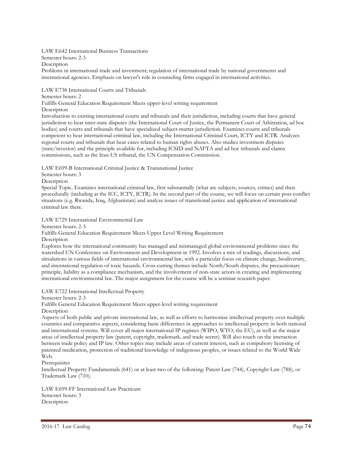LAW E642 International Business Transactions Semester hours: 2-3

Description

Problems in international trade and investment; regulation of international trade by national governments and international agencies. Emphasis on lawyer's role in counseling firms engaged in international activities.

LAW E738 International Courts and Tribunals

Semester hours: 2

Fulfills General Education Requirement Meets upper-level writing requirement

**Description** 

Introduction to existing international courts and tribunals and their jurisdiction, including courts that have general jurisdiction to hear inter-state disputes (the International Court of Justice, the Permanent Court of Arbitration, ad hoc bodies) and courts and tribunals that have specialized subject-matter jurisdiction. Examines courts and tribunals competent to hear international criminal law, including the International Criminal Court, ICTY and ICTR. Analyzes regional courts and tribunals that hear cases related to human rights abuses. Also studies investment disputes (state/investor) and the principle available for, including ICSID and NAFTA and ad hoc tribunals and claims commissions, such as the Iran-US tribunal, the UN Compensation Commission.

LAW E699-B International Criminal Justice & Transnational Justice

Semester hours: 3

Description

Special Topic. Examines international criminal law, first substantially (what are subjects, sources, crimes) and then procedurally (including at the ICC, ICTY, ICTR). In the second part of the course, we will focus on certain post-conflict situations (e.g. Rwanda, Iraq, Afghanistan) and analyze issues of transitional justice and application of international criminal law there.

LAW E729 International Environmental Law

Semester hours: 2-3

Fulfills General Education Requirement Meets Upper Level Writing Requirement

Description

Explores how the international community has managed and mismanaged global environmental problems since the watershed UN Conference on Environment and Development in 1992. Involves a mix of readings, discussions, and simulations in various fields of international environmental law, with a particular focus on climate change, biodiversity, and international regulation of toxic hazards. Cross-cutting themes include North/South disputes, the precautionary principle, liability as a compliance mechanism, and the involvement of non-state actors in creating and implementing international environmental law. The major assignment for the course will be a seminar research paper.

LAW E722 International Intellectual Property

Semester hours: 2-3

Fulfills General Education Requirement Meets upper-level writing requirement

Description

Aspects of both public and private international law, as well as efforts to harmonize intellectual property over multiple countries and comparative aspects, considering basic differences in approaches to intellectual property in both national and international systems. Will cover all major international IP regimes (WIPO, WTO, the EU), as well as the major areas of intellectual property law (patent, copyright, trademark, and trade secret). Will also touch on the interaction between trade policy and IP law. Other topics may include areas of current interest, such as compulsory licensing of patented medication, protection of traditional knowledge of indigenous peoples, or issues related to the World Wide Web.

**Prerequisites** 

Intellectual Property Fundamentals (641) or at least two of the following: Patent Law (744), Copyright Law (788), or Trademark Law (710).

LAW E699-FF International Law Practicum Semester hours: 3 Description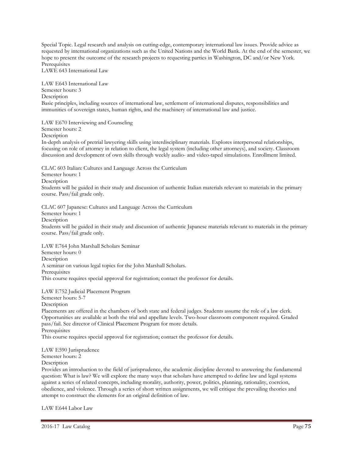Special Topic. Legal research and analysis on cutting-edge, contemporary international law issues. Provide advice as requested by international organizations such as the United Nations and the World Bank. At the end of the semester, we hope to present the outcome of the research projects to requesting parties in Washington, DC and/or New York. Prerequisites

LAWE 643 International Law

LAW E643 International Law Semester hours: 3 **Description** Basic principles, including sources of international law, settlement of international disputes, responsibilities and immunities of sovereign states, human rights, and the machinery of international law and justice.

LAW E670 Interviewing and Counseling Semester hours: 2

**Description** 

In-depth analysis of pretrial lawyering skills using interdisciplinary materials. Explores interpersonal relationships, focusing on role of attorney in relation to client, the legal system (including other attorneys), and society. Classroom discussion and development of own skills through weekly audio- and video-taped simulations. Enrollment limited.

CLAC 603 Italian: Cultures and Language Across the Curriculum Semester hours: 1 **Description** Students will be guided in their study and discussion of authentic Italian materials relevant to materials in the primary course. Pass/fail grade only.

CLAC 607 Japanese: Cultures and Language Across the Curriculum

Semester hours: 1

Description

Students will be guided in their study and discussion of authentic Japanese materials relevant to materials in the primary course. Pass/fail grade only.

LAW E764 John Marshall Scholars Seminar Semester hours: 0 **Description** A seminar on various legal topics for the John Marshall Scholars. Prerequisites This course requires special approval for registration; contact the professor for details.

LAW E752 Judicial Placement Program

Semester hours: 5-7

Description

Placements are offered in the chambers of both state and federal judges. Students assume the role of a law clerk. Opportunities are available at both the trial and appellate levels. Two-hour classroom component required. Graded pass/fail. See director of Clinical Placement Program for more details.

**Prerequisites** 

This course requires special approval for registration; contact the professor for details.

LAW E590 Jurisprudence

Semester hours: 2

**Description** 

Provides an introduction to the field of jurisprudence, the academic discipline devoted to answering the fundamental question: What is law? We will explore the many ways that scholars have attempted to define law and legal systems against a series of related concepts, including morality, authority, power, politics, planning, rationality, coercion, obedience, and violence. Through a series of short written assignments, we will critique the prevailing theories and attempt to construct the elements for an original definition of law.

LAW E644 Labor Law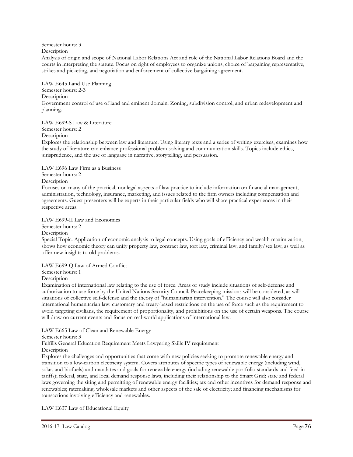Semester hours: 3

Description

Analysis of origin and scope of National Labor Relations Act and role of the National Labor Relations Board and the courts in interpreting the statute. Focus on right of employees to organize unions, choice of bargaining representative, strikes and picketing, and negotiation and enforcement of collective bargaining agreement.

LAW E645 Land Use Planning Semester hours: 2-3 **Description** Government control of use of land and eminent domain. Zoning, subdivision control, and urban redevelopment and planning.

LAW E699-S Law & Literature Semester hours: 2 Description

Explores the relationship between law and literature. Using literary texts and a series of writing exercises, examines how the study of literature can enhance professional problem solving and communication skills. Topics include ethics, jurisprudence, and the use of language in narrative, storytelling, and persuasion.

LAW E696 Law Firm as a Business

Semester hours: 2

Description

Focuses on many of the practical, nonlegal aspects of law practice to include information on financial management, administration, technology, insurance, marketing, and issues related to the firm owners including compensation and agreements. Guest presenters will be experts in their particular fields who will share practical experiences in their respective areas.

LAW E699-II Law and Economics

Semester hours: 2

Description

Special Topic. Application of economic analysis to legal concepts. Using goals of efficiency and wealth maximization, shows how economic theory can unify property law, contract law, tort law, criminal law, and family/sex law, as well as offer new insights to old problems.

LAW E699-Q Law of Armed Conflict Semester hours: 1

**Description** 

Examination of international law relating to the use of force. Areas of study include situations of self-defense and authorization to use force by the United Nations Security Council. Peacekeeping missions will be considered, as will situations of collective self-defense and the theory of "humanitarian intervention." The course will also consider international humanitarian law: customary and treaty-based restrictions on the use of force such as the requirement to avoid targeting civilians, the requirement of proportionality, and prohibitions on the use of certain weapons. The course will draw on current events and focus on real-world applications of international law.

LAW E665 Law of Clean and Renewable Energy

Semester hours: 3

Fulfills General Education Requirement Meets Lawyering Skills IV requirement Description

Explores the challenges and opportunities that come with new policies seeking to promote renewable energy and transition to a low-carbon electricity system. Covers attributes of specific types of renewable energy (including wind, solar, and biofuels) and mandates and goals for renewable energy (including renewable portfolio standards and feed-in tariffs); federal, state, and local demand response laws, including their relationship to the Smart Grid; state and federal laws governing the siting and permitting of renewable energy facilities; tax and other incentives for demand response and renewables; ratemaking, wholesale markets and other aspects of the sale of electricity; and financing mechanisms for transactions involving efficiency and renewables.

LAW E637 Law of Educational Equity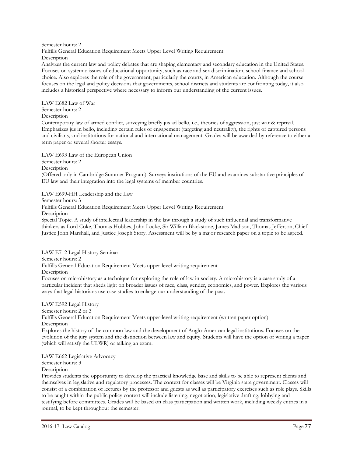Semester hours: 2 Fulfills General Education Requirement Meets Upper Level Writing Requirement. Description

Analyzes the current law and policy debates that are shaping elementary and secondary education in the United States. Focuses on systemic issues of educational opportunity, such as race and sex discrimination, school finance and school choice. Also explores the role of the government, particularly the courts, in American education. Although the course focuses on the legal and policy decisions that governments, school districts and students are confronting today, it also includes a historical perspective where necessary to inform our understanding of the current issues.

LAW E682 Law of War Semester hours: 2 **Description** 

Contemporary law of armed conflict, surveying briefly jus ad bello, i.e., theories of aggression, just war & reprisal. Emphasizes jus in bello, including certain rules of engagement (targeting and neutrality), the rights of captured persons and civilians, and institutions for national and international management. Grades will be awarded by reference to either a term paper or several shorter essays.

LAW E693 Law of the European Union

Semester hours: 2

Description

(Offered only in Cambridge Summer Program). Surveys institutions of the EU and examines substantive principles of EU law and their integration into the legal systems of member countries.

LAW E699-HH Leadership and the Law

Semester hours: 3

Fulfills General Education Requirement Meets Upper Level Writing Requirement.

Description

Special Topic. A study of intellectual leadership in the law through a study of such influential and transformative thinkers as Lord Coke, Thomas Hobbes, John Locke, Sir William Blackstone, James Madison, Thomas Jefferson, Chief Justice John Marshall, and Justice Joseph Story. Assessment will be by a major research paper on a topic to be agreed.

LAW E712 Legal History Seminar Semester hours: 2 Fulfills General Education Requirement Meets upper-level writing requirement Description

Focuses on microhistory as a technique for exploring the role of law in society. A microhistory is a case study of a particular incident that sheds light on broader issues of race, class, gender, economics, and power. Explores the various ways that legal historians use case studies to enlarge our understanding of the past.

LAW E592 Legal History Semester hours: 2 or 3 Fulfills General Education Requirement Meets upper-level writing requirement (written paper option) **Description** Explores the history of the common law and the development of Anglo-American legal institutions. Focuses on the evolution of the jury system and the distinction between law and equity. Students will have the option of writing a paper (which will satisfy the ULWR) or talking an exam.

LAW E662 Legislative Advocacy

Semester hours: 3

Description

Provides students the opportunity to develop the practical knowledge base and skills to be able to represent clients and themselves in legislative and regulatory processes. The context for classes will be Virginia state government. Classes will consist of a combination of lectures by the professor and guests as well as participatory exercises such as role plays. Skills to be taught within the public policy context will include listening, negotiation, legislative drafting, lobbying and testifying before committees. Grades will be based on class participation and written work, including weekly entries in a journal, to be kept throughout the semester.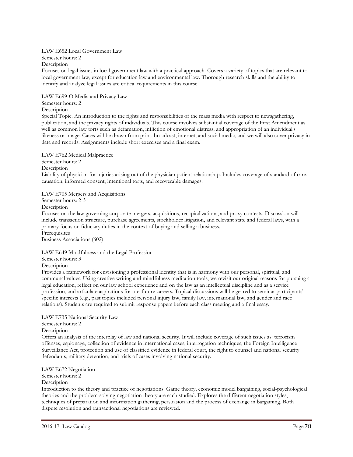#### LAW E652 Local Government Law Semester hours: 2

Description

Focuses on legal issues in local government law with a practical approach. Covers a variety of topics that are relevant to local government law, except for education law and environmental law. Thorough research skills and the ability to identify and analyze legal issues are critical requirements in this course.

LAW E699-O Media and Privacy Law Semester hours: 2

Description

Special Topic. An introduction to the rights and responsibilities of the mass media with respect to newsgathering, publication, and the privacy rights of individuals. This course involves substantial coverage of the First Amendment as well as common law torts such as defamation, infliction of emotional distress, and appropriation of an individual's likeness or image. Cases will be drawn from print, broadcast, internet, and social media, and we will also cover privacy in data and records. Assignments include short exercises and a final exam.

LAW E762 Medical Malpractice

Semester hours: 2 Description

Liability of physician for injuries arising out of the physician patient relationship. Includes coverage of standard of care, causation, informed consent, intentional torts, and recoverable damages.

LAW E705 Mergers and Acquisitions

Semester hours: 2-3

Description

Focuses on the law governing corporate mergers, acquisitions, recapitalizations, and proxy contests. Discussion will include transaction structure, purchase agreements, stockholder litigation, and relevant state and federal laws, with a primary focus on fiduciary duties in the context of buying and selling a business.

**Prerequisites** 

Business Associations (602)

LAW E649 Mindfulness and the Legal Profession

Semester hours: 3

Description

Provides a framework for envisioning a professional identity that is in harmony with our personal, spiritual, and communal values. Using creative writing and mindfulness meditation tools, we revisit our original reasons for pursuing a legal education, reflect on our law school experience and on the law as an intellectual discipline and as a service profession, and articulate aspirations for our future careers. Topical discussions will be geared to seminar participants' specific interests (e.g., past topics included personal injury law, family law, international law, and gender and race relations). Students are required to submit response papers before each class meeting and a final essay.

## LAW E735 National Security Law Semester hours: 2 **Description**

Offers an analysis of the interplay of law and national security. It will include coverage of such issues as: terrorism offenses, espionage, collection of evidence in international cases, interrogation techniques, the Foreign Intelligence Surveillance Act, protection and use of classified evidence in federal court, the right to counsel and national security defendants, military detention, and trials of cases involving national security.

## LAW E672 Negotiation

Semester hours: 2

## **Description**

Introduction to the theory and practice of negotiations. Game theory, economic model bargaining, social-psychological theories and the problem-solving negotiation theory are each studied. Explores the different negotiation styles, techniques of preparation and information gathering, persuasion and the process of exchange in bargaining. Both dispute resolution and transactional negotiations are reviewed.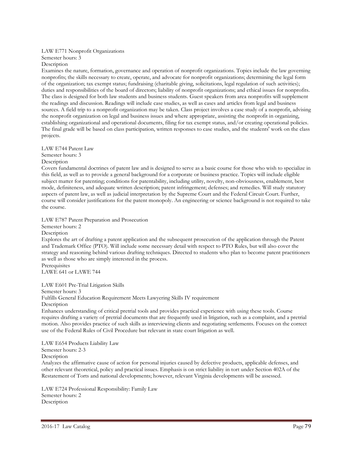## LAW E771 Nonprofit Organizations Semester hours: 3

Description

Examines the nature, formation, governance and operation of nonprofit organizations. Topics include the law governing nonprofits; the skills necessary to create, operate, and advocate for nonprofit organizations; determining the legal form of the organization; tax exempt status; fundraising (charitable giving, solicitations, legal regulation of such activities); duties and responsibilities of the board of directors; liability of nonprofit organizations; and ethical issues for nonprofits. The class is designed for both law students and business students. Guest speakers from area nonprofits will supplement the readings and discussion. Readings will include case studies, as well as cases and articles from legal and business sources. A field trip to a nonprofit organization may be taken. Class project involves a case study of a nonprofit, advising the nonprofit organization on legal and business issues and where appropriate, assisting the nonprofit in organizing, establishing organizational and operational documents, filing for tax exempt status, and/or creating operational policies. The final grade will be based on class participation, written responses to case studies, and the students' work on the class projects.

#### LAW E744 Patent Law

Semester hours: 3

#### Description

Covers fundamental doctrines of patent law and is designed to serve as a basic course for those who wish to specialize in this field, as well as to provide a general background for a corporate or business practice. Topics will include eligible subject matter for patenting; conditions for patentability, including utility, novelty, non-obviousness, enablement, best mode, definiteness, and adequate written description; patent infringement; defenses; and remedies. Will study statutory aspects of patent law, as well as judicial interpretation by the Supreme Court and the Federal Circuit Court. Further, course will consider justifications for the patent monopoly. An engineering or science background is not required to take the course.

## LAW E787 Patent Preparation and Prosecution

Semester hours: 2

**Description** 

Explores the art of drafting a patent application and the subsequent prosecution of the application through the Patent and Trademark Office (PTO). Will include some necessary detail with respect to PTO Rules, but will also cover the strategy and reasoning behind various drafting techniques. Directed to students who plan to become patent practitioners as well as those who are simply interested in the process.

Prerequisites LAWE 641 or LAWE 744

# LAW E601 Pre-Trial Litigation Skills

Semester hours: 3

Fulfills General Education Requirement Meets Lawyering Skills IV requirement

**Description** 

Enhances understanding of critical pretrial tools and provides practical experience with using these tools. Course requires drafting a variety of pretrial documents that are frequently used in litigation, such as a complaint, and a pretrial motion. Also provides practice of such skills as interviewing clients and negotiating settlements. Focuses on the correct use of the Federal Rules of Civil Procedure but relevant in state court litigation as well.

#### LAW E654 Products Liability Law Semester hours: 2-3

# **Description**

Analyzes the affirmative cause of action for personal injuries caused by defective products, applicable defenses, and other relevant theoretical, policy and practical issues. Emphasis is on strict liability in tort under Section 402A of the Restatement of Torts and national developments; however, relevant Virginia developments will be assessed.

LAW E724 Professional Responsibility: Family Law Semester hours: 2 Description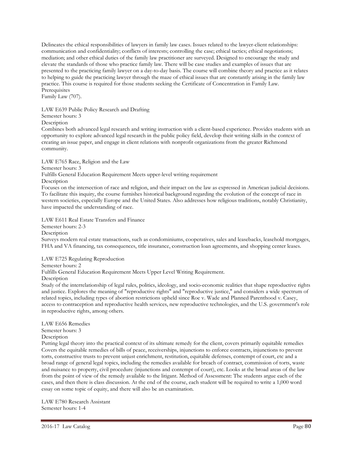Delineates the ethical responsibilities of lawyers in family law cases. Issues related to the lawyer-client relationships: communication and confidentiality; conflicts of interests; controlling the case; ethical tactics; ethical negotiations; mediation; and other ethical duties of the family law practitioner are surveyed. Designed to encourage the study and elevate the standards of those who practice family law. There will be case studies and examples of issues that are presented to the practicing family lawyer on a day-to-day basis. The course will combine theory and practice as it relates to helping to guide the practicing lawyer through the maze of ethical issues that are constantly arising in the family law practice. This course is required for those students seeking the Certificate of Concentration in Family Law. **Prerequisites** 

Family Law (707).

LAW E639 Public Policy Research and Drafting

Semester hours: 3

Description

Combines both advanced legal research and writing instruction with a client-based experience. Provides students with an opportunity to explore advanced legal research in the public policy field, develop their writing skills in the context of creating an issue paper, and engage in client relations with nonprofit organizations from the greater Richmond community.

LAW E765 Race, Religion and the Law Semester hours: 3 Fulfills General Education Requirement Meets upper-level writing requirement **Description** 

Focuses on the intersection of race and religion, and their impact on the law as expressed in American judicial decisions. To facilitate this inquiry, the course furnishes historical background regarding the evolution of the concept of race in western societies, especially Europe and the United States. Also addresses how religious traditions, notably Christianity, have impacted the understanding of race.

LAW E611 Real Estate Transfers and Finance Semester hours: 2-3

**Description** 

Surveys modern real estate transactions, such as condominiums, cooperatives, sales and leasebacks, leasehold mortgages, FHA and VA financing, tax consequences, title insurance, construction loan agreements, and shopping center leases.

LAW E725 Regulating Reproduction

Semester hours: 2

Fulfills General Education Requirement Meets Upper Level Writing Requirement.

**Description** 

Study of the interrelationship of legal rules, politics, ideology, and socio-economic realities that shape reproductive rights and justice. Explores the meaning of "reproductive rights" and "reproductive justice," and considers a wide spectrum of related topics, including types of abortion restrictions upheld since Roe v. Wade and Planned Parenthood v. Casey, access to contraception and reproductive health services, new reproductive technologies, and the U.S. government's role in reproductive rights, among others.

LAW E656 Remedies Semester hours: 3 Description

Putting legal theory into the practical context of its ultimate remedy for the client, covers primarily equitable remedies Covers the equitable remedies of bills of peace, receiverships, injunctions to enforce contracts, injunctions to prevent torts, constructive trusts to prevent unjust enrichment, restitution, equitable defenses, contempt of court, etc and a broad range of general legal topics, including the remedies available for breach of contract, commission of torts, waste and nuisance to property, civil procedure (injunctions and contempt of court), etc. Looks at the broad areas of the law from the point of view of the remedy available to the litigant. Method of Assessment: The students argue each of the cases, and then there is class discussion. At the end of the course, each student will be required to write a 1,000 word essay on some topic of equity, and there will also be an examination.

LAW E780 Research Assistant Semester hours: 1-4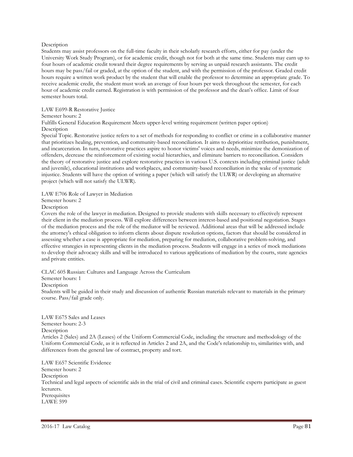## Description

Students may assist professors on the full-time faculty in their scholarly research efforts, either for pay (under the University Work Study Program), or for academic credit, though not for both at the same time. Students may earn up to four hours of academic credit toward their degree requirements by serving as unpaid research assistants. The credit hours may be pass/fail or graded, at the option of the student, and with the permission of the professor. Graded credit hours require a written work product by the student that will enable the professor to determine an appropriate grade. To receive academic credit, the student must work an average of four hours per week throughout the semester, for each hour of academic credit earned. Registration is with permission of the professor and the dean's office. Limit of four semester hours total.

LAW E699-R Restorative Justice

Semester hours: 2

Fulfills General Education Requirement Meets upper-level writing requirement (written paper option) **Description** 

Special Topic. Restorative justice refers to a set of methods for responding to conflict or crime in a collaborative manner that prioritizes healing, prevention, and community-based reconciliation. It aims to deprioritize retribution, punishment, and incarceration. In turn, restorative practices aspire to honor victims' voices and needs, minimize the demonization of offenders, decrease the reinforcement of existing social hierarchies, and eliminate barriers to reconciliation. Considers the theory of restorative justice and explore restorative practices in various U.S. contexts including criminal justice (adult and juvenile), educational institutions and workplaces, and community-based reconciliation in the wake of systematic injustice. Students will have the option of writing a paper (which will satisfy the ULWR) or developing an alternative project (which will not satisfy the ULWR).

LAW E706 Role of Lawyer in Mediation

Semester hours: 2

Description

Covers the role of the lawyer in mediation. Designed to provide students with skills necessary to effectively represent their client in the mediation process. Will explore differences between interest-based and positional negotiation. Stages of the mediation process and the role of the mediator will be reviewed. Additional areas that will be addressed include the attorney's ethical obligation to inform clients about dispute resolution options, factors that should be considered in assessing whether a case is appropriate for mediation, preparing for mediation, collaborative problem-solving, and effective strategies in representing clients in the mediation process. Students will engage in a series of mock mediations to develop their advocacy skills and will be introduced to various applications of mediation by the courts, state agencies and private entities.

CLAC 605 Russian: Cultures and Language Across the Curriculum

Semester hours: 1

Description

Students will be guided in their study and discussion of authentic Russian materials relevant to materials in the primary course. Pass/fail grade only.

LAW E675 Sales and Leases Semester hours: 2-3 Description

Articles 2 (Sales) and 2A (Leases) of the Uniform Commercial Code, including the structure and methodology of the Uniform Commercial Code, as it is reflected in Articles 2 and 2A, and the Code's relationship to, similarities with, and differences from the general law of contract, property and tort.

LAW E657 Scientific Evidence Semester hours: 2 **Description** Technical and legal aspects of scientific aids in the trial of civil and criminal cases. Scientific experts participate as guest lecturers. Prerequisites LAWE 599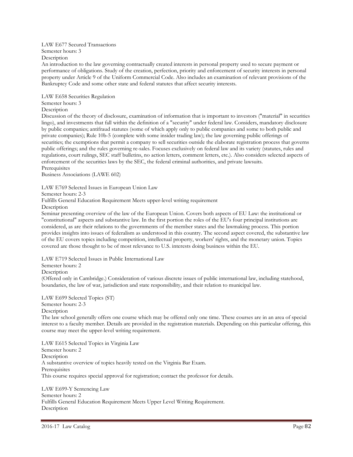#### LAW E677 Secured Transactions Semester hours: 3 Description

An introduction to the law governing contractually created interests in personal property used to secure payment or performance of obligations. Study of the creation, perfection, priority and enforcement of security interests in personal property under Article 9 of the Uniform Commercial Code. Also includes an examination of relevant provisions of the Bankruptcy Code and some other state and federal statutes that affect security interests.

LAW E658 Securities Regulation Semester hours: 3

## **Description**

Discussion of the theory of disclosure, examination of information that is important to investors ("material" in securities lingo), and investments that fall within the definition of a "security" under federal law. Considers, mandatory disclosure by public companies; antifraud statutes (some of which apply only to public companies and some to both public and private companies); Rule 10b-5 (complete with some insider trading law); the law governing public offerings of securities; the exemptions that permit a company to sell securities outside the elaborate registration process that governs public offerings; and the rules governing re-sales. Focuses exclusively on federal law and its variety (statutes, rules and regulations, court rulings, SEC staff bulletins, no action letters, comment letters, etc.). Also considers selected aspects of enforcement of the securities laws by the SEC, the federal criminal authorities, and private lawsuits. Prerequisites

Business Associations (LAWE 602)

LAW E769 Selected Issues in European Union Law

Semester hours: 2-3

Fulfills General Education Requirement Meets upper-level writing requirement Description

Seminar presenting overview of the law of the European Union. Covers both aspects of EU Law: the institutional or "constitutional" aspects and substantive law. In the first portion the roles of the EU's four principal institutions are

considered, as are their relations to the governments of the member states and the lawmaking process. This portion provides insights into issues of federalism as understood in this country. The second aspect covered, the substantive law of the EU covers topics including competition, intellectual property, workers' rights, and the monetary union. Topics covered are those thought to be of most relevance to U.S. interests doing business within the EU.

LAW E719 Selected Issues in Public International Law

Semester hours: 2

Description

(Offered only in Cambridge.) Consideration of various discrete issues of public international law, including statehood, boundaries, the law of war, jurisdiction and state responsibility, and their relation to municipal law.

LAW E699 Selected Topics (ST) Semester hours: 2-3 **Description** 

The law school generally offers one course which may be offered only one time. These courses are in an area of special interest to a faculty member. Details are provided in the registration materials. Depending on this particular offering, this course may meet the upper-level writing requirement.

LAW E615 Selected Topics in Virginia Law Semester hours: 2 **Description** A substantive overview of topics heavily tested on the Virginia Bar Exam. **Prerequisites** This course requires special approval for registration; contact the professor for details.

LAW E699-Y Sentencing Law Semester hours: 2 Fulfills General Education Requirement Meets Upper Level Writing Requirement. Description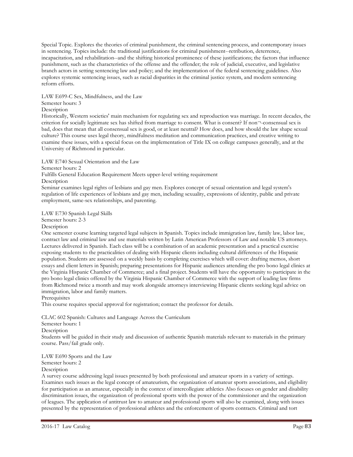Special Topic. Explores the theories of criminal punishment, the criminal sentencing process, and contemporary issues in sentencing. Topics include: the traditional justifications for criminal punishment--retribution, deterrence, incapacitation, and rehabilitation--and the shifting historical prominence of these justifications; the factors that influence punishment, such as the characteristics of the offense and the offender; the role of judicial, executive, and legislative branch actors in setting sentencing law and policy; and the implementation of the federal sentencing guidelines. Also explores systemic sentencing issues, such as racial disparities in the criminal justice system, and modern sentencing reform efforts.

LAW E699-C Sex, Mindfulness, and the Law

# Semester hours: 3

Description

Historically, Western societies' main mechanism for regulating sex and reproduction was marriage. In recent decades, the criterion for socially legitimate sex has shifted from marriage to consent. What is consent? If non¬-consensual sex is bad, does that mean that all consensual sex is good, or at least neutral? How does, and how should the law shape sexual culture? This course uses legal theory, mindfulness meditation and communication practices, and creative writing to examine these issues, with a special focus on the implementation of Title IX on college campuses generally, and at the University of Richmond in particular.

LAW E740 Sexual Orientation and the Law Semester hours: 2 Fulfills General Education Requirement Meets upper-level writing requirement Description

Seminar examines legal rights of lesbians and gay men. Explores concept of sexual orientation and legal system's regulation of life experiences of lesbians and gay men, including sexuality, expressions of identity, public and private employment, same-sex relationships, and parenting.

LAW E730 Spanish Legal Skills

Semester hours: 2-3

Description

One semester course learning targeted legal subjects in Spanish. Topics include immigration law, family law, labor law, contract law and criminal law and use materials written by Latin American Professors of Law and notable US attorneys. Lectures delivered in Spanish. Each class will be a combination of an academic presentation and a practical exercise exposing students to the practicalities of dealing with Hispanic clients including cultural differences of the Hispanic population. Students are assessed on a weekly basis by completing exercises which will cover: drafting memos, short essays and client letters in Spanish; preparing presentations for Hispanic audiences attending the pro bono legal clinics at the Virginia Hispanic Chamber of Commerce; and a final project. Students will have the opportunity to participate in the pro bono legal clinics offered by the Virginia Hispanic Chamber of Commerce with the support of leading law firms from Richmond twice a month and may work alongside attorneys interviewing Hispanic clients seeking legal advice on immigration, labor and family matters.

**Prerequisites** 

This course requires special approval for registration; contact the professor for details.

CLAC 602 Spanish: Cultures and Language Across the Curriculum

Semester hours: 1

Description

Students will be guided in their study and discussion of authentic Spanish materials relevant to materials in the primary course. Pass/fail grade only.

LAW E690 Sports and the Law Semester hours: 2

Description

A survey course addressing legal issues presented by both professional and amateur sports in a variety of settings. Examines such issues as the legal concept of amateurism, the organization of amateur sports associations, and eligibility for participation as an amateur, especially in the context of intercollegiate athletics Also focuses on gender and disability discrimination issues, the organization of professional sports with the power of the commissioner and the organization of leagues. The application of antitrust law to amateur and professional sports will also be examined, along with issues presented by the representation of professional athletes and the enforcement of sports contracts. Criminal and tort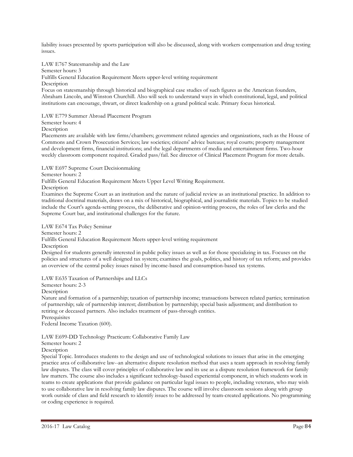liability issues presented by sports participation will also be discussed, along with workers compensation and drug testing issues.

LAW E767 Statesmanship and the Law Semester hours: 3 Fulfills General Education Requirement Meets upper-level writing requirement **Description** Focus on statesmanship through historical and biographical case studies of such figures as the American founders, Abraham Lincoln, and Winston Churchill. Also will seek to understand ways in which constitutional, legal, and political

institutions can encourage, thwart, or direct leadership on a grand political scale. Primary focus historical.

LAW E779 Summer Abroad Placement Program

Semester hours: 4

Description

Placements are available with law firms/chambers; government related agencies and organizations, such as the House of Commons and Crown Prosecution Services; law societies; citizens' advice bureaus; royal courts; property management and development firms, financial institutions; and the legal departments of media and entertainment firms. Two-hour weekly classroom component required. Graded pass/fail. See director of Clinical Placement Program for more details.

LAW E697 Supreme Court Decisionmaking

Semester hours: 2

Fulfills General Education Requirement Meets Upper Level Writing Requirement.

**Description** 

Examines the Supreme Court as an institution and the nature of judicial review as an institutional practice. In addition to traditional doctrinal materials, draws on a mix of historical, biographical, and journalistic materials. Topics to be studied include the Court's agenda-setting process, the deliberative and opinion-writing process, the roles of law clerks and the Supreme Court bar, and institutional challenges for the future.

LAW E674 Tax Policy Seminar

Semester hours: 2

Fulfills General Education Requirement Meets upper-level writing requirement

**Description** 

Designed for students generally interested in public policy issues as well as for those specializing in tax. Focuses on the policies and structures of a well designed tax system; examines the goals, politics, and history of tax reform; and provides an overview of the central policy issues raised by income-based and consumption-based tax systems.

LAW E635 Taxation of Partnerships and LLCs

Semester hours: 2-3

Description

Nature and formation of a partnership; taxation of partnership income; transactions between related parties; termination of partnership; sale of partnership interest; distribution by partnership; special basis adjustment; and distribution to retiring or deceased partners. Also includes treatment of pass-through entities.

Prerequisites

Federal Income Taxation (600).

LAW E699-DD Technology Practicum: Collaborative Family Law

Semester hours: 2

Description

Special Topic. Introduces students to the design and use of technological solutions to issues that arise in the emerging practice area of collaborative law--an alternative dispute resolution method that uses a team approach in resolving family law disputes. The class will cover principles of collaborative law and its use as a dispute resolution framework for family law matters. The course also includes a significant technology-based experiential component, in which students work in teams to create applications that provide guidance on particular legal issues to people, including veterans, who may wish to use collaborative law in resolving family law disputes. The course will involve classroom sessions along with group work outside of class and field research to identify issues to be addressed by team-created applications. No programming or coding experience is required.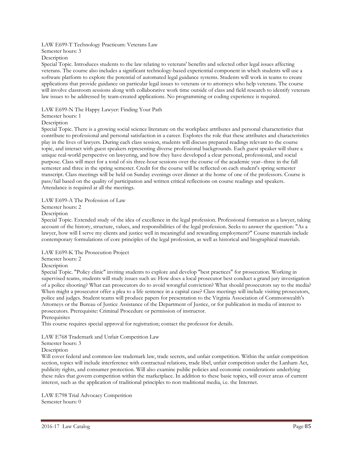#### LAW E699-T Technology Practicum: Veterans Law

Semester hours: 3

Description

Special Topic. Introduces students to the law relating to veterans' benefits and selected other legal issues affecting veterans. The course also includes a significant technology-based experiential component in which students will use a software platform to explore the potential of automated legal guidance systems. Students will work in teams to create applications that provide guidance on particular legal issues to veterans or to attorneys who help veterans. The course will involve classroom sessions along with collaborative work time outside of class and field research to identify veterans law issues to be addressed by team-created applications. No programming or coding experience is required.

LAW E699-N The Happy Lawyer: Finding Your Path

Semester hours: 1

**Description** 

Special Topic. There is a growing social science literature on the workplace attributes and personal characteristics that contribute to professional and personal satisfaction in a career. Explores the role that these attributes and characteristics play in the lives of lawyers. During each class session, students will discuss prepared readings relevant to the course topic, and interact with guest speakers representing diverse professional backgrounds. Each guest speaker will share a unique real-world perspective on lawyering, and how they have developed a clear personal, professional, and social purpose. Class will meet for a total of six three-hour sessions over the course of the academic year--three in the fall semester and three in the spring semester. Credit for the course will be reflected on each student's spring semester transcript. Class meetings will be held on Sunday evenings over dinner at the home of one of the professors. Course is pass/fail based on the quality of participation and written critical reflections on course readings and speakers. Attendance is required at all the meetings.

## LAW E699-A The Profession of Law

Semester hours: 2

**Description** 

Special Topic. Extended study of the idea of excellence in the legal profession. Professional formation as a lawyer, taking account of the history, structure, values, and responsibilities of the legal profession. Seeks to answer the question: "As a lawyer, how will I serve my clients and justice well in meaningful and rewarding employment?" Course materials include contemporary formulations of core principles of the legal profession, as well as historical and biographical materials.

LAW E699-K The Prosecution Project

Semester hours: 2

**Description** 

Special Topic. "Policy clinic" inviting students to explore and develop "best practices" for prosecution. Working in supervised teams, students will study issues such as: How does a local prosecutor best conduct a grand jury investigation of a police shooting? What can prosecutors do to avoid wrongful conviction? What should prosecutors say to the media? When might a prosecutor offer a plea to a life sentence in a capital case? Class meetings will include visiting prosecutors, police and judges. Student teams will produce papers for presentation to the Virginia Association of Commonwealth's Attorneys or the Bureau of Justice Assistance of the Department of Justice, or for publication in media of interest to prosecutors. Prerequisite: Criminal Procedure or permission of instructor.

Prerequisites

This course requires special approval for registration; contact the professor for details.

LAW E768 Trademark and Unfair Competition Law

Semester hours: 3

Description

Will cover federal and common-law trademark law, trade secrets, and unfair competition. Within the unfair competition section, topics will include interference with contractual relations, trade libel, unfair competition under the Lanham Act, publicity rights, and consumer protection. Will also examine public policies and economic considerations underlying these rules that govern competition within the marketplace. In addition to these basic topics, will cover areas of current interest, such as the application of traditional principles to non traditional media, i.e. the Internet.

LAW E798 Trial Advocacy Competition Semester hours: 0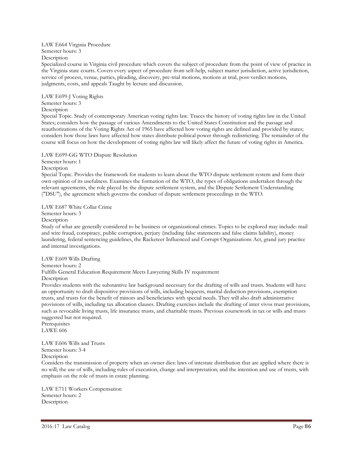#### LAW E664 Virginia Procedure Semester hours: 3

Description

Specialized course in Virginia civil procedure which covers the subject of procedure from the point of view of practice in the Virginia state courts. Covers every aspect of procedure from self-help, subject matter jurisdiction, active jurisdiction, service of process, venue, parties, pleading, discovery, pre-trial motions, motions at trial, post-verdict motions, judgments, costs, and appeals Taught by lecture and discussion.

LAW E699-J Voting Rights Semester hours: 3 Description

Special Topic. Study of contemporary American voting rights law. Traces the history of voting rights law in the United States; considers how the passage of various Amendments to the United States Constitution and the passage and reauthorizations of the Voting Rights Act of 1965 have affected how voting rights are defined and provided by states; considers how those laws have affected how states distribute political power through redistricting. The remainder of the course will focus on how the development of voting rights law will likely affect the future of voting rights in America.

LAW E699-GG WTO Dispute Resolution

Semester hours: 1 Description

Special Topic. Provides the framework for students to learn about the WTO dispute settlement system and form their own opinion of its usefulness. Examines the formation of the WTO, the types of obligations undertaken through the relevant agreements, the role played by the dispute settlement system, and the Dispute Settlement Understanding ("DSU"), the agreement which governs the conduct of dispute settlement proceedings in the WTO.

LAW E687 White Collar Crime

Semester hours: 3

**Description** 

Study of what are generally considered to be business or organizational crimes. Topics to be explored may include: mail and wire fraud, conspiracy, public corruption, perjury (including false statements and false claims liability), money laundering, federal sentencing guidelines, the Racketeer Influenced and Corrupt Organizations Act, grand jury practice and internal investigations.

LAW E609 Wills Drafting Semester hours: 2 Fulfills General Education Requirement Meets Lawyering Skills IV requirement **Description** Provides students with the substantive law background necessary for the drafting of wills and trusts. Students will have an opportunity to draft dispositive provisions of wills, including bequests, marital deduction provisions, exemption trusts, and trusts for the benefit of minors and beneficiaries with special needs. They will also draft administrative

provisions of wills, including tax allocation clauses. Drafting exercises include the drafting of inter vivos trust provisions, such as revocable living trusts, life insurance trusts, and charitable trusts. Previous coursework in tax or wills and trusts suggested but not required.

Prerequisites LAWE 606

LAW E606 Wills and Trusts Semester hours: 3-4

## Description

Considers the transmission of property when an owner dies: laws of intestate distribution that are applied where there is no will; the use of wills, including rules of execution, change and interpretation; and the intention and use of trusts, with emphasis on the role of trusts in estate planning.

LAW E711 Workers Compensation Semester hours: 2 Description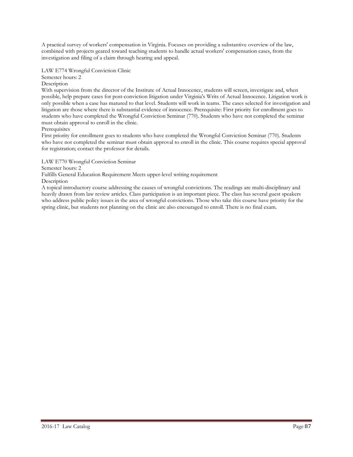A practical survey of workers' compensation in Virginia. Focuses on providing a substantive overview of the law, combined with projects geared toward teaching students to handle actual workers' compensation cases, from the investigation and filing of a claim through hearing and appeal.

LAW E774 Wrongful Conviction Clinic Semester hours: 2

Description

With supervision from the director of the Institute of Actual Innocence, students will screen, investigate and, when possible, help prepare cases for post-conviction litigation under Virginia's Writs of Actual Innocence. Litigation work is only possible when a case has matured to that level. Students will work in teams. The cases selected for investigation and litigation are those where there is substantial evidence of innocence. Prerequisite: First priority for enrollment goes to students who have completed the Wrongful Conviction Seminar (770). Students who have not completed the seminar must obtain approval to enroll in the clinic.

**Prerequisites** 

First priority for enrollment goes to students who have completed the Wrongful Conviction Seminar (770). Students who have not completed the seminar must obtain approval to enroll in the clinic. This course requires special approval for registration; contact the professor for details.

LAW E770 Wrongful Conviction Seminar

Semester hours: 2

Fulfills General Education Requirement Meets upper-level writing requirement

Description

A topical introductory course addressing the causes of wrongful convictions. The readings are multi-disciplinary and heavily drawn from law review articles. Class participation is an important piece. The class has several guest speakers who address public policy issues in the area of wrongful convictions. Those who take this course have priority for the spring clinic, but students not planning on the clinic are also encouraged to enroll. There is no final exam.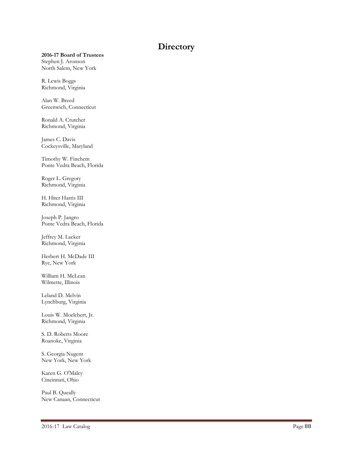# **Directory**

## **2016 -17 Board of Trustees**

Stephen J. Aronson North Salem, New York

R. Lewis Boggs Richmond, Virginia

Alan W. Breed Greenwich, Connecticut

Ronald A. Crutcher Richmond, Virginia

James C. Davis Cockeysville, Maryland

Timothy W. Finchem Ponte Vedra Beach, Florida

Roger L. Gregory Richmond, Virginia

H. Hiter Harris III Richmond, Virginia

Joseph P. Jangro Ponte Vedra Beach, Florida

Jeffrey M. Lacker Richmond, Virginia

Herbert H. McDade III Rye, New York

William H. McLean Wilmette, Illinois

Leland D. Melvin Lynchburg, Virginia

Louis W. Moelchert, Jr. Richmond, Virginia

S. D. Roberts Moore Roanoke, Virginia

S. Georgia Nugent New York, New York

Karen G. O'Maley Cincinnati, Ohio

Paul B. Queally New Canaan, Connecticut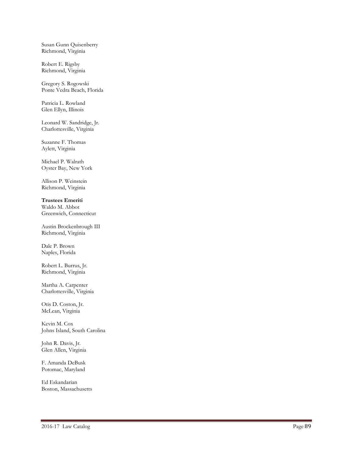Susan Gunn Quisenberry Richmond, Virginia

Robert E. Rigsby Richmond, Virginia

Gregory S. Rogowski Ponte Vedra Beach, Florida

Patricia L. Rowland Glen Ellyn, Illinois

Leonard W. Sandridge, Jr. Charlottesville, Virginia

Suzanne F. Thomas Aylett, Virginia

Michael P. Walrath Oyster Bay, New York

Allison P. Weinstein Richmond, Virginia

**Trustees Emeriti** Waldo M. Abbot Greenwich, Connecticut

Austin Brockenbrough III Richmond, Virginia

Dale P. Brown Naples, Florida

Robert L. Burrus, Jr. Richmond, Virginia

Martha A. Carpenter Charlottesville, Virginia

Otis D. Coston, Jr. McLean, Virginia

Kevin M. Cox Johns Island, South Carolina

John R. Davis, Jr. Glen Allen, Virginia

F. Amanda DeBusk Potomac, Maryland

Ed Eskandarian Boston, Massachusetts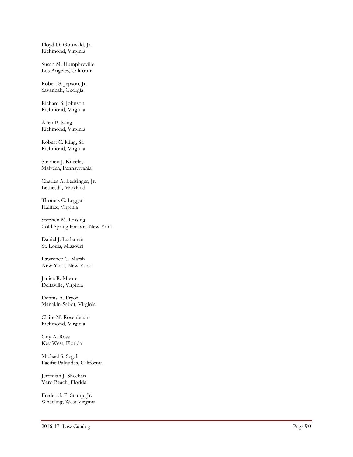Floyd D. Gottwald, Jr. Richmond, Virginia

Susan M. Humphreville Los Angeles, Californi a

Robert S. Jepson, Jr. Savannah, Georgia

Richard S. Johnson Richmond, Virginia

Allen B. King Richmond, Virginia

Robert C. King, Sr. Richmond, Virginia

Stephen J. Kneeley Malvern, Pennsylvania

Charles A. Ledsinger, Jr. Bethesda, Maryland

Thomas C. Leggett Halifax, Virginia

Stephen M. Lessing Cold Spring Harbor, New York

Daniel J. Ludeman St. Louis, Missouri

Lawrence C. Marsh New York, New York

Janice R. Moore Deltaville, Virginia

Dennis A. Pryor Manakin -Sabot, Virginia

Claire M. Rosenbaum Richmond, Virginia

Guy A. Ross Key West, Florida

Michael S. Segal Pacific Palisades, California

Jeremiah J. Sheehan Vero Beach, Florida

Frederick P. Stamp, Jr. Wheeling, West Virginia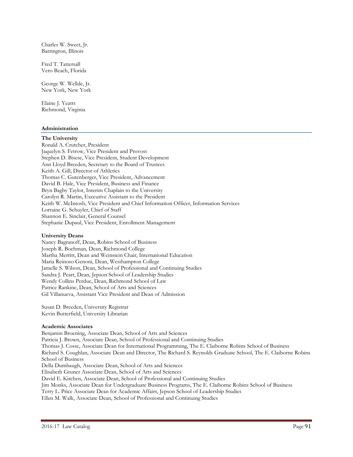Charles W. Sweet, Jr. Barrington, Illinois

Fred T. Tattersall Vero Beach, Florida

George W. Wellde, Jr. New York, New York

Elaine J. Yeatts Richmond, Virginia

### **Administration**

#### **The University**

Ronald A. Crutcher, President Jaquelyn S. Fetrow, Vice President and Provost Stephen D. Bisese, Vice President, Student Development Ann Lloyd Breeden, Secretary to the Board of Trustees Keith A. Gill, Director of Athletics Thomas C. Gutenberger, Vice President, Advancement David B. Hale, Vice President, Business and Finance Bryn Bagby Taylor, Interim Chaplain to the University Carolyn R. Martin, Executive Assistant to the President Keith W. McIntosh, Vice President and Chief Information Officer, Information Services Lorraine G. Schuyler, Chief of Staff Shannon E. Sinclair, General Counsel Stephanie Dupaul, Vice President, Enrollment Management

#### **University Deans**

Nancy Bagranoff, Dean, Robins School of Business Joseph R. Boehman, Dean, Richmond College Martha Merritt, Dean and Weinstein Chair, International Education Maria Reinoso Genoni, Dean, Westhampton College Jamelle S. Wilson, Dean, School of Professional and Continuing Studies Sandra J. Peart, Dean, Jepson School of Leadership Studies Wendy Collins Perdue, Dean, Richmond School of Law Patrice Rankine, Dean, School of Arts and Sciences Gil Villanueva, Assistant Vice President and Dean of Admission

Susan D. Breeden, University Registrar Kevin Butterfield, University Librarian

#### **Academic Associates**

Benjamin Broening, Associate Dean, School of Arts and Sciences Patricia J. Brown, Associate Dean, School of Professional and Continuing Studies Thomas J. Cosse, Associate Dean for International Programming, The E. Claiborne Robins School of Business Richard S. Coughlan, Associate Dean and Director, The Richard S. Reynolds Graduate School, The E. Claiborne Robins School of Business Della Dumbaugh, Associate Dean, School of Arts and Sciences Elisabeth Gruner Associate Dean, School of Arts and Sciences David E. Kitchen, Associate Dean, School of Professional and Continuing Studies Jim Monks, Associate Dean for Undergraduate Business Programs, The E. Claiborne Robins School of Business Terry L. Price Associate Dean for Academic Affairs, Jepson School of Leadership Studies Ellen M. Walk, Associate Dean, School of Professional and Continuing Studies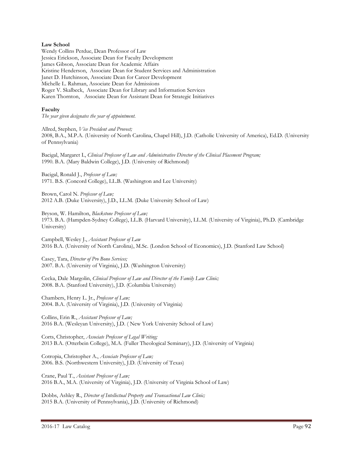## **Law School**

Wendy Collins Perdue, Dean Professor of Law Jessica Erickson, Associate Dean for Faculty Development James Gibson, Associate Dean for Academic Affairs Kristine Henderson, Associate Dean for Student Services and Administration Janet D. Hutchinson, Associate Dean for Career Development Michelle L. Rahman, Associate Dean for Admissions Roger V. Skalbeck, Associate Dean for Library and Information Services Karen Thornton, Associate Dean for Assistant Dean for Strategic Initiatives

#### **Faculty**

*The year given designates the year of appointment.*

Allred, Stephen, *Vice President and Provost;* 2008, B.A., M.P.A. (University of North Carolina, Chapel Hill), J.D. (Catholic University of America), Ed.D. (University of Pennsylvania)

Bacigal, Margaret I., *Clinical Professor of Law and Administrative Director of the Clinical Placement Program;* 1990. B.A. (Mary Baldwin College), J.D. (University of Richmond)

Bacigal, Ronald J., *Professor of Law;* 1971. B.S. (Concord College), LL.B. (Washington and Lee University)

Brown, Carol N. *Professor of Law;* 2012 A.B. (Duke University), J.D., LL.M. (Duke University School of Law)

Bryson, W. Hamilton, *Blackstone Professor of Law;* 1973. B.A. (Hampden-Sydney College), LL.B. (Harvard University), LL.M. (University of Virginia), Ph.D. (Cambridge University)

Campbell, Wesley J., *Assistant Professor of Law* 2016 B.A. (University of North Carolina), M.Sc. (London School of Economics), J.D. (Stanford Law School)

Casey, Tara, *Director of Pro Bono Services;* 2007. B.A. (University of Virginia), J.D. (Washington University)

Cecka, Dale Margolin, *Clinical Professor of Law and Director of the Family Law Clinic;* 2008. B.A. (Stanford University), J.D. (Columbia University)

Chambers, Henry L. Jr., *Professor of Law;* 2004. B.A. (University of Virginia), J.D. (University of Virginia)

Collins, Erin R., *Assistant Professor of Law;* 2016 B.A. (Wesleyan University), J.D. ( New York University School of Law)

Corts, Christopher, *Associate Professor of Legal Writing;* 2013 B.A. (Otterbein College), M.A. (Fuller Theological Seminary), J.D. (University of Virginia)

Cotropia, Christopher A., *Associate Professor of Law;* 2006. B.S. (Northwestern University), J.D. (University of Texas)

Crane, Paul T., *Assistant Professor of Law;* 2016 B.A., M.A. (University of Virginia), J.D. (University of Virginia School of Law)

Dobbs, Ashley R., *Director of Intellectual Property and Transactional Law Clinic;* 2015 B.A. (University of Pennsylvania), J.D. (University of Richmond)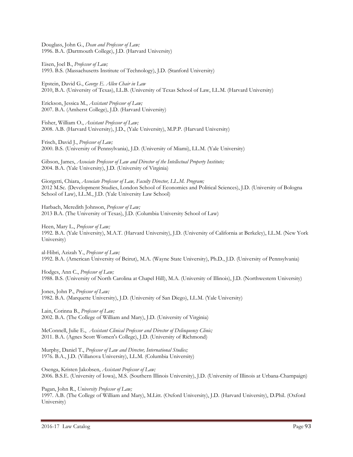Douglass, John G., *Dean and Professor of Law;* 1996. B.A. (Dartmouth College), J.D. (Harvard University)

Eisen, Joel B., *Professor of Law;* 1993. B.S. (Massachusetts Institute of Technology), J.D. (Stanford University)

Epstein, David G., *George E. Allen Chair in Law* 2010, B.A. (University of Texas), LL.B. (University of Texas School of Law, LL.M. (Harvard University)

Erickson, Jessica M., *Assistant Professor of Law;* 2007. B.A. (Amherst College), J.D. (Harvard University)

Fisher, William O., *Assistant Professor of Law;* 2008. A.B. (Harvard University), J.D., (Yale University), M.P.P. (Harvard University)

Frisch, David J., *Professor of Law;* 2000. B.S. (University of Pennsylvania), J.D. (University of Miami), LL.M. (Yale University)

Gibson, James, *Associate Professor of Law and Director of the Intellectual Property Institute;* 2004. B.A. (Yale University), J.D. (University of Virginia)

Giorgetti, Chiara, *Associate Professor of Law, Faculty Director, LL.M. Program;* 2012 M.Sc. (Development Studies, London School of Economics and Political Sciences), J.D. (University of Bologna School of Law), LL.M., J.D. (Yale University Law School)

Harbach, Meredith Johnson, *Professor of Law;* 2013 B.A. (The University of Texas), J.D. (Columbia University School of Law)

Heen, Mary L., *Professor of Law;* 1992. B.A. (Yale University), M.A.T. (Harvard University), J.D. (University of California at Berkeley), LL.M. (New York University)

al-Hibri, Azizah Y., *Professor of Law;* 1992. B.A. (American University of Beirut), M.A. (Wayne State University), Ph.D., J.D. (University of Pennsylvania)

Hodges, Ann C., *Professor of Law;* 1988. B.S. (University of North Carolina at Chapel Hill), M.A. (University of Illinois), J.D. (Northwestern University)

Jones, John P., *Professor of Law;* 1982. B.A. (Marquette University), J.D. (University of San Diego), LL.M. (Yale University)

Lain, Corinna B., *Professor of Law;* 2002. B.A. (The College of William and Mary), J.D. (University of Virginia)

McConnell, Julie E., *Assistant Clinical Professor and Director of Delinquency Clinic;*  2011. B.A. (Agnes Scott Women's College), J.D. (University of Richmond)

Murphy, Daniel T., *Professor of Law and Director, International Studies;* 1976. B.A., J.D. (Villanova University), LL.M. (Columbia University)

Osenga, Kristen Jakobsen, *Assistant Professor of Law;* 2006. B.S.E. (University of Iowa), M.S. (Southern Illinois University), J.D. (University of Illinois at Urbana-Champaign)

Pagan, John R., *University Professor of Law;*

1997. A.B. (The College of William and Mary), M.Litt. (Oxford University), J.D. (Harvard University), D.Phil. (Oxford University)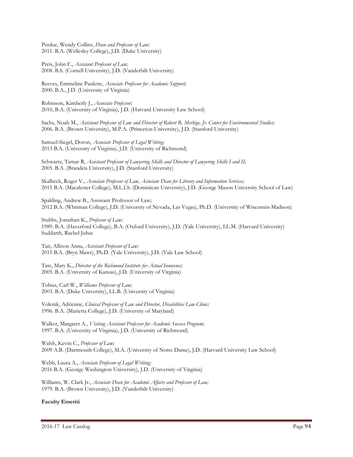Perdue, Wendy Collins, *Dean and Professor of Law;* 2011. B.A. (Wellesley College), J.D. (Duke University)

Preis, John F., *Assistant Professor of Law;* 2008. B.S. (Cornell University), J.D. (Vanderbilt University)

Reeves, Emmeline Paulette, *Associate Professor for Academic Support;* 2000. B.A., J.D. (University of Virginia)

Robinson, Kimberly J., *Associate Professor;* 2010, B.A. (University of Virginia), J.D. (Harvard University Law School)

Sachs, Noah M., *Assistant Professor of Law and Director of Robert R. Merhige, Jr. Center for Environmental Studies;* 2006. B.A. (Brown University), M.P.A. (Princeton University), J.D. (Stanford University)

Samuel-Siegel, Doron, *Associate Professor of Legal Writing;* 2013 B.A. (University of Virginia), J.D. (University of Richmond)

Schwartz, Tamar R, *Assistant Professor of Lawyering Skills and Director of Lawyering Skills I and II;* 2005. B.A. (Brandeis University), J.D. (Stanford University)

Skalbeck, Roger V., *Associate Professor of Law, Associate Dean for Library and Information Services;* 2015 B.A. (Macalester College), M.L.I.S. (Dominican University), J.D. (George Mason University School of Law)

Spalding, Andrew B., Assistant Professor of Law; 2012 B.A. (Whitman College), J.D. (University of Nevada, Las Vegas), Ph.D. (University of Wisconsin-Madison)

Stubbs, Jonathan K., *Professor of Law;* 1989. B.A. (Haverford College), B.A. (Oxford University), J.D. (Yale University), LL.M. (Harvard University) Suddarth, Rachel Juhas

Tait, Allison Anna, *Assistant Professor of Law;* 2015 B.A. (Bryn Mawr), Ph.D. (Yale University), J.D. (Yale Law School)

Tate, Mary K., *Director of the Richmond Institute for Actual Innocence;* 2005. B.A. (University of Kansas), J.D. (University of Virginia)

Tobias, Carl W., *Williams Professor of Law;* 2003. B.A. (Duke University), LL.B. (University of Virginia)

Volenik, Adrienne, *Clinical Professor of Law and Director, Disabilities Law Clinic;* 1996. B.A. (Marietta College), J.D. (University of Maryland)

Walker, Margaret A., *Visiting Assistant Professor for Academic Success Program;* 1997. B.A. (University of Virginia), J.D. (University of Richmond)

Walsh, Kevin C., *Professor of Law;* 2009 A.B. (Dartmouth College), M.A. (University of Notre Dame), J.D. (Harvard University Law School)

Webb, Laura A., *Associate Professor of Legal Writing;* 2016 B.A. (George Washington University), J.D. (University of Virginia)

Williams, W. Clark Jr., *Associate Dean for Academic Affairs and Professor of Law;* 1979. B.A. (Brown University), J.D. (Vanderbilt University)

## **Faculty Emeriti**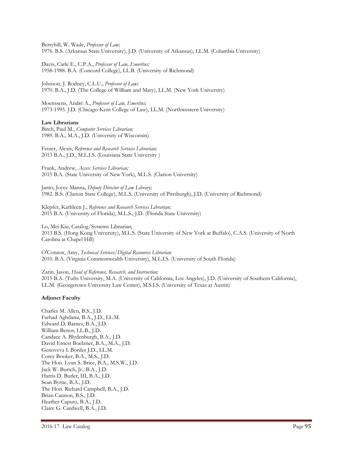Berryhill, W. Wade, *Professor of Law;* 1976. B.S. (Arkansas State University), J.D. (University of Arkansas), LL.M. (Columbia University)

Davis, Carle E., C.P.A., *Professor of Law, Emeritus;* 1958-1988. B.A. (Concord College), LL.B. (University of Richmond)

Johnson, J. Rodney, C.L.U., *Professor of Law;* 1970. B.A., J.D. (The College of William and Mary), LL.M. (New York University)

Moenssens, André A., *Professor of Law, Emeritus;* 1973-1995. J.D. (Chicago-Kent College of Law), LL.M. (Northwestern University)

### **Law Librarians**

Birch, Paul M., *Computer Services Librarian;* 1989. B.A., M.A., J.D. (University of Wisconsin)

Fetzer, Alexis, *Reference and Research Services Librarian;* 2013 B.A., J.D., M.L.I.S. (Louisiana State University )

Frank, Andrew, *Access Services Librarian;* 2015 B.A. (State University of New York), M.L.S. (Clarion University)

Janto, Joyce Manna, *Deputy Director of Law Library;* 1982. B.S. (Clarion State College), M.L.S. (University of Pittsburgh), J.D. (University of Richmond)

Klepfer, Kathleen J., *Reference and Research Services Librarian;* 2015 B.A. (University of Florida), M.L.S., J.D. (Florida State University)

Lo, Mei Kiu, Catalog/Systems Librarian; 2013 B.S. (Hong Kong University), M.L.S. (State University of New York at Buffalo), C.A.S. (University of North Carolina at Chapel Hill)

O'Connor, Amy, *Technical Services/Digital Resources Librarian* 2010. B.A. (Virginia Commonwealth University), M.L.I.S. (University of South Florida)

Zarin, Jason, *Head of Reference, Research, and Instruction;* 2015 B.A. (Tufts University, M.A. (University of California, Los Angeles), J.D. (University of Southern California), LL.M. (Georgetown University Law Center), M.S.I.S. (University of Texas at Austin)

## **Adjunct Faculty**

Charles M. Allen, B.S., J.D. Farhad Aghdami, B.A., J.D., LL.M. Edward D. Barnes, B.A., J.D. William Benos, LL.B., J.D. Candace A. Blydenburgh, B.A., J.D. David Ernest Boelzner, B.A., M.A., J.D. Genoveva I. Border J.D., LL.M. Corey Booker, B.A., M.S., J.D. The Hon. Lynn S. Brice, B.A., M.S.W., J.D. Jack W. Burtch, Jr., B.A., J.D. Harris D. Butler, III, B.A., J.D. Sean Byrne, B.A., J.D. The Hon. Richard Campbell, B.A., J.D. Brian Cannon, B.S., J.D. Heather Caputo, B.A., J.D. Claire G. Cardwell, B.A., J.D.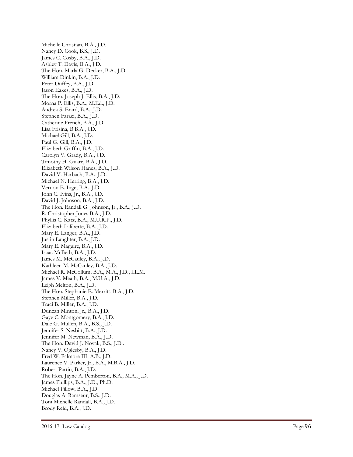Michelle Christian, B.A., J.D. Nancy D. Cook, B.S., J.D. James C. Cosby, B.A., J.D. Ashley T. Davis, B.A., J.D. The Hon. Marla G. Decker, B.A., J.D. William Dinkin, B.A., J.D. Peter Duffey, B.A., J.D. Jason Eakes, B.A., J.D. The Hon. Joseph J. Ellis, B.A., J.D. Morna P. Ellis, B.A., M.Ed., J.D. Andrea S. Erard, B.A., J.D. Stephen Faraci, B.A., J.D. Catherine French, B.A., J.D. Lisa Frisina, B.B.A., J.D. Michael Gill, B.A., J.D. Paul G. Gill, B.A., J.D. Elizabeth Griffin, B.A., J.D. Carolyn V. Grady, B.A., J.D. Timothy H. Guare, B.A., J.D. Elizabeth Wilson Hanes, B.A., J.D. David V. Harbach, B.A., J.D. Michael N. Herring, B.A., J.D. Vernon E. Inge, B.A., J.D. John C. Ivins, Jr., B.A., J.D. David J. Johnson, B.A., J.D. The Hon. Randall G. Johnson, Jr., B.A., J.D. R. Christopher Jones B.A., J.D. Phyllis C. Katz, B.A., M.U.R.P., J.D. Elizabeth Laliberte, B.A., J.D. Mary E. Langer, B.A., J.D. Justin Laughter, B.A., J.D. Mary E. Maguire, B.A., J.D. Isaac McBeth, B.A., J.D. James M. McCauley, B.A., J.D. Kathleen M. McCauley, B.A., J.D. Michael R. McCollum, B.A., M.A., J.D., LL.M. James V. Meath, B.A., M.U.A., J.D. Leigh Melton, B.A., J.D. The Hon. Stephanie E. Merritt, B.A., J.D. Stephen Miller, B.A., J.D. Traci B. Miller, B.A., J.D. Duncan Minton, Jr., B.A., J.D. Gaye C. Montgomery, B.A., J.D. Dale G. Mullen, B.A., B.S., J.D. Jennifer S. Nesbitt, B.A., J.D. Jennifer M. Newman, B.A., J.D. The Hon. David J. Novak, B.S., J.D . Nancy V. Oglesby, B.A., J.D. Fred W. Palmore III, A.B., J.D. Laurence V. Parker, Jr., B.A., M.B.A., J.D. Robert Partin, B.A., J.D. The Hon. Jayne A. Pemberton, B.A., M.A., J.D. James Phillips, B.A., J.D., Ph.D. Michael Pillow, B.A., J.D. Douglas A. Ramseur, B.S., J.D. Toni Michelle Randall, B.A., J.D. Brody Reid, B.A., J.D.